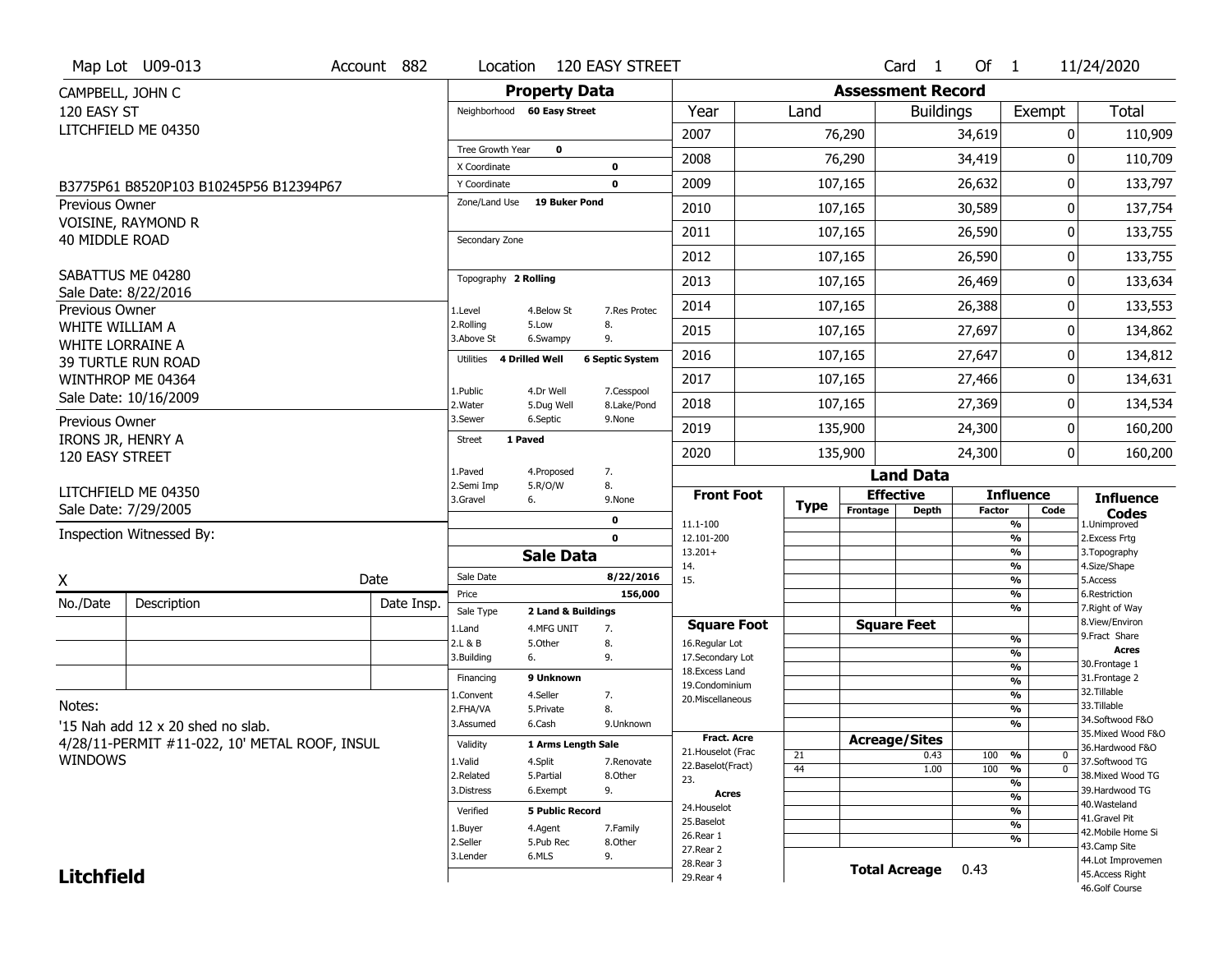|                                      | Map Lot U09-013                               | Account 882 | Location                      |                             | 120 EASY STREET           |                                    |             |                          | Card <sub>1</sub>    | Of $1$        |                                 | 11/24/2020                            |
|--------------------------------------|-----------------------------------------------|-------------|-------------------------------|-----------------------------|---------------------------|------------------------------------|-------------|--------------------------|----------------------|---------------|---------------------------------|---------------------------------------|
| CAMPBELL, JOHN C                     |                                               |             |                               | <b>Property Data</b>        |                           |                                    |             | <b>Assessment Record</b> |                      |               |                                 |                                       |
| 120 EASY ST                          |                                               |             |                               | Neighborhood 60 Easy Street |                           | Year                               | Land        |                          | <b>Buildings</b>     |               | Exempt                          | <b>Total</b>                          |
|                                      | LITCHFIELD ME 04350                           |             |                               |                             |                           | 2007                               |             | 76,290                   |                      | 34,619        | 0                               | 110,909                               |
|                                      |                                               |             | Tree Growth Year              | $\mathbf 0$                 |                           | 2008                               |             | 76,290                   |                      | 34,419        | 0                               | 110,709                               |
|                                      |                                               |             | X Coordinate                  |                             | $\mathbf 0$               |                                    |             |                          |                      |               |                                 |                                       |
|                                      | B3775P61 B8520P103 B10245P56 B12394P67        |             | Y Coordinate<br>Zone/Land Use | <b>19 Buker Pond</b>        | $\mathbf 0$               | 2009                               |             | 107,165                  |                      | 26,632        | 0                               | 133,797                               |
| <b>Previous Owner</b>                | VOISINE, RAYMOND R                            |             |                               |                             |                           | 2010                               |             | 107,165                  |                      | 30,589        | 0                               | 137,754                               |
| 40 MIDDLE ROAD                       |                                               |             | Secondary Zone                |                             |                           | 2011                               |             | 107,165                  |                      | 26,590        | 0                               | 133,755                               |
|                                      |                                               |             |                               |                             |                           | 2012                               |             | 107,165                  |                      | 26,590        | 0                               | 133,755                               |
|                                      | SABATTUS ME 04280                             |             | Topography 2 Rolling          |                             |                           | 2013                               |             | 107,165                  |                      | 26,469        | 0                               | 133,634                               |
| Previous Owner                       | Sale Date: 8/22/2016                          |             | 1.Level                       | 4.Below St                  | 7.Res Protec              | 2014                               |             | 107,165                  |                      | 26,388        | 0                               | 133,553                               |
| WHITE WILLIAM A                      |                                               |             | 2.Rolling<br>3.Above St       | 5.Low<br>6.Swampy           | 8.<br>9.                  | 2015                               |             | 107,165                  |                      | 27,697        | 0                               | 134,862                               |
| <b>WHITE LORRAINE A</b>              | <b>39 TURTLE RUN ROAD</b>                     |             | Utilities                     | 4 Drilled Well              | <b>6 Septic System</b>    | 2016                               |             | 107,165                  |                      | 27,647        | 0                               | 134,812                               |
|                                      | WINTHROP ME 04364                             |             |                               |                             |                           | 2017                               |             | 107,165                  |                      | 27,466        | 0                               | 134,631                               |
|                                      | Sale Date: 10/16/2009                         |             | 1.Public<br>2.Water           | 4.Dr Well<br>5.Dug Well     | 7.Cesspool<br>8.Lake/Pond | 2018                               |             | 107,165                  |                      | 27,369        | 0                               | 134,534                               |
| Previous Owner                       |                                               |             | 3.Sewer                       | 6.Septic                    | 9.None                    | 2019                               |             | 135,900                  |                      | 24,300        | 0                               | 160,200                               |
| IRONS JR, HENRY A<br>120 EASY STREET |                                               |             | Street                        | 1 Paved                     |                           | 2020                               |             | 135,900                  |                      | 24,300        | 0                               | 160,200                               |
|                                      |                                               |             | 1.Paved                       | 4.Proposed                  | 7.                        |                                    |             |                          | <b>Land Data</b>     |               |                                 |                                       |
|                                      |                                               |             |                               |                             |                           |                                    |             |                          |                      |               |                                 |                                       |
|                                      | LITCHFIELD ME 04350                           |             | 2.Semi Imp                    | 5.R/O/W                     | 8.                        | <b>Front Foot</b>                  |             |                          | <b>Effective</b>     |               | <b>Influence</b>                |                                       |
|                                      | Sale Date: 7/29/2005                          |             | 3.Gravel                      | 6.                          | 9.None                    |                                    | <b>Type</b> | Frontage                 | <b>Depth</b>         | <b>Factor</b> | Code                            | <b>Influence</b><br><b>Codes</b>      |
|                                      | Inspection Witnessed By:                      |             |                               |                             | 0<br>$\mathbf 0$          | 11.1-100<br>12.101-200             |             |                          |                      |               | %<br>%                          | 1.Unimproved                          |
|                                      |                                               |             |                               | <b>Sale Data</b>            |                           | $13.201+$                          |             |                          |                      |               | %                               | 2. Excess Frtg<br>3. Topography       |
|                                      |                                               |             | Sale Date                     |                             | 8/22/2016                 | 14.                                |             |                          |                      |               | %                               | 4.Size/Shape                          |
| X                                    |                                               | Date        | Price                         |                             | 156,000                   | 15.                                |             |                          |                      |               | %<br>%                          | 5.Access<br>6.Restriction             |
| No./Date                             | Description                                   | Date Insp.  | Sale Type                     | 2 Land & Buildings          |                           |                                    |             |                          |                      |               | %                               | 7. Right of Way                       |
|                                      |                                               |             | 1.Land                        | 4.MFG UNIT                  | 7.                        | <b>Square Foot</b>                 |             |                          | <b>Square Feet</b>   |               |                                 | 8.View/Environ<br>9. Fract Share      |
|                                      |                                               |             | 2.L & B                       | 5.Other                     | 8.                        | 16.Regular Lot                     |             |                          |                      |               | %<br>%                          | Acres                                 |
|                                      |                                               |             | 3.Building                    | 6.                          | 9.                        | 17.Secondary Lot<br>18.Excess Land |             |                          |                      |               | %                               | 30. Frontage 1                        |
|                                      |                                               |             | Financing                     | 9 Unknown                   |                           | 19.Condominium                     |             |                          |                      |               | %                               | 31. Frontage 2                        |
|                                      |                                               |             | 1.Convent                     | 4.Seller                    | 7.                        | 20.Miscellaneous                   |             |                          |                      |               | %                               | 32. Tillable                          |
| Notes:                               |                                               |             | 2.FHA/VA                      | 5.Private                   | 8.                        |                                    |             |                          |                      |               | $\overline{\frac{9}{6}}$        | 33.Tillable                           |
|                                      | '15 Nah add 12 x 20 shed no slab.             |             | 3.Assumed                     | 6.Cash                      | 9.Unknown                 |                                    |             |                          |                      |               | %                               | 34.Softwood F&O<br>35. Mixed Wood F&O |
|                                      | 4/28/11-PERMIT #11-022, 10' METAL ROOF, INSUL |             | Validity                      | 1 Arms Length Sale          |                           | <b>Fract. Acre</b>                 |             |                          | <b>Acreage/Sites</b> |               |                                 | 36.Hardwood F&O                       |
| <b>WINDOWS</b>                       |                                               |             | 1.Valid                       | 4.Split                     | 7.Renovate                | 21. Houselot (Frac                 | 21          |                          | 0.43                 | 100           | %<br>0                          | 37.Softwood TG                        |
|                                      |                                               |             | 2.Related                     | 5.Partial                   | 8.Other                   | 22.Baselot(Fract)<br>23.           | 44          |                          | 1.00                 | 100           | $\overline{0}$<br>$\frac{9}{6}$ | 38. Mixed Wood TG                     |
|                                      |                                               |             | 3.Distress                    | 6.Exempt                    | 9.                        | Acres                              |             |                          |                      |               | %                               | 39.Hardwood TG                        |
|                                      |                                               |             |                               |                             |                           | 24. Houselot                       |             |                          |                      |               | %                               | 40.Wasteland                          |
|                                      |                                               |             | Verified                      | <b>5 Public Record</b>      |                           | 25.Baselot                         |             |                          |                      |               | %<br>%                          | 41.Gravel Pit                         |
|                                      |                                               |             | 1.Buyer                       | 4.Agent                     | 7.Family                  | 26.Rear 1                          |             |                          |                      |               | %                               | 42. Mobile Home Si                    |
|                                      |                                               |             | 2.Seller<br>3.Lender          | 5.Pub Rec<br>6.MLS          | 8.Other                   | 27. Rear 2                         |             |                          |                      |               |                                 | 43.Camp Site                          |
| <b>Litchfield</b>                    |                                               |             |                               |                             | 9.                        | 28. Rear 3<br>29. Rear 4           |             |                          | <b>Total Acreage</b> | 0.43          |                                 | 44.Lot Improvemen<br>45.Access Right  |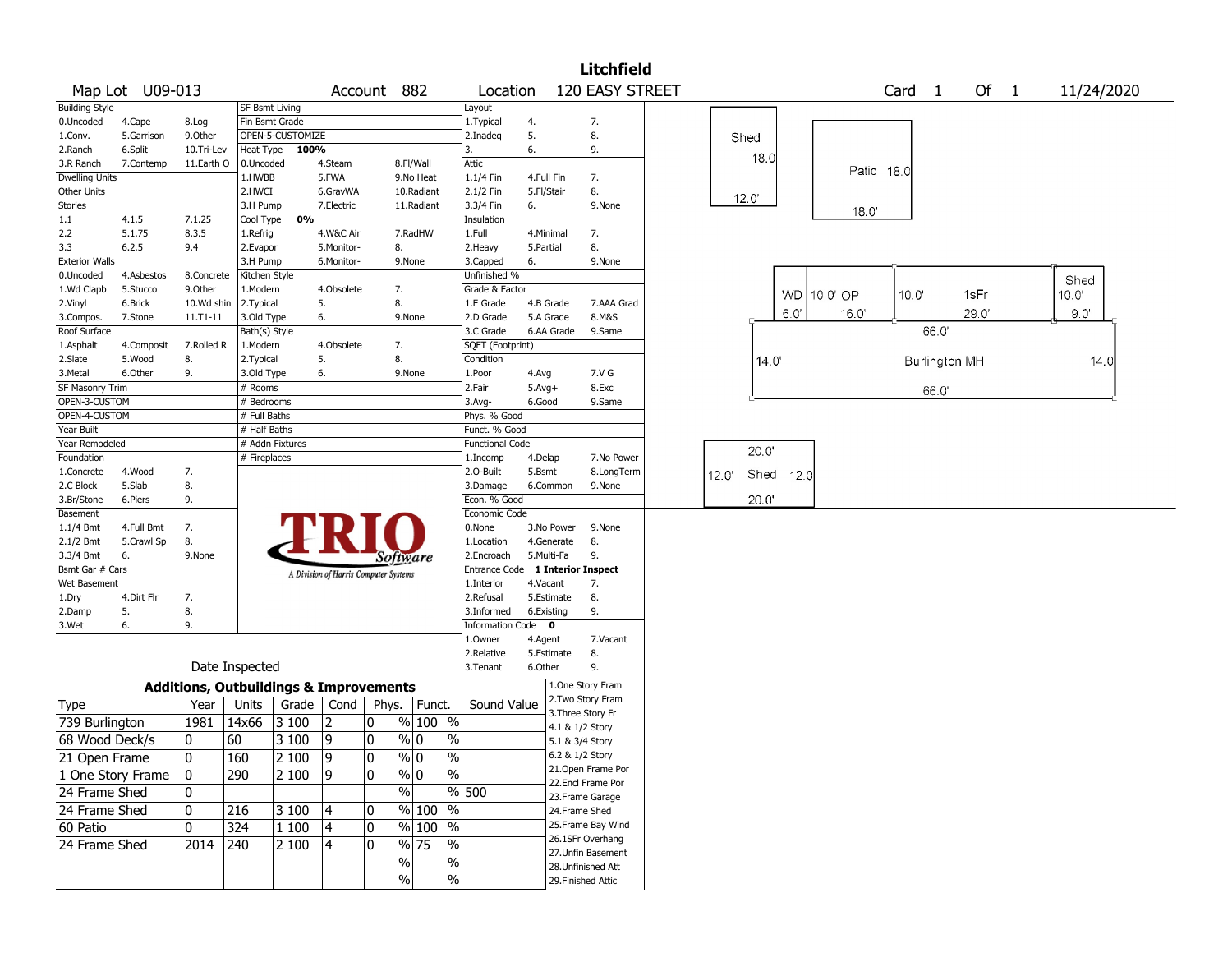|                       |                 |            |                |                                                   |                                       |               |                                             |                        |            | Litchfield                |       |       |      |             |                   |               |      |            |  |
|-----------------------|-----------------|------------|----------------|---------------------------------------------------|---------------------------------------|---------------|---------------------------------------------|------------------------|------------|---------------------------|-------|-------|------|-------------|-------------------|---------------|------|------------|--|
|                       | Map Lot U09-013 |            |                |                                                   |                                       | Account 882   |                                             | Location               |            | 120 EASY STREET           |       |       |      |             | Card <sub>1</sub> |               | Of 1 | 11/24/2020 |  |
| <b>Building Style</b> |                 |            | SF Bsmt Living |                                                   |                                       |               |                                             | Layout                 |            |                           |       |       |      |             |                   |               |      |            |  |
| 0.Uncoded             | 4.Cape          | 8.Log      |                | Fin Bsmt Grade                                    |                                       |               |                                             | 1. Typical             | 4.         | 7.                        |       |       |      |             |                   |               |      |            |  |
| 1.Conv.               | 5.Garrison      | 9.0ther    |                | OPEN-5-CUSTOMIZE                                  |                                       |               |                                             | 2.Inadeq               | 5.         | 8.                        | Shed  |       |      |             |                   |               |      |            |  |
| 2.Ranch               | 6.Split         | 10.Tri-Lev | Heat Type      | 100%                                              |                                       |               |                                             | 3.                     | 6.         | 9.                        |       | 18.0  |      |             |                   |               |      |            |  |
| 3.R Ranch             | 7.Contemp       | 11.Earth O | 0.Uncoded      |                                                   | 4.Steam                               |               | 8.Fl/Wall                                   | Attic                  |            |                           |       |       |      |             | Patio 18.0        |               |      |            |  |
| <b>Dwelling Units</b> |                 |            | 1.HWBB         |                                                   | 5.FWA                                 |               | 9.No Heat                                   | 1.1/4 Fin              | 4.Full Fin | 7.                        |       |       |      |             |                   |               |      |            |  |
| Other Units           |                 |            | 2.HWCI         |                                                   | 6.GravWA                              |               | 10.Radiant                                  | 2.1/2 Fin              | 5.Fl/Stair | 8.                        | 12.0' |       |      |             |                   |               |      |            |  |
| Stories               |                 |            | 3.H Pump       |                                                   | 7.Electric                            |               | 11.Radiant                                  | 3.3/4 Fin              | 6.         | 9.None                    |       |       |      | 18.0'       |                   |               |      |            |  |
| 1.1                   | 4.1.5           | 7.1.25     | Cool Type      | 0%                                                |                                       |               |                                             | Insulation             |            |                           |       |       |      |             |                   |               |      |            |  |
| 2.2                   | 5.1.75          | 8.3.5      | 1.Refrig       |                                                   | 4.W&C Air                             |               | 7.RadHW                                     | 1.Full                 | 4.Minimal  | 7.                        |       |       |      |             |                   |               |      |            |  |
| 3.3                   | 6.2.5           | 9.4        | 2.Evapor       |                                                   | 5.Monitor-                            | 8.            |                                             | 2.Heavy                | 5.Partial  | 8.                        |       |       |      |             |                   |               |      |            |  |
| <b>Exterior Walls</b> |                 |            | 3.H Pump       |                                                   | 6.Monitor-                            |               | 9.None                                      | 3.Capped               | 6.         | 9.None                    |       |       |      |             |                   |               |      |            |  |
| 0.Uncoded             | 4.Asbestos      | 8.Concrete | Kitchen Style  |                                                   |                                       |               |                                             | Unfinished %           |            |                           |       |       |      |             |                   |               |      | Shed       |  |
| 1.Wd Clapb            | 5.Stucco        | 9.0ther    | L.Modern       |                                                   | 4.Obsolete                            | 7.            |                                             | Grade & Factor         |            |                           |       |       |      | WD 10.0' OP | 10.0'             |               | 1sFr | 10.0'      |  |
| 2.Vinyl               | 6.Brick         | 10.Wd shin | 2.Typical      |                                                   | 5.                                    | 8.            |                                             | 1.E Grade              | 4.B Grade  | 7.AAA Grad                |       |       |      |             |                   |               |      |            |  |
| 3.Compos.             | 7.Stone         | 11.T1-11   | 3.Old Type     |                                                   | 6.                                    |               | 9.None                                      | 2.D Grade              | 5.A Grade  | 8.M&S                     |       |       | 6.0' | 16.0'       |                   |               | 29.0 | 9.0'       |  |
| Roof Surface          |                 |            | Bath(s) Style  |                                                   |                                       |               |                                             | 3.C Grade              | 6.AA Grade | 9.Same                    |       |       |      |             |                   | 66.0          |      |            |  |
| 1.Asphalt             | 4.Composit      | 7.Rolled R | 1.Modern       |                                                   | 4.Obsolete                            | 7.            |                                             | SQFT (Footprint)       |            |                           |       |       |      |             |                   |               |      |            |  |
| 2.Slate               | 5.Wood          | 8.         | 2. Typical     |                                                   | 5.                                    | 8.            |                                             | Condition              |            |                           |       | 14.0' |      |             |                   | Burlington MH |      | 14.0       |  |
| 3.Metal               | 6.Other         | 9.         | 3.Old Type     |                                                   | 6.                                    |               | 9.None                                      | 1.Poor                 | 4.Avg      | 7.V G                     |       |       |      |             |                   |               |      |            |  |
| SF Masonry Trim       |                 |            | # Rooms        |                                                   |                                       |               |                                             | 2.Fair                 | $5.Avg+$   | 8.Exc                     |       |       |      |             |                   | 66.0          |      |            |  |
| OPEN-3-CUSTOM         |                 |            | # Bedrooms     |                                                   |                                       |               |                                             | 3.Avg-                 | 6.Good     | 9.Same                    |       |       |      |             |                   |               |      |            |  |
| OPEN-4-CUSTOM         |                 |            | # Full Baths   |                                                   |                                       |               |                                             | Phys. % Good           |            |                           |       |       |      |             |                   |               |      |            |  |
| Year Built            |                 |            | # Half Baths   |                                                   |                                       |               |                                             | Funct. % Good          |            |                           |       |       |      |             |                   |               |      |            |  |
| Year Remodeled        |                 |            |                | # Addn Fixtures                                   |                                       |               |                                             | <b>Functional Code</b> |            |                           |       |       |      |             |                   |               |      |            |  |
| Foundation            |                 |            | # Fireplaces   |                                                   |                                       |               |                                             | 1.Incomp               | 4.Delap    | 7.No Power                |       | 20.0  |      |             |                   |               |      |            |  |
| 1.Concrete            | 4.Wood          | 7.         |                |                                                   |                                       |               |                                             | 2.0-Built              | 5.Bsmt     | 8.LongTerm                | 12.0' | Shed  | 12.0 |             |                   |               |      |            |  |
| 2.C Block             | 5.Slab          | 8.         |                |                                                   |                                       |               |                                             | 3.Damage               | 6.Common   | 9.None                    |       |       |      |             |                   |               |      |            |  |
| 3.Br/Stone            | 6.Piers         | 9.         |                |                                                   |                                       |               |                                             | Econ. % Good           |            |                           |       | 20.0  |      |             |                   |               |      |            |  |
| Basement              |                 |            |                |                                                   |                                       |               |                                             | Economic Code          |            |                           |       |       |      |             |                   |               |      |            |  |
| 1.1/4 Bmt             | 4.Full Bmt      | 7.         |                |                                                   |                                       |               |                                             | 0.None                 | 3.No Power | 9.None                    |       |       |      |             |                   |               |      |            |  |
| 2.1/2 Bmt             | 5.Crawl Sp      | 8.         |                |                                                   |                                       |               |                                             | 1.Location             | 4.Generate | 8.                        |       |       |      |             |                   |               |      |            |  |
| 3.3/4 Bmt             | 6.              | 9.None     |                |                                                   |                                       | Software      |                                             | 2.Encroach             | 5.Multi-Fa | 9.                        |       |       |      |             |                   |               |      |            |  |
| Bsmt Gar # Cars       |                 |            |                |                                                   |                                       |               |                                             | <b>Entrance Code</b>   |            | <b>1 Interior Inspect</b> |       |       |      |             |                   |               |      |            |  |
| Wet Basement          |                 |            |                |                                                   | A Division of Harris Computer Systems |               |                                             | 1.Interior             | 4.Vacant   | 7.                        |       |       |      |             |                   |               |      |            |  |
| 1.Dry                 | 4.Dirt Flr      | 7.         |                |                                                   |                                       |               |                                             | 2.Refusal              | 5.Estimate | 8.                        |       |       |      |             |                   |               |      |            |  |
| 2.Damp                | 5.              | 8.         |                |                                                   |                                       |               |                                             | 3.Informed             | 6.Existing | 9.                        |       |       |      |             |                   |               |      |            |  |
| 3.Wet                 | 6.              | 9.         |                |                                                   |                                       |               |                                             | Information Code 0     |            |                           |       |       |      |             |                   |               |      |            |  |
|                       |                 |            |                |                                                   |                                       |               |                                             | 1.Owner                | 4.Agent    | 7.Vacant                  |       |       |      |             |                   |               |      |            |  |
|                       |                 |            |                |                                                   |                                       |               |                                             | 2.Relative             | 5.Estimate | 8.                        |       |       |      |             |                   |               |      |            |  |
|                       |                 |            | Date Inspected |                                                   |                                       |               |                                             | 3.Tenant               | 6.Other    | 9.                        |       |       |      |             |                   |               |      |            |  |
|                       |                 |            |                | <b>Additions, Outbuildings &amp; Improvements</b> |                                       |               |                                             |                        |            | 1.One Story Fram          |       |       |      |             |                   |               |      |            |  |
| Type                  |                 | Year       | Units          | Grade                                             | Cond                                  | Phys.         | Funct.                                      | Sound Value            |            | 2. Two Story Fram         |       |       |      |             |                   |               |      |            |  |
| 739 Burlington        |                 | 1981       | 14x66          | 3100                                              | $\overline{2}$                        | 0             | % 100 %                                     |                        |            | 3. Three Story Fr         |       |       |      |             |                   |               |      |            |  |
|                       |                 |            |                |                                                   |                                       |               |                                             |                        |            | 4.1 & 1/2 Story           |       |       |      |             |                   |               |      |            |  |
| 68 Wood Deck/s        |                 | 10         | 60             | 3 100                                             | 9                                     | 0             | $\%$<br>% 0                                 |                        |            | 5.1 & 3/4 Story           |       |       |      |             |                   |               |      |            |  |
| 21 Open Frame         |                 | 0          | 160            | 2 100                                             | 9                                     | $\mathbf{0}$  | $\frac{9}{0}$<br>$\%$                       |                        |            | 6.2 & 1/2 Story           |       |       |      |             |                   |               |      |            |  |
| 1 One Story Frame     |                 | 10         | 290            | 2 100                                             | 9                                     | $\mathbf 0$   | $\overline{\frac{0}{0}}$<br>$\frac{9}{0}$ 0 |                        |            | 21.Open Frame Por         |       |       |      |             |                   |               |      |            |  |
| 24 Frame Shed         |                 | 10         |                |                                                   |                                       | $\frac{1}{2}$ |                                             | $\frac{9}{6}$ 500      |            | 22.Encl Frame Por         |       |       |      |             |                   |               |      |            |  |
|                       |                 |            |                |                                                   |                                       |               | $\frac{9}{6}$ 100 %                         |                        |            | 23.Frame Garage           |       |       |      |             |                   |               |      |            |  |
| 24 Frame Shed         |                 | 0          | 216            | 3 100                                             | 4                                     | 0             |                                             |                        |            | 24.Frame Shed             |       |       |      |             |                   |               |      |            |  |
| 60 Patio              |                 | 0          | 324            | 1 100                                             | 4                                     | 0             | $\sqrt{96}$ 100 %                           |                        |            | 25. Frame Bay Wind        |       |       |      |             |                   |               |      |            |  |
| 24 Frame Shed         |                 | 2014 240   |                | 2 100                                             | 4                                     | $\mathbf 0$   | $\frac{9}{6}$ 75<br>$\%$                    |                        |            | 26.1SFr Overhang          |       |       |      |             |                   |               |      |            |  |
|                       |                 |            |                |                                                   |                                       | $\%$          | $\%$                                        |                        |            | 27.Unfin Basement         |       |       |      |             |                   |               |      |            |  |
|                       |                 |            |                |                                                   |                                       |               |                                             |                        |            | 28. Unfinished Att        |       |       |      |             |                   |               |      |            |  |
|                       |                 |            |                |                                                   |                                       | $\sqrt{6}$    | $\%$                                        |                        |            | 29. Finished Attic        |       |       |      |             |                   |               |      |            |  |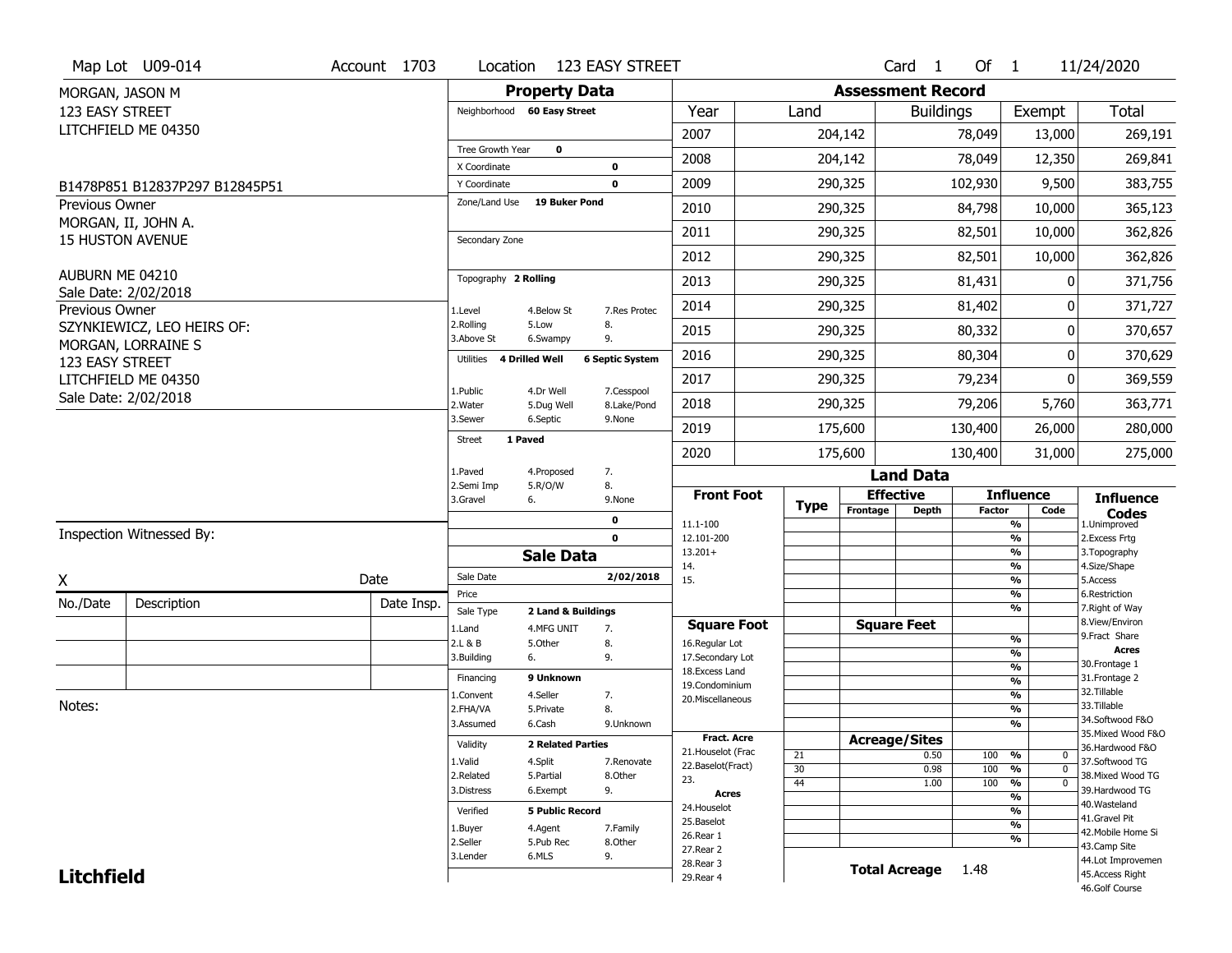|                          | Map Lot U09-014                                | Account 1703 | Location                           |                          | <b>123 EASY STREET</b>    |                                    |             |          | Card <sub>1</sub>            | Of 1          |                                | 11/24/2020                           |
|--------------------------|------------------------------------------------|--------------|------------------------------------|--------------------------|---------------------------|------------------------------------|-------------|----------|------------------------------|---------------|--------------------------------|--------------------------------------|
| MORGAN, JASON M          |                                                |              |                                    | <b>Property Data</b>     |                           |                                    |             |          | <b>Assessment Record</b>     |               |                                |                                      |
| 123 EASY STREET          |                                                |              | Neighborhood 60 Easy Street        |                          |                           | Year                               | Land        |          | <b>Buildings</b>             |               | Exempt                         | <b>Total</b>                         |
|                          | LITCHFIELD ME 04350                            |              |                                    |                          |                           | 2007                               |             | 204,142  |                              | 78,049        | 13,000                         | 269,191                              |
|                          |                                                |              | Tree Growth Year                   | $\mathbf 0$              |                           | 2008                               |             | 204,142  |                              | 78,049        |                                | 269,841                              |
|                          |                                                |              | X Coordinate                       |                          | 0                         |                                    |             |          |                              |               | 12,350                         |                                      |
|                          | B1478P851 B12837P297 B12845P51                 |              | Y Coordinate                       |                          | 0                         | 2009                               |             | 290,325  |                              | 102,930       | 9,500                          | 383,755                              |
| Previous Owner           |                                                |              | Zone/Land Use                      | <b>19 Buker Pond</b>     |                           | 2010                               |             | 290,325  |                              | 84,798        | 10,000                         | 365,123                              |
|                          | MORGAN, II, JOHN A.<br><b>15 HUSTON AVENUE</b> |              | Secondary Zone                     |                          |                           | 2011                               |             | 290,325  |                              | 82,501        | 10,000                         | 362,826                              |
|                          |                                                |              |                                    |                          |                           | 2012                               |             | 290,325  |                              | 82,501        | 10,000                         | 362,826                              |
| AUBURN ME 04210          | Sale Date: 2/02/2018                           |              | Topography 2 Rolling               |                          |                           | 2013                               |             | 290,325  |                              | 81,431        | 0                              | 371,756                              |
| Previous Owner           |                                                |              | 1.Level                            | 4.Below St               | 7.Res Protec              | 2014                               |             | 290,325  |                              | 81,402        | 0                              | 371,727                              |
|                          | SZYNKIEWICZ, LEO HEIRS OF:                     |              | 2.Rolling<br>3.Above St            | 5.Low<br>6.Swampy        | 8.<br>9.                  | 2015                               |             | 290,325  |                              | 80,332        | 0                              | 370,657                              |
| 123 EASY STREET          | MORGAN, LORRAINE S                             |              | <b>4 Drilled Well</b><br>Utilities |                          | <b>6 Septic System</b>    | 2016                               |             | 290,325  |                              | 80,304        | $\mathbf{0}$                   | 370,629                              |
|                          | LITCHFIELD ME 04350                            |              |                                    |                          |                           | 2017                               |             | 290,325  |                              | 79,234        | 0                              | 369,559                              |
|                          | Sale Date: 2/02/2018                           |              | 1.Public<br>2. Water               | 4.Dr Well<br>5.Dug Well  | 7.Cesspool<br>8.Lake/Pond | 2018                               |             | 290,325  |                              | 79,206        | 5,760                          | 363,771                              |
|                          |                                                |              | 3.Sewer                            | 6.Septic                 | 9.None                    | 2019                               |             | 175,600  |                              | 130,400       | 26,000                         | 280,000                              |
|                          |                                                |              | 1 Paved<br><b>Street</b>           |                          |                           | 2020                               |             | 175,600  |                              | 130,400       | 31,000                         | 275,000                              |
|                          |                                                |              | 1.Paved                            | 4.Proposed               | 7.                        |                                    |             |          | <b>Land Data</b>             |               |                                |                                      |
|                          |                                                |              | 2.Semi Imp<br>3.Gravel             | 5.R/O/W<br>6.            | 8.<br>9.None              | <b>Front Foot</b>                  |             |          | <b>Effective</b>             |               | <b>Influence</b>               | <b>Influence</b>                     |
|                          |                                                |              |                                    |                          | 0                         | 11.1-100                           | <b>Type</b> | Frontage | <b>Depth</b>                 | <b>Factor</b> | Code<br>%                      | <b>Codes</b><br>1.Unimproved         |
| Inspection Witnessed By: |                                                |              |                                    |                          |                           |                                    |             |          |                              |               |                                | 2. Excess Frtg                       |
|                          |                                                |              |                                    |                          | $\mathbf 0$               | 12.101-200                         |             |          |                              |               | $\overline{\frac{9}{6}}$       |                                      |
|                          |                                                |              |                                    | <b>Sale Data</b>         |                           | $13.201+$                          |             |          |                              |               | %                              | 3. Topography                        |
|                          |                                                |              | Sale Date                          |                          | 2/02/2018                 | 14.                                |             |          |                              |               | %<br>%                         | 4.Size/Shape<br>5.Access             |
| Χ                        |                                                | Date         | Price                              |                          |                           | 15.                                |             |          |                              |               | %                              | 6.Restriction                        |
| No./Date                 | Description                                    | Date Insp.   | Sale Type                          | 2 Land & Buildings       |                           |                                    |             |          |                              |               | %                              | 7. Right of Way                      |
|                          |                                                |              | 1.Land                             | 4.MFG UNIT               | 7.                        | <b>Square Foot</b>                 |             |          | <b>Square Feet</b>           |               |                                | 8.View/Environ<br>9.Fract Share      |
|                          |                                                |              | 2.L & B                            | 5.Other                  | 8.                        | 16.Regular Lot                     |             |          |                              |               | $\frac{9}{6}$<br>%             | <b>Acres</b>                         |
|                          |                                                |              | 3.Building                         | 6.                       | 9.                        | 17.Secondary Lot<br>18.Excess Land |             |          |                              |               | $\frac{9}{6}$                  | 30.Frontage 1                        |
|                          |                                                |              | Financing                          | 9 Unknown                |                           | 19.Condominium                     |             |          |                              |               | $\frac{9}{6}$                  | 31. Frontage 2                       |
| Notes:                   |                                                |              | 1.Convent                          | 4.Seller                 | 7.                        | 20.Miscellaneous                   |             |          |                              |               | $\frac{9}{6}$                  | 32. Tillable<br>33.Tillable          |
|                          |                                                |              | 2.FHA/VA<br>3.Assumed              | 5.Private<br>6.Cash      | 8.<br>9.Unknown           |                                    |             |          |                              |               | $\frac{9}{6}$<br>$\frac{9}{6}$ | 34.Softwood F&O                      |
|                          |                                                |              |                                    |                          |                           | Fract. Acre                        |             |          |                              |               |                                | 35. Mixed Wood F&O                   |
|                          |                                                |              | Validity                           | <b>2 Related Parties</b> |                           | 21. Houselot (Frac                 | 21          |          | <b>Acreage/Sites</b><br>0.50 | 100           | %<br>0                         | 36.Hardwood F&O                      |
|                          |                                                |              | 1.Valid                            | 4.Split                  | 7.Renovate                | 22.Baselot(Fract)                  | 30          |          | 0.98                         | 100           | $\frac{9}{6}$<br>$\mathbf 0$   | 37.Softwood TG                       |
|                          |                                                |              | 2.Related<br>3.Distress            | 5.Partial<br>6.Exempt    | 8.Other                   | 23.                                | 44          |          | 1.00                         | 100           | %<br>$\mathbf 0$               | 38. Mixed Wood TG<br>39.Hardwood TG  |
|                          |                                                |              |                                    |                          | 9.                        | Acres                              |             |          |                              |               | %                              | 40. Wasteland                        |
|                          |                                                |              | Verified                           | <b>5 Public Record</b>   |                           | 24. Houselot<br>25.Baselot         |             |          |                              |               | %                              | 41.Gravel Pit                        |
|                          |                                                |              | 1.Buyer                            | 4.Agent                  | 7.Family                  | 26.Rear 1                          |             |          |                              |               | $\frac{9}{6}$                  | 42. Mobile Home Si                   |
|                          |                                                |              | 2.Seller                           | 5.Pub Rec                | 8.Other                   | 27.Rear 2                          |             |          |                              |               | %                              | 43.Camp Site                         |
| <b>Litchfield</b>        |                                                |              | 3.Lender                           | 6.MLS                    | 9.                        | 28. Rear 3<br>29. Rear 4           |             |          | <b>Total Acreage</b>         | 1.48          |                                | 44.Lot Improvemen<br>45.Access Right |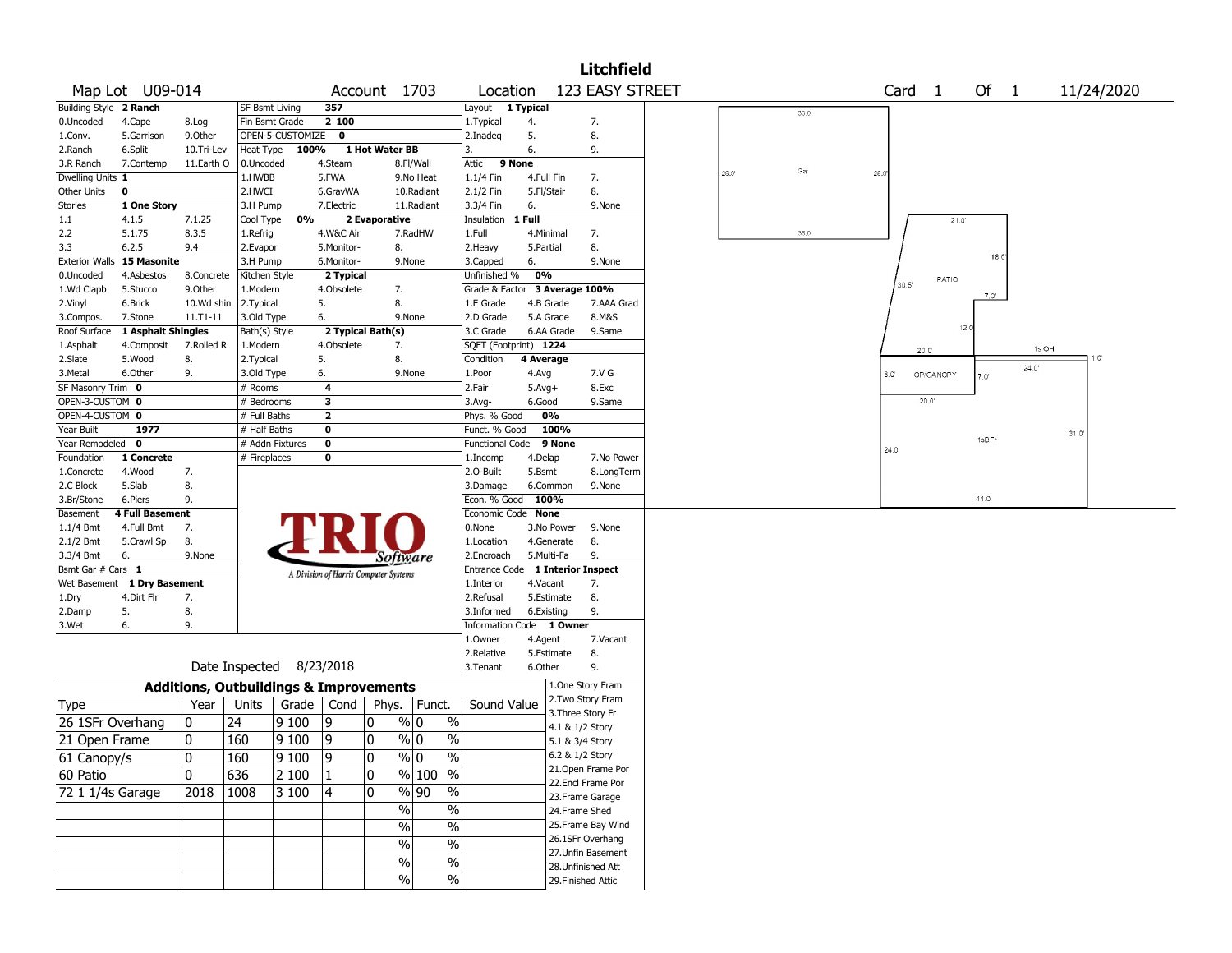|                        |                        |             |                       |                                                   |              |                                       |                                   |                         |            |                 | <b>Litchfield</b>                       |       |       |                   |                |       |       |      |            |
|------------------------|------------------------|-------------|-----------------------|---------------------------------------------------|--------------|---------------------------------------|-----------------------------------|-------------------------|------------|-----------------|-----------------------------------------|-------|-------|-------------------|----------------|-------|-------|------|------------|
|                        | Map Lot U09-014        |             |                       |                                                   |              | Account 1703                          |                                   | Location                |            |                 | 123 EASY STREET                         |       |       | Card <sub>1</sub> |                | Of 1  |       |      | 11/24/2020 |
| Building Style 2 Ranch |                        |             | <b>SF Bsmt Living</b> |                                                   | 357          |                                       |                                   | Layout                  | 1 Typical  |                 |                                         |       | 36.0  |                   |                |       |       |      |            |
| 0.Uncoded              | 4.Cape                 | 8.Log       | Fin Bsmt Grade        |                                                   | 2100         |                                       |                                   | 1. Typical              | 4.         |                 | 7.                                      |       |       |                   |                |       |       |      |            |
| 1.Conv.                | 5.Garrison             | 9.0ther     |                       | OPEN-5-CUSTOMIZE                                  | $\mathbf 0$  |                                       |                                   | 2.Inadeq                | 5.         |                 | 8.                                      |       |       |                   |                |       |       |      |            |
| 2.Ranch                | 6.Split                | 10.Tri-Lev  | Heat Type             | 100%                                              |              | 1 Hot Water BB                        |                                   | 13.                     | 6.         |                 | 9.                                      |       |       |                   |                |       |       |      |            |
| 3.R Ranch              | 7.Contemp              | 11.Earth O  | 0.Uncoded             |                                                   | 4.Steam      |                                       | 8.Fl/Wall                         | Attic<br>9 None         |            |                 |                                         |       |       |                   |                |       |       |      |            |
| Dwelling Units 1       |                        |             | 1.HWBB                |                                                   | 5.FWA        |                                       | 9.No Heat                         | 1.1/4 Fin               | 4.Full Fin |                 | 7.                                      | 28.0' | Gar   | 28.0              |                |       |       |      |            |
| Other Units            | $\mathbf 0$            |             | 2.HWCI                |                                                   | 6.GravWA     |                                       | 10.Radiant                        | 2.1/2 Fin               | 5.Fl/Stair |                 | 8.                                      |       |       |                   |                |       |       |      |            |
| <b>Stories</b>         | 1 One Story            |             | 3.H Pump              |                                                   | 7.Electric   |                                       | 11.Radiant                        | 3.3/4 Fin               | 6.         |                 | 9.None                                  |       |       |                   |                |       |       |      |            |
| 1.1                    | 4.1.5                  | 7.1.25      | Cool Type             | 0%                                                |              | 2 Evaporative                         |                                   | Insulation              | 1 Full     |                 |                                         |       |       |                   | 21.0'          |       |       |      |            |
| 2.2                    | 5.1.75                 | 8.3.5       | 1.Refrig              |                                                   | 4.W&C Air    |                                       | 7.RadHW                           | 1.Full                  | 4.Minimal  |                 | 7.                                      |       | 36.0' |                   |                |       |       |      |            |
| 3.3                    | 6.2.5                  | 9.4         | 2.Evapor              |                                                   | 5.Monitor-   | 8.                                    |                                   | 2.Heavy                 | 5.Partial  |                 | 8.                                      |       |       |                   |                |       |       |      |            |
| <b>Exterior Walls</b>  | <b>15 Masonite</b>     |             | 3.H Pump              |                                                   | 6.Monitor-   |                                       | 9.None                            | 3.Capped                | 6.         |                 | 9.None                                  |       |       |                   |                | 18.C  |       |      |            |
| 0.Uncoded              | 4.Asbestos             | 8.Concrete  | Kitchen Style         |                                                   | 2 Typical    |                                       |                                   | Unfinished %            | 0%         |                 |                                         |       |       |                   | PATIO          |       |       |      |            |
| 1.Wd Clapb             | 5.Stucco               | 9.0ther     | 1.Modern              |                                                   | 4.Obsolete   | 7.                                    |                                   | Grade & Factor          |            | 3 Average 100%  |                                         |       |       | 30.5'             |                |       |       |      |            |
| 2.Vinyl                | 6.Brick                | 10.Wd shin  | 2.Typical             |                                                   | 5.           | 8.                                    |                                   | 1.E Grade               | 4.B Grade  |                 | 7.AAA Grad                              |       |       |                   |                | 7.0'  |       |      |            |
| 3.Compos.              | 7.Stone                | 11.T1-11    | 3.Old Type            |                                                   | 6.           |                                       | 9.None                            | 2.D Grade               | 5.A Grade  |                 | 8.M&S                                   |       |       |                   |                |       |       |      |            |
| Roof Surface           | 1 Asphalt Shingles     |             | Bath(s) Style         |                                                   |              | 2 Typical Bath(s)                     |                                   | 3.C Grade               | 6.AA Grade |                 | 9.Same                                  |       |       |                   | 12.1           |       |       |      |            |
| 1.Asphalt              | 4.Composit             | 7.Rolled R  | 1.Modern              |                                                   | 4.Obsolete   | 7.                                    |                                   | SQFT (Footprint) 1224   |            |                 |                                         |       |       |                   | $20.0^{\circ}$ |       | 1s OH |      |            |
| 2.Slate                | 5.Wood                 | 8.          | 2. Typical            |                                                   | 5.           | 8.                                    |                                   | Condition               | 4 Average  |                 |                                         |       |       |                   |                |       |       |      | 0. ا       |
| 3.Metal                | 6.Other                | 9.          | 3.Old Type            |                                                   | 6.           |                                       | 9.None                            | 1.Poor                  | 4.Avg      |                 | 7.V G                                   |       |       | 8.0'              | OP/CANOPY      | 7.0'  | 24.0' |      |            |
| SF Masonry Trim 0      |                        |             | # Rooms               |                                                   | 4            |                                       |                                   | 2.Fair                  | $5.Avg+$   |                 | 8.Exc                                   |       |       |                   |                |       |       |      |            |
| OPEN-3-CUSTOM 0        |                        |             | # Bedrooms            |                                                   | 3            |                                       |                                   | 3.Avg-                  | 6.Good     |                 | 9.Same                                  |       |       |                   | 20.0"          |       |       |      |            |
| OPEN-4-CUSTOM 0        |                        |             | # Full Baths          |                                                   | $\mathbf{2}$ |                                       |                                   | Phys. % Good            | 0%         |                 |                                         |       |       |                   |                |       |       |      |            |
| Year Built             | 1977                   |             | # Half Baths          |                                                   | $\mathbf 0$  |                                       |                                   | Funct. % Good           |            | 100%            |                                         |       |       |                   |                |       |       | 31.0 |            |
| Year Remodeled 0       |                        |             |                       | # Addn Fixtures                                   | $\mathbf 0$  |                                       |                                   | <b>Functional Code</b>  |            | 9 None          |                                         |       |       | 24.0              |                | 1sBFr |       |      |            |
| Foundation             | 1 Concrete             |             | # Fireplaces          |                                                   | 0            |                                       |                                   | 1.Incomp                | 4.Delap    |                 | 7.No Power                              |       |       |                   |                |       |       |      |            |
| 1.Concrete             | 4.Wood                 | 7.          |                       |                                                   |              |                                       |                                   | 2.O-Built               | 5.Bsmt     |                 | 8.LongTerm                              |       |       |                   |                |       |       |      |            |
| 2.C Block              | 5.Slab                 | 8.          |                       |                                                   |              |                                       |                                   | 3.Damage                | 6.Common   |                 | 9.None                                  |       |       |                   |                |       |       |      |            |
| 3.Br/Stone             | 6.Piers                | 9.          |                       |                                                   |              |                                       |                                   | Econ. % Good 100%       |            |                 |                                         |       |       |                   |                | 44.0  |       |      |            |
| Basement               | <b>4 Full Basement</b> |             |                       |                                                   |              |                                       |                                   | Economic Code None      |            |                 |                                         |       |       |                   |                |       |       |      |            |
| 1.1/4 Bmt              | 4.Full Bmt             | 7.          |                       |                                                   |              |                                       |                                   | 0.None                  | 3.No Power |                 | 9.None                                  |       |       |                   |                |       |       |      |            |
| 2.1/2 Bmt              | 5.Crawl Sp             | 8.          |                       |                                                   |              |                                       |                                   | 1.Location              | 4.Generate |                 | 8.                                      |       |       |                   |                |       |       |      |            |
| 3.3/4 Bmt              | 6.                     | 9.None      |                       |                                                   |              | <i>Software</i>                       |                                   | 2.Encroach              | 5.Multi-Fa |                 | 9.                                      |       |       |                   |                |       |       |      |            |
| Bsmt Gar # Cars 1      |                        |             |                       |                                                   |              | A Division of Harris Computer Systems |                                   | Entrance Code           |            |                 | <b>1 Interior Inspect</b>               |       |       |                   |                |       |       |      |            |
| Wet Basement           | 1 Dry Basement         |             |                       |                                                   |              |                                       |                                   | 1.Interior              | 4.Vacant   |                 | 7.                                      |       |       |                   |                |       |       |      |            |
| 1.Dry                  | 4.Dirt Flr             | 7.          |                       |                                                   |              |                                       |                                   | 2.Refusal               | 5.Estimate |                 | 8.                                      |       |       |                   |                |       |       |      |            |
| 2.Damp                 | 5.                     | 8.          |                       |                                                   |              |                                       |                                   | 3.Informed              | 6.Existing |                 | 9.                                      |       |       |                   |                |       |       |      |            |
| 3.Wet                  | 6.                     | 9.          |                       |                                                   |              |                                       |                                   | <b>Information Code</b> |            | 1 Owner         |                                         |       |       |                   |                |       |       |      |            |
|                        |                        |             |                       |                                                   |              |                                       |                                   | 1.Owner                 | 4.Agent    |                 | 7.Vacant                                |       |       |                   |                |       |       |      |            |
|                        |                        |             |                       |                                                   |              |                                       |                                   | 2.Relative              | 5.Estimate |                 | 8.                                      |       |       |                   |                |       |       |      |            |
|                        |                        |             |                       | Date Inspected 8/23/2018                          |              |                                       |                                   | 3.Tenant                | 6.Other    |                 | 9.                                      |       |       |                   |                |       |       |      |            |
|                        |                        |             |                       | <b>Additions, Outbuildings &amp; Improvements</b> |              |                                       |                                   |                         |            |                 | 1.One Story Fram                        |       |       |                   |                |       |       |      |            |
| Type                   |                        | Year        | Units                 | Grade                                             | Cond         | Phys.                                 | Funct.                            | Sound Value             |            |                 | 2.Two Story Fram                        |       |       |                   |                |       |       |      |            |
| 26 1SFr Overhang       |                        | 10          | 24                    | 9100                                              | 9            | 0                                     | % 0<br>$\%$                       |                         |            |                 | 3. Three Story Fr                       |       |       |                   |                |       |       |      |            |
|                        |                        | 0           | 160                   |                                                   | و            | $\mathbf{0}$                          | $\%$ 0<br>$\frac{0}{0}$           |                         |            | 4.1 & 1/2 Story |                                         |       |       |                   |                |       |       |      |            |
| 21 Open Frame          |                        |             |                       | 9 100                                             |              |                                       |                                   |                         |            | 5.1 & 3/4 Story |                                         |       |       |                   |                |       |       |      |            |
| 61 Canopy/s            |                        | 10          | 160                   | 9 100                                             | 9            | 10                                    | % 0<br>%                          |                         |            | 6.2 & 1/2 Story |                                         |       |       |                   |                |       |       |      |            |
| 60 Patio               |                        | $ 0\rangle$ | 636                   | 2 100                                             | 1            | 0                                     | % 100 %                           |                         |            |                 | 21. Open Frame Por<br>22.Encl Frame Por |       |       |                   |                |       |       |      |            |
| 72 1 1/4s Garage       |                        | 2018        | 1008                  | 3100                                              | 4            | 0                                     | $\frac{9}{6}$ 90<br>$\frac{9}{6}$ |                         |            |                 | 23.Frame Garage                         |       |       |                   |                |       |       |      |            |
|                        |                        |             |                       |                                                   |              | $\frac{0}{6}$                         | $\frac{0}{6}$                     |                         |            |                 |                                         |       |       |                   |                |       |       |      |            |
|                        |                        |             |                       |                                                   |              |                                       |                                   |                         |            | 24.Frame Shed   |                                         |       |       |                   |                |       |       |      |            |
|                        |                        |             |                       |                                                   |              | $\%$                                  | $\frac{0}{6}$                     |                         |            |                 | 25. Frame Bay Wind<br>26.1SFr Overhang  |       |       |                   |                |       |       |      |            |
|                        |                        |             |                       |                                                   |              | $\%$                                  | $\sqrt{6}$                        |                         |            |                 | 27.Unfin Basement                       |       |       |                   |                |       |       |      |            |
|                        |                        |             |                       |                                                   |              | $\%$                                  | $\sqrt{6}$                        |                         |            |                 |                                         |       |       |                   |                |       |       |      |            |
|                        |                        |             |                       |                                                   |              | $\sqrt{6}$                            | $\sqrt{6}$                        |                         |            |                 | 28.Unfinished Att<br>29. Finished Attic |       |       |                   |                |       |       |      |            |
|                        |                        |             |                       |                                                   |              |                                       |                                   |                         |            |                 |                                         |       |       |                   |                |       |       |      |            |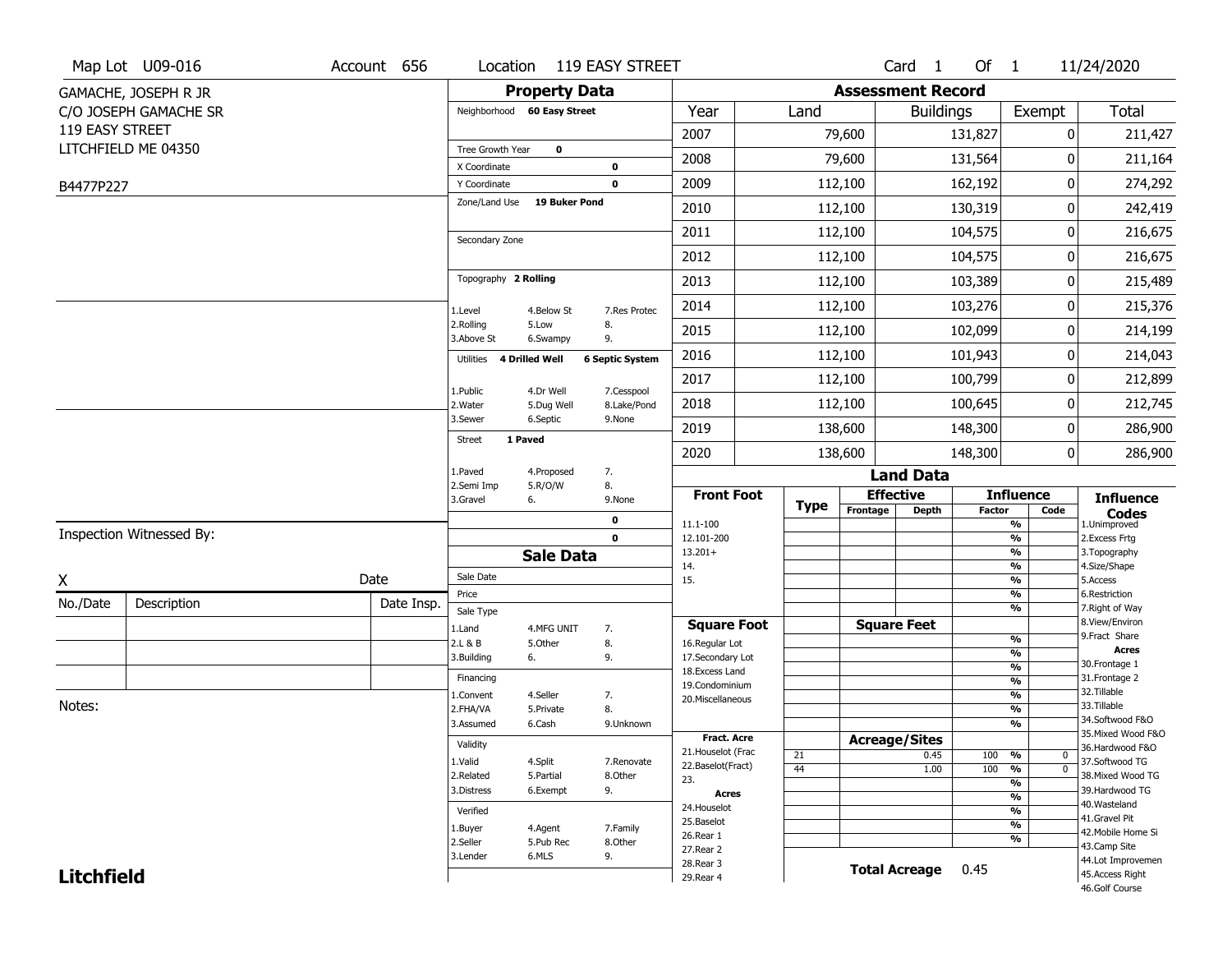| <b>Assessment Record</b><br><b>Property Data</b><br>GAMACHE, JOSEPH R JR                                             |                                       |
|----------------------------------------------------------------------------------------------------------------------|---------------------------------------|
| Year<br>Land<br>Exempt<br>C/O JOSEPH GAMACHE SR<br>Neighborhood 60 Easy Street<br><b>Buildings</b>                   | <b>Total</b>                          |
| 119 EASY STREET<br>2007<br>79,600<br>131,827<br>0                                                                    | 211,427                               |
| LITCHFIELD ME 04350<br>Tree Growth Year<br>$\mathbf 0$<br>2008<br>79,600<br>131,564<br>0                             | 211,164                               |
| X Coordinate<br>$\mathbf 0$                                                                                          |                                       |
| 2009<br>112,100<br>162,192<br>$\mathbf 0$<br>Y Coordinate<br>B4477P227<br>Zone/Land Use<br><b>19 Buker Pond</b>      | 0<br>274,292                          |
| 2010<br>112,100<br>130,319                                                                                           | 242,419<br>0                          |
| 2011<br>112,100<br>104,575<br>0<br>Secondary Zone                                                                    | 216,675                               |
| 2012<br>112,100<br>104,575                                                                                           | 0<br>216,675                          |
| Topography 2 Rolling<br>112,100<br>103,389<br>2013                                                                   | 215,489<br>0                          |
| 2014<br>112,100<br>103,276<br>0<br>1.Level<br>4.Below St<br>7.Res Protec                                             | 215,376                               |
| 2.Rolling<br>5.Low<br>8.<br>112,100<br>2015<br>102,099<br>3.Above St<br>9.<br>6.Swampy                               | 214,199<br>0                          |
| 2016<br>101,943<br>0<br>112,100<br>Utilities 4 Drilled Well<br><b>6 Septic System</b>                                | 214,043                               |
| 2017<br>112,100<br>100,799                                                                                           | 0<br>212,899                          |
| 7.Cesspool<br>1.Public<br>4.Dr Well<br>112,100<br>100,645<br>2018<br>2. Water<br>5.Dug Well<br>8.Lake/Pond           | 212,745<br>0                          |
| 3.Sewer<br>6.Septic<br>9.None<br>138,600<br>148,300<br>2019                                                          | 286,900<br>0                          |
| 1 Paved<br><b>Street</b><br>2020<br>138,600<br>148,300                                                               | 0 <br>286,900                         |
| 7.<br>1.Paved<br>4.Proposed<br><b>Land Data</b>                                                                      |                                       |
| 8.<br>2.Semi Imp<br>5.R/O/W<br><b>Front Foot</b><br><b>Effective</b><br><b>Influence</b><br>3.Gravel<br>6.<br>9.None | <b>Influence</b>                      |
| <b>Type</b><br>Frontage<br><b>Depth</b><br>Factor<br>Code<br>0<br>11.1-100<br>%                                      | <b>Codes</b><br>1.Unimproved          |
| Inspection Witnessed By:<br>$\mathbf 0$<br>$\frac{9}{6}$<br>12.101-200                                               | 2. Excess Frtg                        |
| $\frac{9}{6}$<br>$13.201+$<br><b>Sale Data</b><br>14.<br>%                                                           | 3. Topography<br>4.Size/Shape         |
| Sale Date<br>Date<br>X<br>$\frac{9}{6}$<br>15.                                                                       | 5.Access                              |
| Price<br>%<br>No./Date<br>Description<br>Date Insp.                                                                  | 6.Restriction                         |
| %<br>Sale Type<br><b>Square Feet</b><br><b>Square Foot</b>                                                           | 7. Right of Way<br>8.View/Environ     |
| 1.Land<br>4.MFG UNIT<br>7.<br>$\frac{9}{6}$<br>8.<br>2.L & B<br>5.Other<br>16.Regular Lot                            | 9.Fract Share                         |
| $\frac{9}{6}$<br>3.Building<br>9.<br>17.Secondary Lot<br>6.                                                          | <b>Acres</b><br>30.Frontage 1         |
| $\frac{9}{6}$<br>18.Excess Land<br>Financing<br>$\frac{9}{6}$                                                        | 31. Frontage 2                        |
| 19.Condominium<br>$\frac{9}{6}$<br>4.Seller<br>1.Convent<br>7.<br>20.Miscellaneous                                   | 32.Tillable                           |
| Notes:<br>8.<br>$\frac{9}{6}$<br>2.FHA/VA<br>5.Private                                                               | 33.Tillable                           |
| $\frac{9}{6}$<br>3.Assumed<br>6.Cash<br>9.Unknown                                                                    | 34.Softwood F&O<br>35. Mixed Wood F&O |
| <b>Fract. Acre</b><br><b>Acreage/Sites</b><br>Validity<br>21. Houselot (Frac                                         | 36.Hardwood F&O                       |
| 21<br>0.45<br>100<br>%<br>0<br>1.Valid<br>4.Split<br>7.Renovate<br>22.Baselot(Fract)<br>44<br>$\mathbf 0$            | 37.Softwood TG                        |
| 100<br>1.00<br>$\frac{9}{6}$<br>2.Related<br>5.Partial<br>8.Other<br>23.<br>$\frac{9}{6}$                            | 38. Mixed Wood TG                     |
| 3.Distress<br>6.Exempt<br>9.<br><b>Acres</b><br>$\frac{9}{6}$                                                        | 39.Hardwood TG                        |
| 24. Houselot<br>$\overline{\frac{9}{6}}$<br>Verified                                                                 | 40. Wasteland<br>41.Gravel Pit        |
| 25.Baselot<br>$\frac{9}{6}$<br>1.Buyer<br>4.Agent<br>7.Family                                                        | 42. Mobile Home Si                    |
| 26.Rear 1<br>%<br>2.Seller<br>5.Pub Rec<br>8.Other<br>27.Rear 2                                                      | 43.Camp Site                          |
| 6.MLS<br>9.<br>3.Lender<br>28. Rear 3<br>0.45                                                                        | 44.Lot Improvemen                     |
| <b>Total Acreage</b><br><b>Litchfield</b><br>29. Rear 4                                                              | 45. Access Right<br>46.Golf Course    |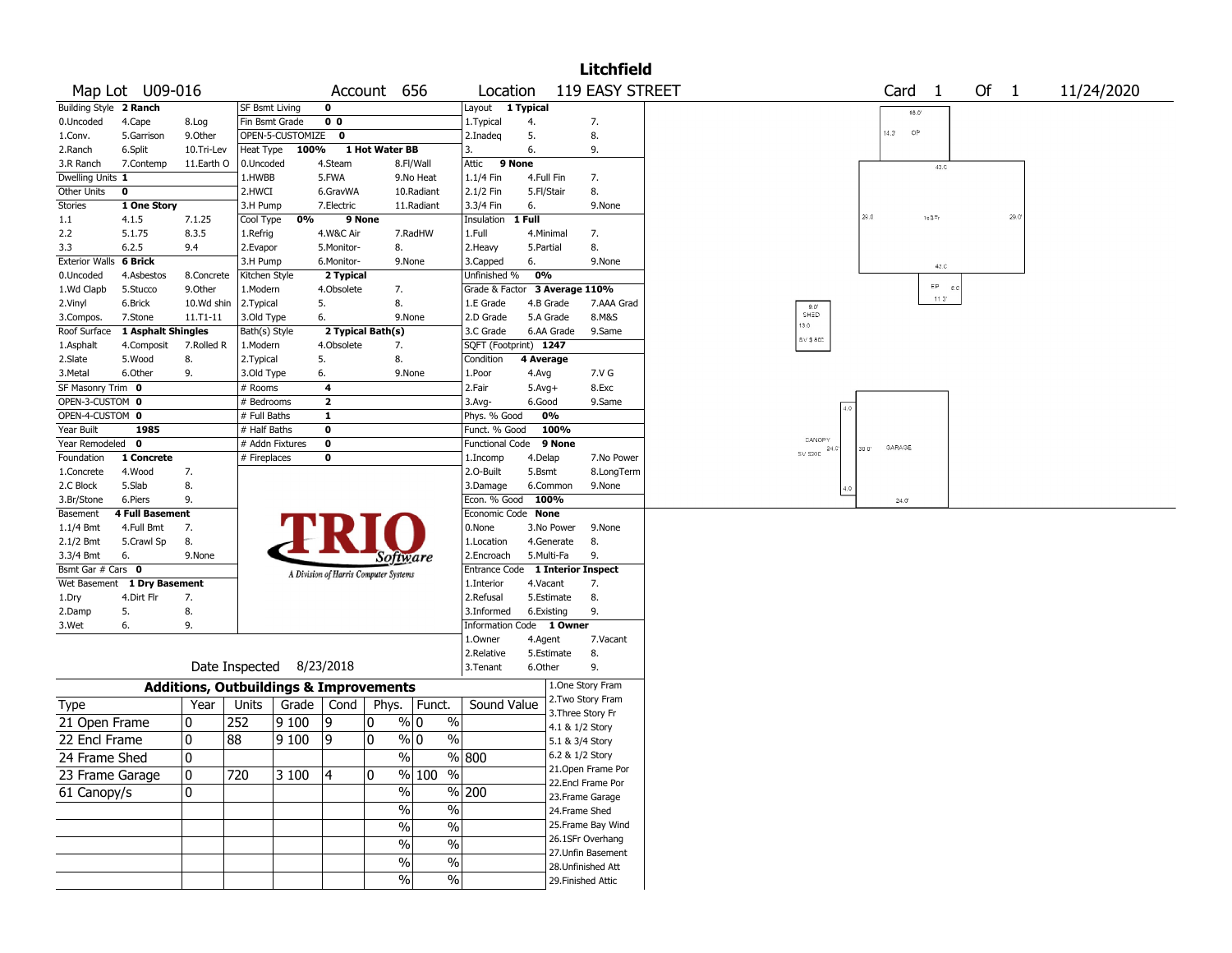|                        |                             |                                                   |                       |                          |                |                                       |                          |                                  |            |            | <b>Litchfield</b>                      |                |       |                |                |                     |        |      |            |
|------------------------|-----------------------------|---------------------------------------------------|-----------------------|--------------------------|----------------|---------------------------------------|--------------------------|----------------------------------|------------|------------|----------------------------------------|----------------|-------|----------------|----------------|---------------------|--------|------|------------|
|                        | Map Lot U09-016             |                                                   |                       |                          |                | Account 656                           |                          | Location                         |            |            | 119 EASY STREET                        |                |       | Card           | $\overline{1}$ |                     | Of $1$ |      | 11/24/2020 |
| Building Style 2 Ranch |                             |                                                   | <b>SF Bsmt Living</b> |                          | 0              |                                       |                          | Layout 1 Typical                 |            |            |                                        |                |       |                | $18.0^\circ$   |                     |        |      |            |
| 0.Uncoded              | 4.Cape                      | 8.Log                                             | Fin Bsmt Grade        |                          | 0 <sub>0</sub> |                                       |                          | 1. Typical                       | 4.         |            | 7.                                     |                |       |                |                |                     |        |      |            |
| 1.Conv.                | 5.Garrison                  | 9.Other                                           |                       | OPEN-5-CUSTOMIZE         | 0              |                                       |                          | 2.Inadeq                         | 5.         |            | 8.                                     |                |       | $14.3^{\circ}$ | <b>OP</b>      |                     |        |      |            |
| 2.Ranch                | 6.Split                     | 10.Tri-Lev                                        | Heat Type             | 100%                     |                | 1 Hot Water BB                        |                          | 3.                               | 6.         |            | 9.                                     |                |       |                |                |                     |        |      |            |
| 3.R Ranch              | 7.Contemp                   | 11.Earth O                                        | 0.Uncoded             |                          | 4.Steam        |                                       | 8.Fl/Wall                | 9 None<br>Attic                  |            |            |                                        |                |       |                |                | 42,0                |        |      |            |
| Dwelling Units 1       |                             |                                                   | 1.HWBB                |                          | 5.FWA          |                                       | 9.No Heat                | 1.1/4 Fin                        | 4.Full Fin |            | 7.                                     |                |       |                |                |                     |        |      |            |
| Other Units            | 0                           |                                                   | 2.HWCI                |                          | 6.GravWA       |                                       | 10.Radiant               | 2.1/2 Fin                        | 5.Fl/Stair |            | 8.                                     |                |       |                |                |                     |        |      |            |
| <b>Stories</b>         | 1 One Story                 |                                                   | 3.H Pump              |                          | 7.Electric     |                                       | 11.Radiant               | 3.3/4 Fin                        | 6.         |            | 9.None                                 |                |       |                |                |                     |        |      |            |
| 1.1                    | 4.1.5                       | 7.1.25                                            | Cool Type             | 0%                       | 9 None         |                                       |                          | Insulation 1 Full                |            |            |                                        |                | 29.0  |                | $1sB^{\pm}r$   |                     |        | 29.0 |            |
| 2.2                    | 5.1.75                      | 8.3.5                                             | 1.Refrig              |                          | 4.W&C Air      |                                       | 7.RadHW                  | 1.Full                           |            | 4.Minimal  | 7.                                     |                |       |                |                |                     |        |      |            |
| 3.3                    | 6.2.5                       | 9.4                                               | 2.Evapor              |                          | 5.Monitor-     | 8.                                    |                          | 2. Heavy                         | 5.Partial  |            | 8.                                     |                |       |                |                |                     |        |      |            |
| Exterior Walls 6 Brick |                             |                                                   | 3.H Pump              |                          | 6.Monitor-     | 9.None                                |                          | 3.Capped                         | 6.         |            | 9.None                                 |                |       |                |                | 43.0                |        |      |            |
| 0.Uncoded              | 4.Asbestos                  | 8.Concrete                                        | Kitchen Style         |                          | 2 Typical      |                                       |                          | Unfinished %                     | 0%         |            |                                        |                |       |                |                |                     |        |      |            |
| 1.Wd Clapb             | 5.Stucco                    | 9.0ther                                           | 1.Modern              |                          | 4.Obsolete     | 7.                                    |                          | Grade & Factor 3 Average 110%    |            |            |                                        |                |       |                |                | $EP$ $g.c$<br>11.0" |        |      |            |
| 2.Vinyl                | 6.Brick                     | 10.Wd shin                                        | 2.Typical             |                          | 5.             | 8.                                    |                          | 1.E Grade                        |            | 4.B Grade  | 7.AAA Grad                             | $9.0^\circ$    |       |                |                |                     |        |      |            |
| 3.Compos.              | 7.Stone                     | 11.T1-11                                          | 3.Old Type            |                          | 6.             | 9.None                                |                          | 2.D Grade                        |            | 5.A Grade  | 8.M&S                                  | SHED<br>13.0   |       |                |                |                     |        |      |            |
| Roof Surface           | 1 Asphalt Shingles          |                                                   | Bath(s) Style         |                          |                | 2 Typical Bath(s)                     |                          | 3.C Grade                        |            | 6.AA Grade | 9.Same                                 | SV \$8CC       |       |                |                |                     |        |      |            |
| 1.Asphalt              | 4.Composit                  | 7.Rolled R                                        | 1.Modern              |                          | 4.Obsolete     | 7.                                    |                          | SQFT (Footprint) 1247            |            |            |                                        |                |       |                |                |                     |        |      |            |
| 2.Slate                | 5.Wood                      | 8.                                                | 2. Typical            |                          | 5.             | 8.                                    |                          | Condition                        | 4 Average  |            |                                        |                |       |                |                |                     |        |      |            |
| 3.Metal                | 6.Other                     | 9.                                                | 3.Old Type            |                          | 6.             | 9.None                                |                          | 1.Poor                           | 4.Avg      |            | 7.V G                                  |                |       |                |                |                     |        |      |            |
| SF Masonry Trim 0      |                             |                                                   | # Rooms               |                          | 4              |                                       |                          | 2.Fair                           | $5.Avg+$   |            | 8.Exc                                  |                |       |                |                |                     |        |      |            |
| OPEN-3-CUSTOM 0        |                             |                                                   | # Bedrooms            |                          | $\mathbf{2}$   |                                       |                          | 3.Avg-                           | 6.Good     |            | 9.Same                                 |                |       |                |                |                     |        |      |            |
| OPEN-4-CUSTOM 0        |                             |                                                   | # Full Baths          |                          | 1              |                                       |                          | Phys. % Good                     |            | 0%         |                                        |                |       |                |                |                     |        |      |            |
| Year Built             | 1985                        |                                                   | # Half Baths          |                          | 0              |                                       |                          | Funct. % Good                    |            | 100%       |                                        |                |       |                |                |                     |        |      |            |
| Year Remodeled 0       |                             |                                                   |                       | # Addn Fixtures          | 0              |                                       |                          | Functional Code 9 None           |            |            |                                        | CANOPY<br>24.0 | 30 0' | GARAGE         |                |                     |        |      |            |
| Foundation             | 1 Concrete                  |                                                   | # Fireplaces          |                          | 0              |                                       |                          | 1.Incomp                         | 4.Delap    |            | 7.No Power                             | SV \$200       |       |                |                |                     |        |      |            |
| 1.Concrete             | 4.Wood                      | 7.                                                |                       |                          |                |                                       |                          | 2.O-Built                        | 5.Bsmt     |            | 8.LongTerm                             |                |       |                |                |                     |        |      |            |
| 2.C Block              | 5.Slab                      | 8.                                                |                       |                          |                |                                       |                          | 3.Damage                         |            | 6.Common   | 9.None                                 |                |       |                |                |                     |        |      |            |
| 3.Br/Stone             | 6.Piers                     | 9.                                                |                       |                          |                |                                       |                          | Econ. % Good                     |            | 100%       |                                        |                |       | 24.0           |                |                     |        |      |            |
| Basement               | <b>4 Full Basement</b>      |                                                   |                       |                          |                |                                       |                          | Economic Code None               |            |            |                                        |                |       |                |                |                     |        |      |            |
| 1.1/4 Bmt              | 4.Full Bmt                  | 7.                                                |                       |                          |                |                                       |                          | 0.None                           |            | 3.No Power | 9.None                                 |                |       |                |                |                     |        |      |            |
| $2.1/2$ Bmt            | 5.Crawl Sp                  | 8.                                                |                       |                          |                |                                       |                          | 1.Location                       |            | 4.Generate | 8.                                     |                |       |                |                |                     |        |      |            |
| 3.3/4 Bmt              | 6.                          | 9.None                                            |                       |                          |                | Software                              |                          | 2.Encroach                       |            | 5.Multi-Fa | 9.                                     |                |       |                |                |                     |        |      |            |
| Bsmt Gar # Cars 0      |                             |                                                   |                       |                          |                | A Division of Harris Computer Systems |                          | Entrance Code 1 Interior Inspect |            |            |                                        |                |       |                |                |                     |        |      |            |
|                        | Wet Basement 1 Dry Basement |                                                   |                       |                          |                |                                       |                          | 1.Interior                       | 4.Vacant   |            | 7.                                     |                |       |                |                |                     |        |      |            |
| 1.Dry                  | 4.Dirt Flr                  | 7.                                                |                       |                          |                |                                       |                          | 2.Refusal                        |            | 5.Estimate | 8.                                     |                |       |                |                |                     |        |      |            |
| 2.Damp                 | 5.                          | 8.                                                |                       |                          |                |                                       |                          | 3.Informed                       |            | 6.Existing | 9.                                     |                |       |                |                |                     |        |      |            |
| 3.Wet                  | 6.                          | 9.                                                |                       |                          |                |                                       |                          | Information Code 1 Owner         |            |            |                                        |                |       |                |                |                     |        |      |            |
|                        |                             |                                                   |                       |                          |                |                                       |                          | 1.Owner                          | 4.Agent    |            | 7.Vacant                               |                |       |                |                |                     |        |      |            |
|                        |                             |                                                   |                       |                          |                |                                       |                          | 2.Relative                       |            | 5.Estimate | 8.                                     |                |       |                |                |                     |        |      |            |
|                        |                             |                                                   |                       | Date Inspected 8/23/2018 |                |                                       |                          | 3.Tenant                         | 6.Other    |            | 9.                                     |                |       |                |                |                     |        |      |            |
|                        |                             | <b>Additions, Outbuildings &amp; Improvements</b> |                       |                          |                |                                       |                          |                                  |            |            | 1.One Story Fram                       |                |       |                |                |                     |        |      |            |
| Type                   |                             | Year                                              | Units                 | Grade   Cond             |                | Phys.                                 | Funct.                   | Sound Value                      |            |            | 2. Two Story Fram<br>3. Three Story Fr |                |       |                |                |                     |        |      |            |
| 21 Open Frame          |                             | 0                                                 | 252                   | 9100                     | 9              | 0                                     | % 0<br>$\%$              |                                  |            |            |                                        |                |       |                |                |                     |        |      |            |
| 22 Encl Frame          |                             | 0                                                 | 88                    | 9100                     | و ا            | $\mathbf{0}$<br>% 0                   | $\%$                     |                                  |            |            | 4.1 & 1/2 Story                        |                |       |                |                |                     |        |      |            |
|                        |                             |                                                   |                       |                          |                |                                       |                          |                                  |            |            | 5.1 & 3/4 Story                        |                |       |                |                |                     |        |      |            |
| 24 Frame Shed          |                             | 0                                                 |                       |                          |                | $\sqrt{6}$                            |                          | % 800                            |            |            | 6.2 & 1/2 Story                        |                |       |                |                |                     |        |      |            |
| 23 Frame Garage        |                             | 10                                                | 720                   | 3100                     | 4              | 10                                    | % 100 %                  |                                  |            |            | 21. Open Frame Por                     |                |       |                |                |                     |        |      |            |
| 61 Canopy/s            |                             | $\mathbf{0}$                                      |                       |                          |                | $\%$                                  |                          | % 200                            |            |            | 22.Encl Frame Por                      |                |       |                |                |                     |        |      |            |
|                        |                             |                                                   |                       |                          |                | $\sqrt{6}$                            | $\%$                     |                                  |            |            | 23. Frame Garage                       |                |       |                |                |                     |        |      |            |
|                        |                             |                                                   |                       |                          |                |                                       |                          |                                  |            |            | 24.Frame Shed                          |                |       |                |                |                     |        |      |            |
|                        |                             |                                                   |                       |                          |                | $\%$                                  | $\overline{\frac{0}{0}}$ |                                  |            |            | 25. Frame Bay Wind                     |                |       |                |                |                     |        |      |            |
|                        |                             |                                                   |                       |                          |                | $\overline{\frac{0}{0}}$              | $\overline{\frac{0}{0}}$ |                                  |            |            | 26.1SFr Overhang                       |                |       |                |                |                     |        |      |            |
|                        |                             |                                                   |                       |                          |                | $\sqrt{6}$                            | $\frac{1}{2}$            |                                  |            |            | 27. Unfin Basement                     |                |       |                |                |                     |        |      |            |
|                        |                             |                                                   |                       |                          |                | $\overline{\frac{0}{0}}$              |                          |                                  |            |            | 28. Unfinished Att                     |                |       |                |                |                     |        |      |            |
|                        |                             |                                                   |                       |                          |                |                                       | $\%$                     |                                  |            |            | 29. Finished Attic                     |                |       |                |                |                     |        |      |            |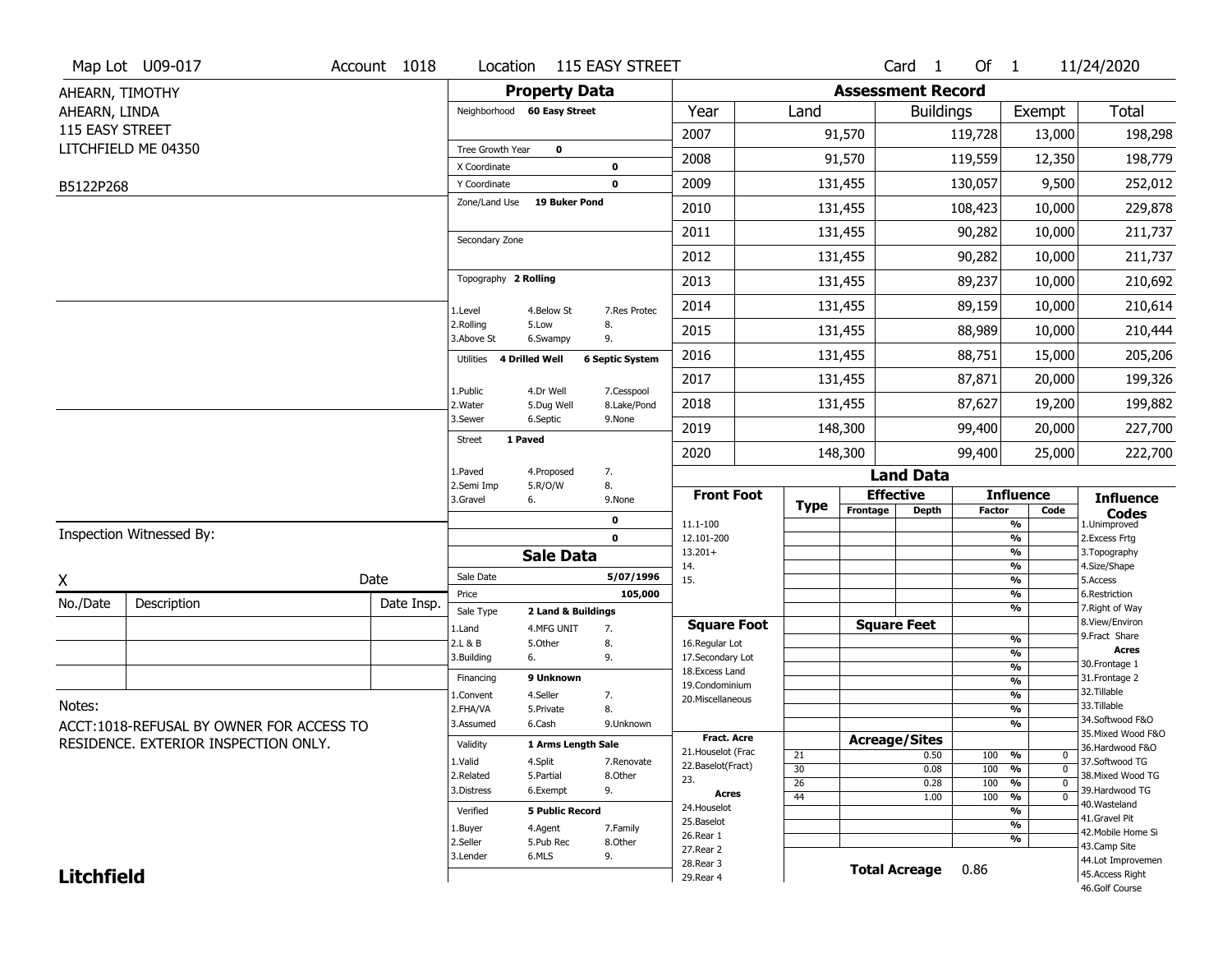|                   | Map Lot U09-017                          | Account 1018 | Location                    | 115 EASY STREET                   |                           |                                    |                 |                          | Card <sub>1</sub>    | Of 1    |                                           | 11/24/2020                           |
|-------------------|------------------------------------------|--------------|-----------------------------|-----------------------------------|---------------------------|------------------------------------|-----------------|--------------------------|----------------------|---------|-------------------------------------------|--------------------------------------|
| AHEARN, TIMOTHY   |                                          |              |                             | <b>Property Data</b>              |                           |                                    |                 | <b>Assessment Record</b> |                      |         |                                           |                                      |
| AHEARN, LINDA     |                                          |              | Neighborhood 60 Easy Street |                                   |                           | Year                               | Land            |                          | <b>Buildings</b>     |         | Exempt                                    | <b>Total</b>                         |
| 115 EASY STREET   |                                          |              |                             |                                   |                           | 2007                               |                 | 91,570                   |                      | 119,728 | 13,000                                    | 198,298                              |
|                   | LITCHFIELD ME 04350                      |              | Tree Growth Year            | 0                                 |                           |                                    |                 |                          |                      |         |                                           |                                      |
|                   |                                          |              | X Coordinate                | 0                                 |                           | 2008                               |                 | 91,570                   |                      | 119,559 | 12,350                                    | 198,779                              |
| B5122P268         |                                          |              | Y Coordinate                | 0                                 |                           | 2009                               |                 | 131,455                  |                      | 130,057 | 9,500                                     | 252,012                              |
|                   |                                          |              | Zone/Land Use               | 19 Buker Pond                     |                           | 2010                               |                 | 131,455                  |                      | 108,423 | 10,000                                    | 229,878                              |
|                   |                                          |              | Secondary Zone              |                                   |                           | 2011                               |                 | 131,455                  |                      | 90,282  | 10,000                                    | 211,737                              |
|                   |                                          |              |                             |                                   |                           | 2012                               |                 | 131,455                  |                      | 90,282  | 10,000                                    | 211,737                              |
|                   |                                          |              | Topography 2 Rolling        |                                   |                           | 2013                               |                 | 131,455                  |                      | 89,237  | 10,000                                    | 210,692                              |
|                   |                                          |              | 1.Level                     | 4.Below St                        | 7.Res Protec              | 2014                               |                 | 131,455                  |                      | 89,159  | 10,000                                    | 210,614                              |
|                   |                                          |              | 2.Rolling<br>3.Above St     | 8.<br>5.Low<br>9.<br>6.Swampy     |                           | 2015                               |                 | 131,455                  |                      | 88,989  | 10,000                                    | 210,444                              |
|                   |                                          |              | 4 Drilled Well<br>Utilities |                                   | <b>6 Septic System</b>    | 2016                               |                 | 131,455                  |                      | 88,751  | 15,000                                    | 205,206                              |
|                   |                                          |              |                             |                                   |                           | 2017                               |                 | 131,455                  |                      | 87,871  | 20,000                                    | 199,326                              |
|                   |                                          |              | 1.Public<br>2. Water        | 4.Dr Well<br>5.Dug Well           | 7.Cesspool<br>8.Lake/Pond | 2018                               |                 | 131,455                  |                      | 87,627  | 19,200                                    | 199,882                              |
|                   |                                          |              | 3.Sewer                     | 6.Septic                          | 9.None                    | 2019                               |                 | 148,300                  |                      | 99,400  | 20,000                                    | 227,700                              |
|                   |                                          |              | 1 Paved<br><b>Street</b>    |                                   |                           | 2020                               |                 | 148,300                  |                      | 99,400  | 25,000                                    | 222,700                              |
|                   |                                          |              | 1.Paved                     | 7.<br>4.Proposed                  |                           |                                    |                 |                          | <b>Land Data</b>     |         |                                           |                                      |
|                   |                                          |              | 2.Semi Imp<br>3.Gravel      | 8.<br>5.R/O/W<br>6.               | 9.None                    | <b>Front Foot</b>                  | <b>Type</b>     | <b>Effective</b>         |                      |         | <b>Influence</b>                          | <b>Influence</b>                     |
|                   |                                          |              |                             |                                   |                           |                                    |                 | Frontage                 | <b>Depth</b>         | Factor  | Code                                      |                                      |
|                   |                                          |              |                             | 0                                 |                           |                                    |                 |                          |                      |         |                                           | <b>Codes</b>                         |
|                   | Inspection Witnessed By:                 |              |                             | $\mathbf 0$                       |                           | 11.1-100<br>12.101-200             |                 |                          |                      |         | %<br>$\frac{9}{6}$                        | 1.Unimproved<br>2.Excess Frtg        |
|                   |                                          |              |                             | <b>Sale Data</b>                  |                           | $13.201+$                          |                 |                          |                      |         | %                                         | 3. Topography                        |
|                   |                                          | Date         | Sale Date                   |                                   | 5/07/1996                 | 14.<br>15.                         |                 |                          |                      |         | %<br>%                                    | 4.Size/Shape<br>5.Access             |
| X                 |                                          |              | Price                       |                                   | 105,000                   |                                    |                 |                          |                      |         | %                                         | 6.Restriction                        |
| No./Date          | Description                              | Date Insp.   | Sale Type                   | 2 Land & Buildings                |                           |                                    |                 |                          |                      |         | %                                         | 7. Right of Way<br>8.View/Environ    |
|                   |                                          |              | 1.Land                      | 4.MFG UNIT<br>7.                  |                           | <b>Square Foot</b>                 |                 |                          | <b>Square Feet</b>   |         | $\frac{9}{6}$                             | 9.Fract Share                        |
|                   |                                          |              | 2.L & B<br>3.Building       | 5.Other<br>8.<br>9.<br>6.         |                           | 16.Regular Lot<br>17.Secondary Lot |                 |                          |                      |         | %                                         | <b>Acres</b>                         |
|                   |                                          |              |                             |                                   |                           | 18.Excess Land                     |                 |                          |                      |         | $\frac{9}{6}$                             | 30. Frontage 1                       |
|                   |                                          |              | Financing                   | 9 Unknown                         |                           | 19.Condominium                     |                 |                          |                      |         | $\overline{\frac{9}{6}}$                  | 31. Frontage 2<br>32. Tillable       |
| Notes:            |                                          |              | 1.Convent<br>2.FHA/VA       | 4.Seller<br>7.<br>8.<br>5.Private |                           | 20.Miscellaneous                   |                 |                          |                      |         | $\frac{9}{6}$<br>$\overline{\frac{9}{6}}$ | 33.Tillable                          |
|                   |                                          |              | 3.Assumed                   | 6.Cash                            | 9.Unknown                 |                                    |                 |                          |                      |         | %                                         | 34.Softwood F&O                      |
|                   | ACCT:1018-REFUSAL BY OWNER FOR ACCESS TO |              |                             |                                   |                           | Fract. Acre                        |                 | <b>Acreage/Sites</b>     |                      |         |                                           | 35. Mixed Wood F&O                   |
|                   | RESIDENCE. EXTERIOR INSPECTION ONLY.     |              | Validity                    | 1 Arms Length Sale                |                           | 21. Houselot (Frac                 | 21              |                          | 0.50                 | 100     | %<br>0                                    | 36.Hardwood F&O                      |
|                   |                                          |              | 1.Valid                     | 4.Split                           | 7.Renovate                | 22.Baselot(Fract)                  | 30              |                          | 0.08                 | 100     | $\overline{0}$<br>%                       | 37.Softwood TG                       |
|                   |                                          |              | 2.Related<br>3.Distress     | 5.Partial<br>9.<br>6.Exempt       | 8.Other                   | 23.                                | $\overline{26}$ |                          | 0.28                 | 100     | $\overline{0}$<br>%                       | 38. Mixed Wood TG<br>39.Hardwood TG  |
|                   |                                          |              |                             |                                   |                           | Acres<br>24. Houselot              | 44              |                          | 1.00                 | 100     | $\frac{9}{6}$<br>$\overline{0}$           | 40. Wasteland                        |
|                   |                                          |              | Verified                    | <b>5 Public Record</b>            |                           | 25.Baselot                         |                 |                          |                      |         | %                                         | 41.Gravel Pit                        |
|                   |                                          |              | 1.Buyer                     | 4.Agent                           | 7.Family                  | 26.Rear 1                          |                 |                          |                      |         | %<br>%                                    | 42. Mobile Home Si                   |
|                   |                                          |              | 2.Seller                    | 5.Pub Rec                         | 8.Other                   | 27.Rear 2                          |                 |                          |                      |         |                                           | 43.Camp Site                         |
| <b>Litchfield</b> |                                          |              | 3.Lender                    | 6.MLS<br>9.                       |                           | 28. Rear 3<br>29. Rear 4           |                 |                          | <b>Total Acreage</b> | 0.86    |                                           | 44.Lot Improvemen<br>45.Access Right |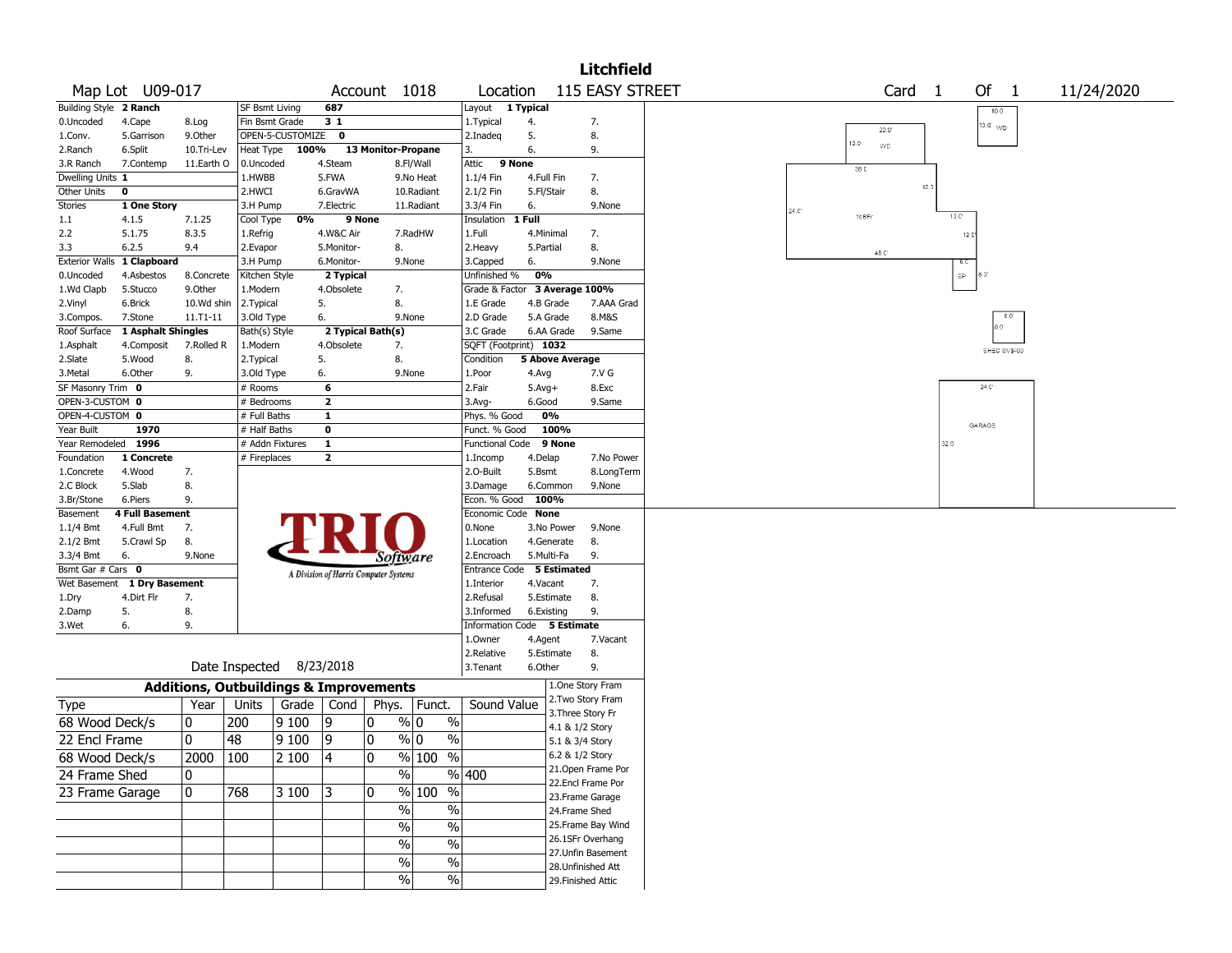|                                            |                                                   |                          |                  |                         |                                       |                                             |                                         |                          |                                    | <b>Litchfield</b>  |                                           |
|--------------------------------------------|---------------------------------------------------|--------------------------|------------------|-------------------------|---------------------------------------|---------------------------------------------|-----------------------------------------|--------------------------|------------------------------------|--------------------|-------------------------------------------|
| Map Lot U09-017                            |                                                   |                          |                  |                         | Account 1018                          |                                             | Location                                |                          |                                    | 115 EASY STREET    | Of $1$<br>Card <sub>1</sub><br>11/24/2020 |
| Building Style 2 Ranch                     |                                                   | <b>SF Bsmt Living</b>    |                  | 687                     |                                       |                                             | Layout                                  | 1 Typical                |                                    |                    | 10.0                                      |
| 0.Uncoded<br>4.Cape                        | 8.Log                                             | Fin Bsmt Grade           |                  | 31                      |                                       |                                             | 1. Typical                              | 4.                       |                                    | 7.                 | 10.0' <sub>WD</sub><br>20.0               |
| 1.Conv.<br>5.Garrison                      | 9.0ther                                           |                          | OPEN-5-CUSTOMIZE | $\mathbf 0$             |                                       |                                             | 2.Inadeq                                | 5.                       |                                    | 8.                 | 10.0 <sub>1</sub><br>WD                   |
| 2.Ranch<br>6.Split                         | 10.Tri-Lev                                        | Heat Type                | 100%             |                         | 13 Monitor-Propane                    |                                             | 3.                                      | 6.                       |                                    | 9.                 |                                           |
| 3.R Ranch<br>7.Contemp                     | 11.Earth O                                        | 0.Uncoded                |                  | 4.Steam                 |                                       | 8.Fl/Wall                                   | Attic<br>9 None                         |                          |                                    |                    | 38C                                       |
| Dwelling Units 1                           |                                                   | 1.HWBB                   |                  | 5.FWA                   |                                       | 9.No Heat                                   | 1.1/4 Fin                               | 4.Full Fin               |                                    | 7.                 | 12.3                                      |
| Other Units<br>0                           |                                                   | 2.HWCI                   |                  | 6.GravWA                |                                       | 10.Radiant                                  | 2.1/2 Fin                               | 5.Fl/Stair               |                                    | 8.                 |                                           |
| Stories<br>1 One Story                     |                                                   | 3.H Pump                 |                  | 7.Electric              |                                       | 11.Radiant                                  | 3.3/4 Fin                               | 6.                       |                                    | 9.None             | $24.0^{\circ}$<br>10C<br>1sBFr            |
| 1.1<br>4.1.5                               | 7.1.25                                            | Cool Type                | 0%               | 9 None                  |                                       |                                             | Insulation                              | 1 Full                   |                                    |                    |                                           |
| 2.2<br>5.1.75<br>3.3<br>6.2.5              | 8.3.5<br>9.4                                      | 1.Refrig<br>2.Evapor     |                  | 4.W&C Air<br>5.Monitor- | 8.                                    | 7.RadHW                                     | 1.Full<br>2.Heavy                       | 4.Minimal<br>5.Partial   |                                    | 7.<br>8.           | 12C                                       |
| <b>Exterior Walls</b><br>1 Clapboard       |                                                   | 3.H Pump                 |                  | 6.Monitor-              |                                       | 9.None                                      | 3.Capped                                | 6.                       |                                    | 9.None             | $48.0^{\circ}$                            |
| 0.Uncoded<br>4.Asbestos                    | 8.Concrete                                        | Kitchen Style            |                  | 2 Typical               |                                       |                                             | Unfinished %                            | 0%                       |                                    |                    | EP.<br>6. J'                              |
| 1.Wd Clapb<br>5.Stucco                     | 9.Other                                           | 1.Modern                 |                  | 4.Obsolete              | 7.                                    |                                             | Grade & Factor                          |                          | 3 Average 100%                     |                    |                                           |
| 2.Vinyl<br>6.Brick                         | 10.Wd shin                                        | 2.Typical                |                  | 5.                      | 8.                                    |                                             | 1.E Grade                               | 4.B Grade                |                                    | 7.AAA Grad         |                                           |
| 3.Compos.<br>7.Stone                       | 11.T1-11                                          | 3.Old Type               |                  | 6.                      |                                       | 9.None                                      | 2.D Grade                               | 5.A Grade                |                                    | 8.M&S              | 8.0'                                      |
| Roof Surface                               | 1 Asphalt Shingles                                | Bath(s) Style            |                  |                         | 2 Typical Bath(s)                     |                                             | 3.C Grade                               | 6.AA Grade               |                                    | 9.Same             | $3.0 -$                                   |
| 1.Asphalt<br>4.Composit                    | 7.Rolled R                                        | 1.Modern                 |                  | 4.Obsolete              | 7.                                    |                                             | SQFT (Footprint) 1032                   |                          |                                    |                    |                                           |
| 2.Slate<br>5.Wood                          | 8.                                                | 2. Typical               |                  | 5.                      | 8.                                    |                                             | Condition                               |                          | <b>5 Above Average</b>             |                    | SHED SV\$400                              |
| 3.Metal<br>6.Other                         | 9.                                                | 3.Old Type               |                  | 6.                      |                                       | 9.None                                      | 1.Poor                                  | 4.Avg                    |                                    | 7.V G              |                                           |
| SF Masonry Trim 0                          |                                                   | # Rooms                  |                  | 6                       |                                       |                                             | 2.Fair                                  | $5.Avg+$                 |                                    | 8.Exc              | $24\,$ C                                  |
| OPEN-3-CUSTOM 0                            |                                                   | # Bedrooms               |                  | $\overline{\mathbf{2}}$ |                                       |                                             | 3.Avg-                                  | 6.Good                   |                                    | 9.Same             |                                           |
| OPEN-4-CUSTOM 0                            |                                                   | # Full Baths             |                  | $\overline{1}$          |                                       |                                             | Phys. % Good                            | 0%                       |                                    |                    |                                           |
| Year Built<br>1970                         |                                                   | # Half Baths             |                  | $\bf o$                 |                                       |                                             | Funct. % Good                           |                          | 100%                               |                    | GARAGE                                    |
| Year Remodeled 1996                        |                                                   | # Addn Fixtures          |                  | $\mathbf{1}$            |                                       |                                             | <b>Functional Code</b>                  |                          | 9 None                             |                    | 32.0                                      |
| Foundation<br>1 Concrete                   |                                                   | # Fireplaces             |                  | $\mathbf{2}$            |                                       |                                             | 1.Incomp                                | 4.Delap                  |                                    | 7.No Power         |                                           |
| 1.Concrete<br>4.Wood                       | 7.                                                |                          |                  |                         |                                       |                                             | 2.0-Built                               | 5.Bsmt                   |                                    | 8.LongTerm         |                                           |
| 2.C Block<br>5.Slab                        | 8.                                                |                          |                  |                         |                                       |                                             | 3.Damage                                | 6.Common                 |                                    | 9.None             |                                           |
| 3.Br/Stone<br>6.Piers                      | 9.                                                |                          |                  |                         |                                       |                                             | Econ. % Good                            | 100%                     |                                    |                    |                                           |
| Basement<br>4 Full Basement                |                                                   |                          |                  |                         |                                       |                                             | Economic Code None                      |                          |                                    |                    |                                           |
| 1.1/4 Bmt<br>4.Full Bmt                    | 7.                                                |                          |                  |                         |                                       |                                             | 0.None                                  | 3.No Power               |                                    | 9.None             |                                           |
| 2.1/2 Bmt<br>5.Crawl Sp<br>3.3/4 Bmt<br>6. | 8.                                                |                          |                  |                         |                                       |                                             | 1.Location                              | 4.Generate<br>5.Multi-Fa |                                    | 8.                 |                                           |
| Bsmt Gar # Cars 0                          | 9.None                                            |                          |                  |                         | Software                              |                                             | 2.Encroach<br>Entrance Code 5 Estimated |                          |                                    | 9.                 |                                           |
| Wet Basement                               | 1 Dry Basement                                    |                          |                  |                         | A Division of Harris Computer Systems |                                             | 1.Interior                              | 4.Vacant                 |                                    | 7.                 |                                           |
| 4.Dirt Flr<br>1.Dry                        | 7.                                                |                          |                  |                         |                                       |                                             | 2.Refusal                               | 5.Estimate               |                                    | 8.                 |                                           |
| 5.<br>2.Damp                               | 8.                                                |                          |                  |                         |                                       |                                             | 3.Informed                              | 6.Existing               |                                    | 9.                 |                                           |
| 6.<br>3.Wet                                | 9.                                                |                          |                  |                         |                                       |                                             | Information                             | Code 5 Estimate          |                                    |                    |                                           |
|                                            |                                                   |                          |                  |                         |                                       |                                             | 1.Owner                                 | 4.Agent                  |                                    | 7.Vacant           |                                           |
|                                            |                                                   |                          |                  |                         |                                       |                                             | 2.Relative                              | 5.Estimate               |                                    | 8.                 |                                           |
|                                            |                                                   | Date Inspected 8/23/2018 |                  |                         |                                       |                                             | 3.Tenant                                | 6.Other                  |                                    | 9.                 |                                           |
|                                            | <b>Additions, Outbuildings &amp; Improvements</b> |                          |                  |                         |                                       |                                             |                                         |                          |                                    | 1.One Story Fram   |                                           |
| Type                                       | Year                                              | Units                    | Grade   Cond     |                         | Phys.                                 | Funct.                                      | Sound Value                             |                          |                                    | 2. Two Story Fram  |                                           |
| 68 Wood Deck/s                             | 0                                                 | 200                      | 9100             | 19                      | 10                                    | $\sqrt[6]{0}$<br>$\%$                       |                                         |                          |                                    | 3. Three Story Fr  |                                           |
| 22 Encl Frame                              | $\mathbf 0$                                       | 48                       | 9100             | 9                       | 0                                     | $\sqrt[6]{\frac{1}{2}}$<br>$\%$             |                                         |                          | 4.1 & 1/2 Story                    |                    |                                           |
|                                            |                                                   |                          |                  |                         |                                       |                                             |                                         |                          | 5.1 & 3/4 Story<br>6.2 & 1/2 Story |                    |                                           |
| 68 Wood Deck/s                             | 2000                                              | 100                      | 2 100            | 4                       | l 0                                   | % 100<br>$\%$                               |                                         |                          |                                    | 21.Open Frame Por  |                                           |
| 24 Frame Shed                              | 10                                                |                          |                  |                         | $\frac{1}{2}$                         |                                             | $\frac{9}{6}$ 400                       |                          |                                    | 22.Encl Frame Por  |                                           |
| 23 Frame Garage                            | 10                                                | 768                      | 3100             | 3                       | 10                                    | $\sqrt{96}$ 100<br>$\overline{\frac{0}{6}}$ |                                         |                          |                                    | 23. Frame Garage   |                                           |
|                                            |                                                   |                          |                  |                         | $\%$                                  | $\sqrt{6}$                                  |                                         |                          | 24.Frame Shed                      |                    |                                           |
|                                            |                                                   |                          |                  |                         | %                                     | $\overline{\frac{0}{6}}$                    |                                         |                          |                                    | 25. Frame Bay Wind |                                           |
|                                            |                                                   |                          |                  |                         |                                       |                                             |                                         |                          |                                    | 26.1SFr Overhang   |                                           |
|                                            |                                                   |                          |                  |                         | %                                     | $\overline{\frac{0}{6}}$                    |                                         |                          |                                    | 27.Unfin Basement  |                                           |
|                                            |                                                   |                          |                  |                         | $\%$                                  | $\%$                                        |                                         |                          |                                    | 28.Unfinished Att  |                                           |
|                                            |                                                   |                          |                  |                         | $\sqrt{6}$                            | $\sqrt{6}$                                  |                                         |                          |                                    | 29. Finished Attic |                                           |
|                                            |                                                   |                          |                  |                         |                                       |                                             |                                         |                          |                                    |                    |                                           |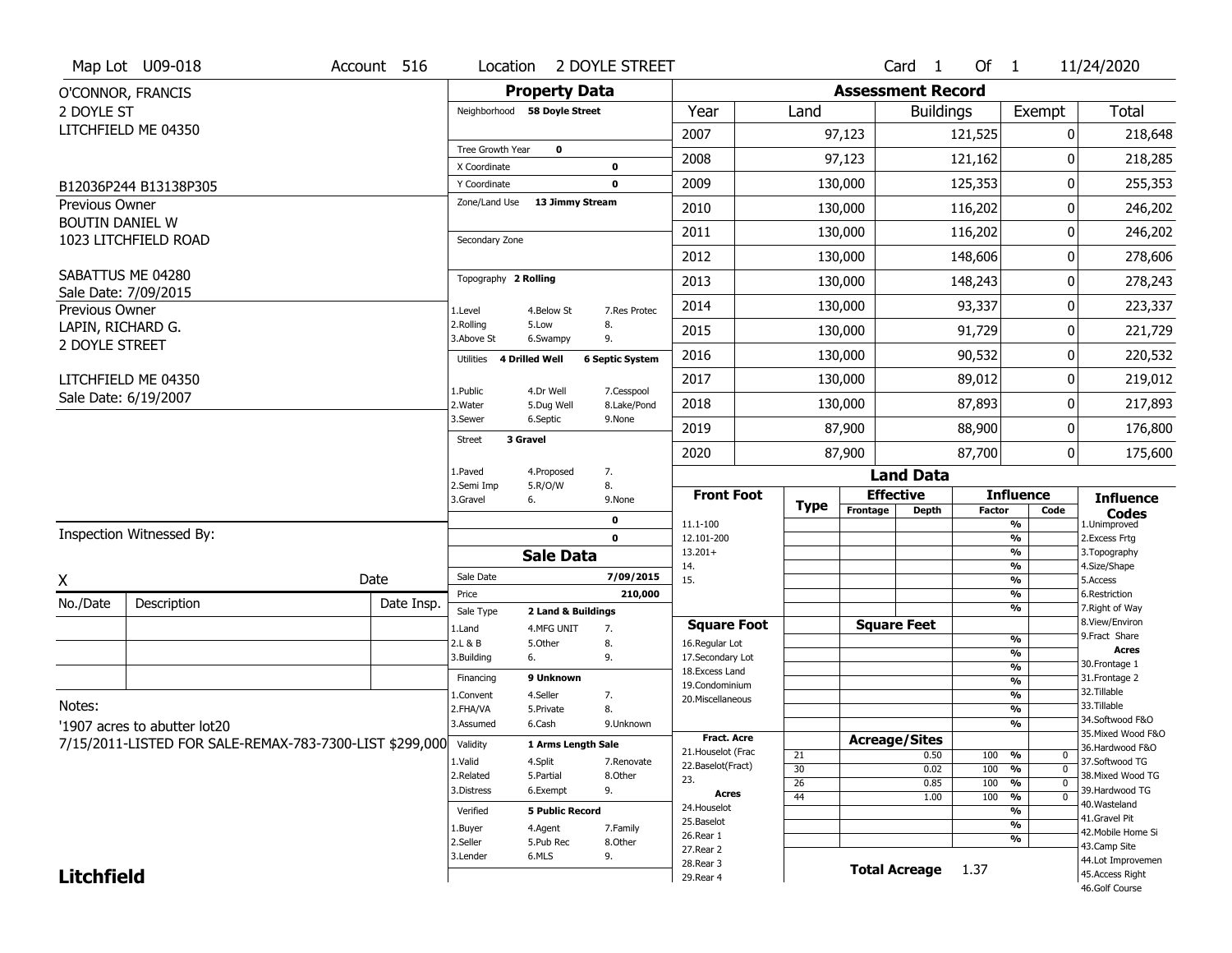|                        | Map Lot U09-018                                                  | Account 516 | Location                     |                              | 2 DOYLE STREET            |                                     |             |                          | Card 1               | Of $1$        |                                          | 11/24/2020                            |
|------------------------|------------------------------------------------------------------|-------------|------------------------------|------------------------------|---------------------------|-------------------------------------|-------------|--------------------------|----------------------|---------------|------------------------------------------|---------------------------------------|
|                        | O'CONNOR, FRANCIS                                                |             |                              | <b>Property Data</b>         |                           |                                     |             | <b>Assessment Record</b> |                      |               |                                          |                                       |
| 2 DOYLE ST             |                                                                  |             |                              | Neighborhood 58 Doyle Street |                           | Year                                | Land        |                          | <b>Buildings</b>     |               | Exempt                                   | <b>Total</b>                          |
|                        | LITCHFIELD ME 04350                                              |             |                              |                              |                           | 2007                                |             | 97,123                   |                      | 121,525       | 0                                        | 218,648                               |
|                        |                                                                  |             | Tree Growth Year             | $\mathbf 0$                  |                           | 2008                                |             | 97,123                   |                      | 121,162       | 0                                        | 218,285                               |
|                        |                                                                  |             | X Coordinate<br>Y Coordinate |                              | $\bf{0}$<br>$\mathbf 0$   | 2009                                |             | 130,000                  |                      | 125,353       | 0                                        | 255,353                               |
| <b>Previous Owner</b>  | B12036P244 B13138P305                                            |             | Zone/Land Use                | 13 Jimmy Stream              |                           |                                     |             |                          |                      |               |                                          |                                       |
| <b>BOUTIN DANIEL W</b> |                                                                  |             |                              |                              |                           | 2010                                |             | 130,000                  |                      | 116,202       | 0                                        | 246,202                               |
|                        | 1023 LITCHFIELD ROAD                                             |             | Secondary Zone               |                              |                           | 2011                                |             | 130,000                  |                      | 116,202       | 0                                        | 246,202                               |
|                        |                                                                  |             |                              |                              |                           | 2012                                |             | 130,000                  |                      | 148,606       | 0                                        | 278,606                               |
|                        | SABATTUS ME 04280<br>Sale Date: 7/09/2015                        |             | Topography 2 Rolling         |                              |                           | 2013                                |             | 130,000                  |                      | 148,243       | 0                                        | 278,243                               |
| Previous Owner         |                                                                  |             | 1.Level                      | 4.Below St                   | 7.Res Protec              | 2014                                |             | 130,000                  |                      | 93,337        | 0                                        | 223,337                               |
| LAPIN, RICHARD G.      |                                                                  |             | 2.Rolling<br>3.Above St      | 5.Low<br>6.Swampy            | 8.<br>9.                  | 2015                                |             | 130,000                  |                      | 91,729        | 0                                        | 221,729                               |
| 2 DOYLE STREET         |                                                                  |             | Utilities                    | 4 Drilled Well               | <b>6 Septic System</b>    | 2016                                |             | 130,000                  |                      | 90,532        | 0                                        | 220,532                               |
|                        | LITCHFIELD ME 04350                                              |             |                              |                              |                           | 2017                                |             | 130,000                  |                      | 89,012        | 0                                        | 219,012                               |
|                        | Sale Date: 6/19/2007                                             |             | 1.Public<br>2. Water         | 4.Dr Well<br>5.Dug Well      | 7.Cesspool<br>8.Lake/Pond | 2018                                |             | 130,000                  |                      | 87,893        | 0                                        | 217,893                               |
|                        |                                                                  |             | 3.Sewer                      | 6.Septic                     | 9.None                    | 2019                                |             | 87,900                   |                      | 88,900        | 0                                        | 176,800                               |
|                        |                                                                  |             | 3 Gravel<br>Street           |                              |                           | 2020                                |             | 87,900                   |                      | 87,700        | 0                                        | 175,600                               |
|                        |                                                                  |             | 1.Paved                      | 4.Proposed                   | 7.                        |                                     |             |                          | <b>Land Data</b>     |               |                                          |                                       |
|                        |                                                                  |             | 2.Semi Imp<br>3.Gravel       | 5.R/O/W<br>6.                | 8.<br>9.None              | <b>Front Foot</b>                   |             |                          | <b>Effective</b>     |               | <b>Influence</b>                         | <b>Influence</b>                      |
|                        |                                                                  |             |                              |                              |                           |                                     | <b>Type</b> | Frontage                 | <b>Depth</b>         | <b>Factor</b> | Code                                     |                                       |
|                        |                                                                  |             |                              |                              |                           |                                     |             |                          |                      |               |                                          | <b>Codes</b>                          |
|                        | Inspection Witnessed By:                                         |             |                              |                              | 0<br>$\mathbf 0$          | 11.1-100<br>12.101-200              |             |                          |                      |               | %<br>$\frac{9}{6}$                       | 1.Unimproved<br>2. Excess Frtg        |
|                        |                                                                  |             |                              | <b>Sale Data</b>             |                           | $13.201+$                           |             |                          |                      |               | %                                        | 3. Topography                         |
|                        |                                                                  |             | Sale Date                    |                              | 7/09/2015                 | 14.                                 |             |                          |                      |               | %                                        | 4.Size/Shape                          |
| X                      |                                                                  | Date        | Price                        |                              | 210,000                   | 15.                                 |             |                          |                      |               | $\frac{9}{6}$<br>%                       | 5.Access<br>6.Restriction             |
| No./Date               | Description                                                      | Date Insp.  | Sale Type                    | 2 Land & Buildings           |                           |                                     |             |                          |                      |               | %                                        | 7. Right of Way                       |
|                        |                                                                  |             | 1.Land                       | 4.MFG UNIT                   | 7.                        | <b>Square Foot</b>                  |             |                          | <b>Square Feet</b>   |               |                                          | 8.View/Environ<br>9. Fract Share      |
|                        |                                                                  |             | 2.L & B                      | 5.0ther                      | 8.                        | 16.Regular Lot                      |             |                          |                      |               | $\frac{9}{6}$<br>$\frac{9}{6}$           | <b>Acres</b>                          |
|                        |                                                                  |             | 3.Building                   | 6.                           | 9.                        | 17.Secondary Lot<br>18. Excess Land |             |                          |                      |               | $\frac{9}{6}$                            | 30.Frontage 1                         |
|                        |                                                                  |             | Financing                    | 9 Unknown                    |                           | 19.Condominium                      |             |                          |                      |               | $\frac{9}{6}$                            | 31. Frontage 2                        |
|                        |                                                                  |             | 1.Convent                    | 4.Seller                     | 7.                        | 20.Miscellaneous                    |             |                          |                      |               | $\frac{9}{6}$                            | 32. Tillable                          |
| Notes:                 |                                                                  |             | 2.FHA/VA                     | 5.Private                    | 8.                        |                                     |             |                          |                      |               | $\frac{9}{6}$                            | 33.Tillable                           |
|                        | '1907 acres to abutter lot20                                     |             | 3.Assumed                    | 6.Cash                       | 9.Unknown                 |                                     |             |                          |                      |               | $\overline{\frac{9}{6}}$                 | 34.Softwood F&O<br>35. Mixed Wood F&O |
|                        | 7/15/2011-LISTED FOR SALE-REMAX-783-7300-LIST \$299,000 Validity |             |                              | 1 Arms Length Sale           |                           | <b>Fract, Acre</b>                  |             | <b>Acreage/Sites</b>     |                      |               |                                          | 36.Hardwood F&O                       |
|                        |                                                                  |             | 1.Valid                      | 4.Split                      | 7.Renovate                | 21. Houselot (Frac                  | 21          |                          | 0.50                 | 100           | %<br>0                                   | 37.Softwood TG                        |
|                        |                                                                  |             | 2.Related                    | 5.Partial                    | 8.Other                   | 22.Baselot(Fract)                   | 30          |                          | 0.02                 | 100           | $\frac{9}{6}$<br>$\mathbf 0$             | 38. Mixed Wood TG                     |
|                        |                                                                  |             | 3.Distress                   | 6.Exempt                     | 9.                        | 23.<br><b>Acres</b>                 | 26          |                          | 0.85                 | 100           | $\frac{9}{6}$<br>$\mathbf 0$<br>$\Omega$ | 39.Hardwood TG                        |
|                        |                                                                  |             |                              |                              |                           | 24. Houselot                        | 44          |                          | 1.00                 | 100           | $\frac{9}{6}$                            | 40.Wasteland                          |
|                        |                                                                  |             | Verified                     | <b>5 Public Record</b>       |                           | 25.Baselot                          |             |                          |                      |               | %<br>$\frac{9}{6}$                       | 41.Gravel Pit                         |
|                        |                                                                  |             | 1.Buyer                      | 4.Agent                      | 7.Family                  | 26.Rear 1                           |             |                          |                      |               | %                                        | 42. Mobile Home Si                    |
|                        |                                                                  |             | 2.Seller                     | 5.Pub Rec                    | 8.Other                   | 27.Rear 2                           |             |                          |                      |               |                                          | 43.Camp Site                          |
| <b>Litchfield</b>      |                                                                  |             | 3.Lender                     | 6.MLS                        | 9.                        | 28. Rear 3<br>29. Rear 4            |             |                          | <b>Total Acreage</b> | 1.37          |                                          | 44.Lot Improvemen<br>45.Access Right  |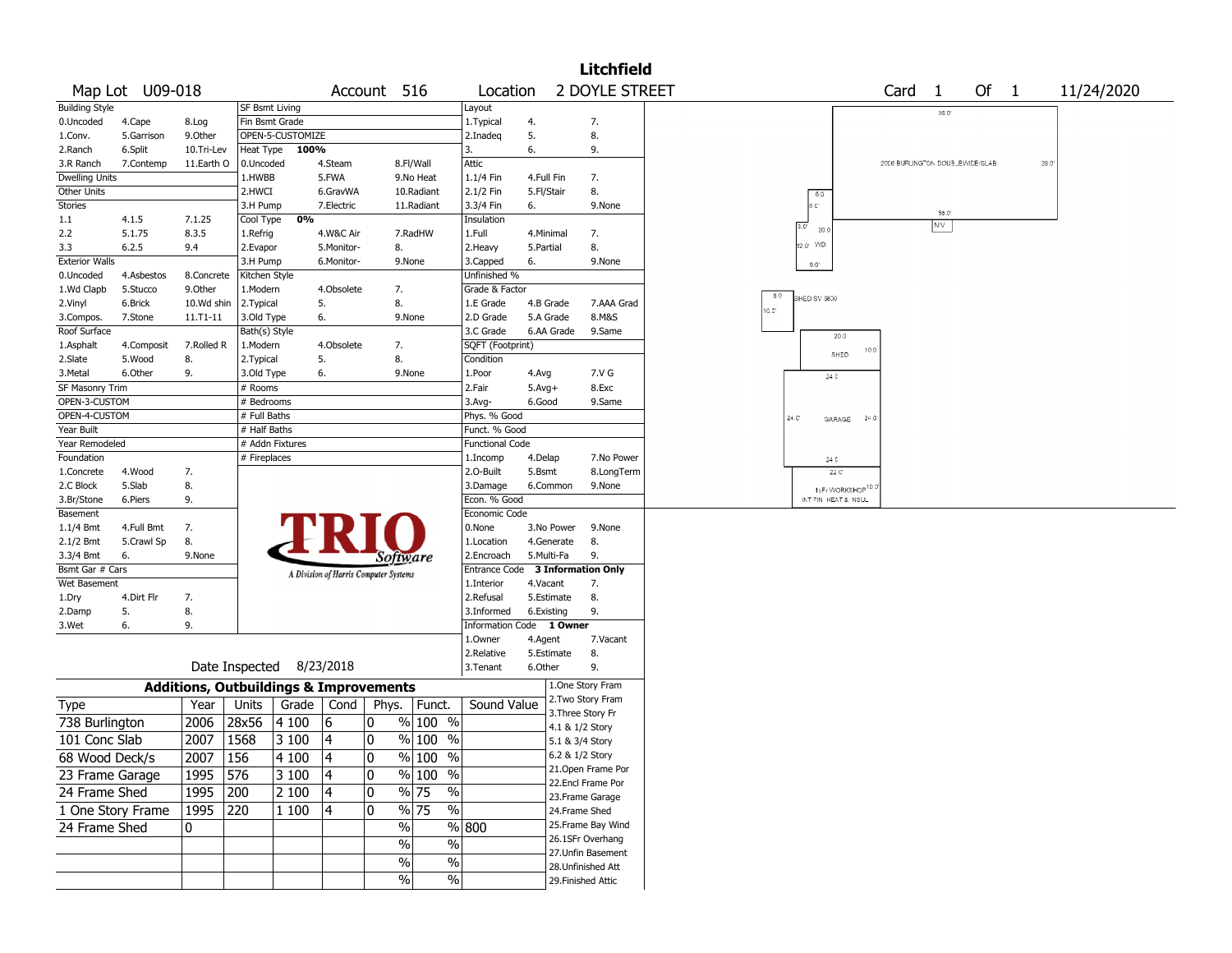|                        |                   |                                                   |                          |                          |                                       |              |                     |                                  |            |                                      | <b>Litchfield</b> |                                              |
|------------------------|-------------------|---------------------------------------------------|--------------------------|--------------------------|---------------------------------------|--------------|---------------------|----------------------------------|------------|--------------------------------------|-------------------|----------------------------------------------|
|                        | Map Lot U09-018   |                                                   |                          |                          |                                       | Account 516  |                     | Location                         |            |                                      | 2 DOYLE STREET    | Of $1$<br>Card<br>11/24/2020<br>$\mathbf{1}$ |
| <b>Building Style</b>  |                   |                                                   | SF Bsmt Living           |                          |                                       |              |                     | Layout                           |            |                                      |                   | 56.0                                         |
| 0.Uncoded              | 4.Cape            | 8.Log                                             | Fin Bsmt Grade           |                          |                                       |              |                     | 1. Typical                       | 4.         |                                      | 7.                |                                              |
| 1.Conv.                | 5.Garrison        | 9.0ther                                           |                          | OPEN-5-CUSTOMIZE         |                                       |              |                     | 2.Inadeg                         | 5.         |                                      | 8.                |                                              |
| 2.Ranch                | 6.Split           | 10.Tri-Lev                                        | <b>Heat Type</b>         | 100%                     |                                       |              |                     | 3.                               | 6.         |                                      | 9.                |                                              |
| 3.R Ranch              | 7.Contemp         | 11.Earth O                                        | 0.Uncoded                |                          | 4.Steam                               |              | 8.Fl/Wall           | Attic                            |            |                                      |                   | 2006 BURLINGTON DOUBLEWIDE/SLAB<br>28.0      |
| <b>Dwelling Units</b>  |                   |                                                   | 1.HWBB                   |                          | 5.FWA                                 |              | 9.No Heat           | 1.1/4 Fin                        | 4.Full Fin |                                      | 7.                |                                              |
| Other Units            |                   |                                                   | 2.HWCI                   |                          | 6.GravWA                              |              | 10.Radiant          | 2.1/2 Fin                        | 5.Fl/Stair |                                      | 8.                | 6.0                                          |
| Stories                |                   |                                                   | 3.H Pump                 |                          | 7.Electric                            |              | 11.Radiant          | 3.3/4 Fin                        | 6.         |                                      | 9.None            | a cr<br>56.0                                 |
| 1.1                    | 4.1.5             | 7.1.25                                            | Cool Type                | 0%                       |                                       |              |                     | Insulation                       |            |                                      |                   | N/V<br>$3.0^\circ$<br>20.0                   |
| 2.2                    | 5.1.75            | 8.3.5                                             | 1.Refrig                 |                          | 4.W&C Air                             |              | 7.RadHW             | 1.Full                           | 4.Minimal  |                                      | 7.                | 12.0' V/D                                    |
| 3.3                    | 6.2.5             | 9.4                                               | 2.Evapor                 |                          | 5.Monitor-                            | 8.           |                     | 2. Heavy                         | 5.Partial  |                                      | 8.                |                                              |
| <b>Exterior Walls</b>  |                   |                                                   | 3.H Pump                 |                          | 6.Monitor-                            |              | 9.None              | 3.Capped                         | 6.         |                                      | 9.None            | $9.0^{\circ}$                                |
| 0.Uncoded              | 4.Asbestos        | 8.Concrete                                        | Kitchen Style            |                          |                                       |              |                     | Unfinished %                     |            |                                      |                   |                                              |
| 1.Wd Clapb             | 5.Stucco          | 9.Other                                           | 1.Modern                 |                          | 4.Obsolete                            | 7.           |                     | Grade & Factor                   |            |                                      |                   | 8.0<br>SHED SV \$800                         |
| 2.Vinyl                | 6.Brick           | 10.Wd shin                                        | 2.Typical                |                          | 5.                                    | 8.           |                     | 1.E Grade                        | 4.B Grade  |                                      | 7.AAA Grad        | $10.7^{\circ}$                               |
| 3.Compos.              | 7.Stone           | $11.71 - 11$                                      | 3.Old Type               |                          | 6.                                    |              | 9.None              | 2.D Grade                        | 5.A Grade  |                                      | 8.M&S             |                                              |
| Roof Surface           |                   |                                                   | Bath(s) Style            |                          |                                       |              |                     | 3.C Grade                        | 6.AA Grade |                                      | 9.Same            | 20.0                                         |
| 1.Asphalt              | 4.Composit        | 7.Rolled R                                        | 1.Modern                 |                          | 4.Obsolete                            | 7.           |                     | SQFT (Footprint)                 |            |                                      |                   | 10.0<br>SHED                                 |
| 2.Slate<br>3. Metal    | 5.Wood<br>6.Other | 8.<br>9.                                          | 2. Typical<br>3.Old Type |                          | 5.<br>6.                              | 8.           | 9.None              | Condition<br>1.Poor              | 4.Avg      |                                      | 7.V G             |                                              |
| <b>SF Masonry Trim</b> |                   |                                                   | # Rooms                  |                          |                                       |              |                     | 2.Fair                           | $5.Avg+$   |                                      | 8.Exc             | $24\,$ C                                     |
| OPEN-3-CUSTOM          |                   |                                                   | # Bedrooms               |                          |                                       |              |                     | 3.Avg-                           | 6.Good     |                                      | 9.Same            |                                              |
| OPEN-4-CUSTOM          |                   |                                                   | # Full Baths             |                          |                                       |              |                     | Phys. % Good                     |            |                                      |                   | $24.0^{\circ}$                               |
| Year Built             |                   |                                                   | # Half Baths             |                          |                                       |              |                     | Funct. % Good                    |            |                                      |                   | 24.0<br>GARAGE                               |
| Year Remodeled         |                   |                                                   | # Addn Fixtures          |                          |                                       |              |                     | <b>Functional Code</b>           |            |                                      |                   |                                              |
| Foundation             |                   |                                                   | # Fireplaces             |                          |                                       |              |                     | 1.Incomp                         | 4.Delap    |                                      | 7.No Power        | 24 C                                         |
| 1.Concrete             | 4.Wood            | 7.                                                |                          |                          |                                       |              |                     | 2.0-Built                        | 5.Bsmt     |                                      | 8.LongTerm        | 22C                                          |
| 2.C Block              | 5.Slab            | 8.                                                |                          |                          |                                       |              |                     | 3.Damage                         | 6.Common   |                                      | 9.None            | 1sFr WORKSHOP <sup>10.1</sup>                |
| 3.Br/Stone             | 6.Piers           | 9.                                                |                          |                          |                                       |              |                     | Econ. % Good                     |            |                                      |                   | INT FIN HEAT & NSUL                          |
| Basement               |                   |                                                   |                          |                          |                                       |              |                     | Economic Code                    |            |                                      |                   |                                              |
| $1.1/4$ Bmt            | 4.Full Bmt        | 7.                                                |                          |                          |                                       |              |                     | 0.None                           | 3.No Power |                                      | 9.None            |                                              |
| 2.1/2 Bmt              | 5.Crawl Sp        | 8.                                                |                          |                          |                                       |              |                     | 1.Location                       | 4.Generate |                                      | 8.                |                                              |
| 3.3/4 Bmt              | 6.                | 9.None                                            |                          |                          |                                       |              | <i>Software</i>     | 2.Encroach                       | 5.Multi-Fa |                                      | 9.                |                                              |
| Bsmt Gar # Cars        |                   |                                                   |                          |                          | A Division of Harris Computer Systems |              |                     | Entrance Code 3 Information Only |            |                                      |                   |                                              |
| Wet Basement           |                   |                                                   |                          |                          |                                       |              |                     | 1.Interior                       | 4.Vacant   |                                      | 7.                |                                              |
| 1.Dry                  | 4.Dirt Flr        | 7.                                                |                          |                          |                                       |              |                     | 2.Refusal                        | 5.Estimate |                                      | 8.                |                                              |
| 2.Damp                 | 5.                | 8.                                                |                          |                          |                                       |              |                     | 3.Informed                       | 6.Existing |                                      | 9.                |                                              |
| 3.Wet                  | 6.                | 9.                                                |                          |                          |                                       |              |                     | Information Code 1 Owner         |            |                                      |                   |                                              |
|                        |                   |                                                   |                          |                          |                                       |              |                     | 1.0wner                          | 4.Agent    |                                      | 7.Vacant          |                                              |
|                        |                   |                                                   |                          |                          |                                       |              |                     | 2.Relative                       | 5.Estimate |                                      | 8.                |                                              |
|                        |                   |                                                   |                          | Date Inspected 8/23/2018 |                                       |              |                     | 3.Tenant                         | 6.Other    |                                      | 9.                |                                              |
|                        |                   | <b>Additions, Outbuildings &amp; Improvements</b> |                          |                          |                                       |              |                     |                                  |            | 1.One Story Fram                     |                   |                                              |
| Type                   |                   | Year                                              | Units                    | Grade                    | Cond                                  | Phys.        | Funct.              | Sound Value                      |            | 2. Two Story Fram                    |                   |                                              |
| 738 Burlington         |                   | 2006                                              | 28x56                    | 4 100                    | 16                                    | $\mathbf{0}$ | $%100$ %            |                                  |            | 3. Three Story Fr<br>4.1 & 1/2 Story |                   |                                              |
| 101 Conc Slab          |                   | 2007                                              | 1568                     | 3 100                    | 4                                     | $\mathbf{0}$ | $%100$ %            |                                  |            | 5.1 & 3/4 Story                      |                   |                                              |
|                        |                   | 2007   156                                        |                          | 4 100                    |                                       | 10           | $\frac{9}{6}$ 100 % |                                  |            | 6.2 & 1/2 Story                      |                   |                                              |
| 68 Wood Deck/s         |                   |                                                   |                          |                          | 4                                     |              |                     |                                  |            | 21. Open Frame Por                   |                   |                                              |
| 23 Frame Garage        |                   | 1995 576                                          |                          | 3100                     | 4                                     | 10           | % 100 %             |                                  |            | 22.Encl Frame Por                    |                   |                                              |
| 24 Frame Shed          |                   | 1995                                              | 200                      | 2 100                    | 4                                     | 10           | $\sqrt{96}$ 75      | %                                |            | 23. Frame Garage                     |                   |                                              |
| 1 One Story Frame      |                   | 1995                                              | 220                      | 1 100                    | 4                                     | 10           | $\sqrt{96}$ 75      | $\%$                             |            | 24.Frame Shed                        |                   |                                              |
| 24 Frame Shed          |                   | 0                                                 |                          |                          |                                       |              | $\%$                | % 800                            |            |                                      | 25.Frame Bay Wind |                                              |
|                        |                   |                                                   |                          |                          |                                       |              | $\%$                | $\%$                             |            | 26.1SFr Overhang                     |                   |                                              |
|                        |                   |                                                   |                          |                          |                                       |              | $\sqrt{6}$          | $\%$                             |            | 27.Unfin Basement                    |                   |                                              |
|                        |                   |                                                   |                          |                          |                                       |              |                     |                                  |            | 28. Unfinished Att                   |                   |                                              |
|                        |                   |                                                   |                          |                          |                                       |              | $\sqrt{6}$          | %                                |            | 29. Finished Attic                   |                   |                                              |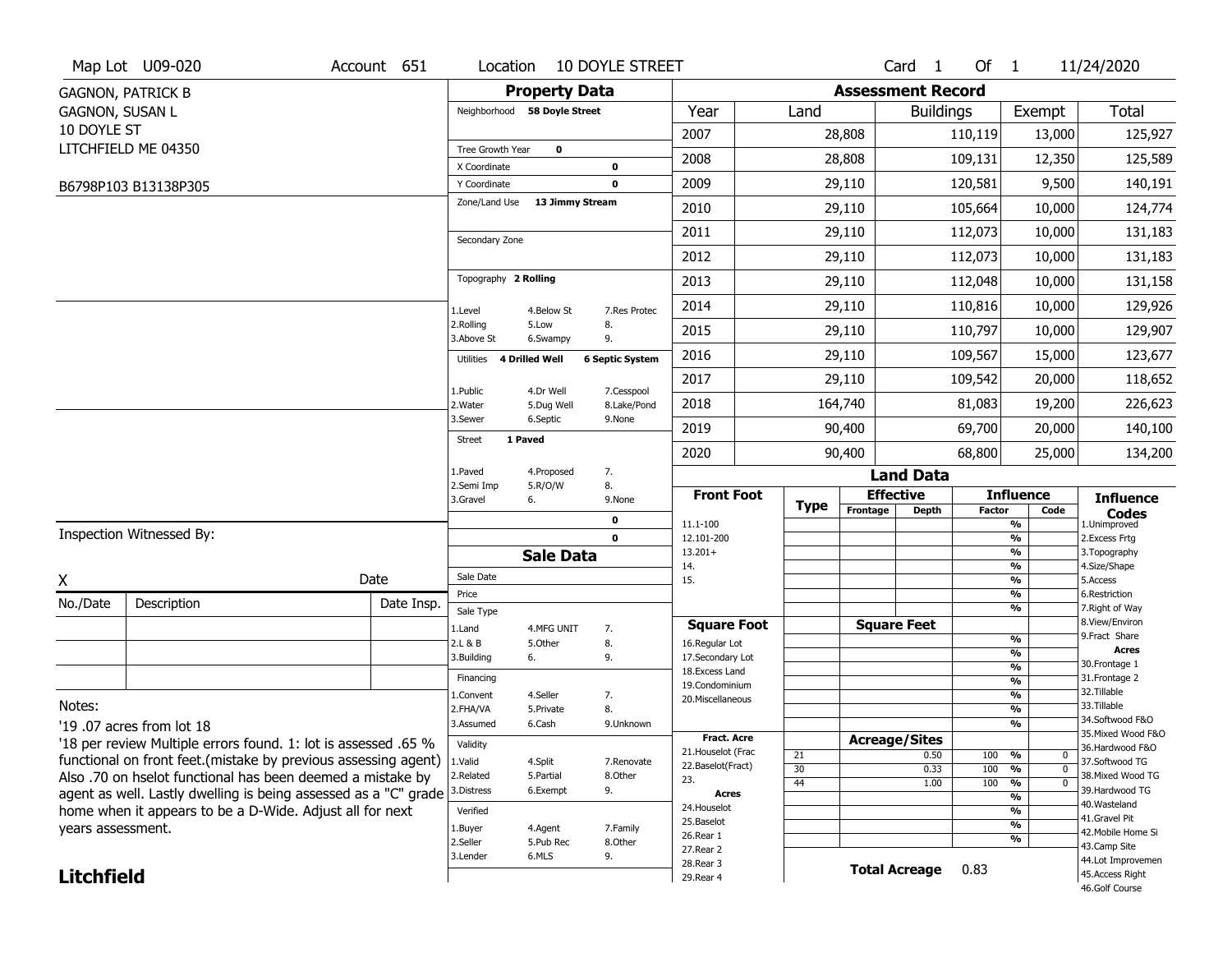|                        | Map Lot U09-020                                                 | Account 651 | Location                      |                              | <b>10 DOYLE STREET</b>    |                                     |             |                          | Card <sub>1</sub>    | Of $1$        |                          | 11/24/2020                           |
|------------------------|-----------------------------------------------------------------|-------------|-------------------------------|------------------------------|---------------------------|-------------------------------------|-------------|--------------------------|----------------------|---------------|--------------------------|--------------------------------------|
|                        | <b>GAGNON, PATRICK B</b>                                        |             |                               | <b>Property Data</b>         |                           |                                     |             | <b>Assessment Record</b> |                      |               |                          |                                      |
| <b>GAGNON, SUSAN L</b> |                                                                 |             |                               | Neighborhood 58 Doyle Street |                           | Year                                | Land        |                          | <b>Buildings</b>     |               | Exempt                   | <b>Total</b>                         |
| 10 DOYLE ST            |                                                                 |             |                               |                              |                           | 2007                                |             | 28,808                   |                      | 110,119       | 13,000                   | 125,927                              |
|                        | LITCHFIELD ME 04350                                             |             | Tree Growth Year              | $\mathbf 0$                  |                           | 2008                                |             | 28,808                   |                      | 109,131       | 12,350                   | 125,589                              |
|                        |                                                                 |             | X Coordinate                  |                              | 0                         |                                     |             |                          |                      |               |                          |                                      |
|                        | B6798P103 B13138P305                                            |             | Y Coordinate<br>Zone/Land Use | 13 Jimmy Stream              | 0                         | 2009                                |             | 29,110                   |                      | 120,581       | 9,500                    | 140,191                              |
|                        |                                                                 |             |                               |                              |                           | 2010                                |             | 29,110                   |                      | 105,664       | 10,000                   | 124,774                              |
|                        |                                                                 |             | Secondary Zone                |                              |                           | 2011                                |             | 29,110                   |                      | 112,073       | 10,000                   | 131,183                              |
|                        |                                                                 |             |                               |                              |                           | 2012                                |             | 29,110                   |                      | 112,073       | 10,000                   | 131,183                              |
|                        |                                                                 |             | Topography 2 Rolling          |                              |                           | 2013                                |             | 29,110                   |                      | 112,048       | 10,000                   | 131,158                              |
|                        |                                                                 |             | 1.Level                       | 4.Below St                   | 7.Res Protec              | 2014                                |             | 29,110                   |                      | 110,816       | 10,000                   | 129,926                              |
|                        |                                                                 |             | 2.Rolling<br>3.Above St       | 5.Low<br>6.Swampy            | 8.<br>9.                  | 2015                                |             | 29,110                   |                      | 110,797       | 10,000                   | 129,907                              |
|                        |                                                                 |             | Utilities                     | 4 Drilled Well               | <b>6 Septic System</b>    | 2016                                |             | 29,110                   |                      | 109,567       | 15,000                   | 123,677                              |
|                        |                                                                 |             |                               |                              |                           | 2017                                |             | 29,110                   |                      | 109,542       | 20,000                   | 118,652                              |
|                        |                                                                 |             | 1.Public<br>2. Water          | 4.Dr Well<br>5.Dug Well      | 7.Cesspool<br>8.Lake/Pond | 2018                                |             | 164,740                  |                      | 81,083        | 19,200                   | 226,623                              |
|                        |                                                                 |             | 3.Sewer                       | 6.Septic                     | 9.None                    | 2019                                |             | 90,400                   |                      | 69,700        | 20,000                   | 140,100                              |
|                        |                                                                 |             | <b>Street</b>                 | 1 Paved                      |                           | 2020                                |             | 90,400                   |                      | 68,800        | 25,000                   | 134,200                              |
|                        |                                                                 |             | 1.Paved                       | 4.Proposed                   | 7.                        |                                     |             |                          | <b>Land Data</b>     |               |                          |                                      |
|                        |                                                                 |             | 2.Semi Imp<br>3.Gravel        | 5.R/O/W<br>6.                | 8.<br>9.None              | <b>Front Foot</b>                   |             |                          | <b>Effective</b>     |               | <b>Influence</b>         | <b>Influence</b>                     |
|                        |                                                                 |             |                               |                              | 0                         | 11.1-100                            | <b>Type</b> | Frontage                 | <b>Depth</b>         | <b>Factor</b> | Code<br>%                | <b>Codes</b><br>1.Unimproved         |
|                        | Inspection Witnessed By:                                        |             |                               |                              | $\mathbf 0$               | 12.101-200                          |             |                          |                      |               | $\frac{9}{6}$            | 2.Excess Frtg                        |
|                        |                                                                 |             |                               | <b>Sale Data</b>             |                           | $13.201+$<br>14.                    |             |                          |                      |               | %<br>$\frac{9}{6}$       | 3. Topography<br>4.Size/Shape        |
| X                      |                                                                 | Date        | Sale Date                     |                              |                           | 15.                                 |             |                          |                      |               | %                        | 5.Access                             |
| No./Date               | Description                                                     | Date Insp.  | Price<br>Sale Type            |                              |                           |                                     |             |                          |                      |               | $\frac{9}{6}$<br>%       | 6.Restriction<br>7. Right of Way     |
|                        |                                                                 |             | 1.Land                        | 4.MFG UNIT                   | 7.                        | <b>Square Foot</b>                  |             |                          | <b>Square Feet</b>   |               |                          | 8.View/Environ                       |
|                        |                                                                 |             | 2.L & B                       | 5.Other                      | 8.                        | 16.Regular Lot                      |             |                          |                      |               | $\frac{9}{6}$<br>%       | 9. Fract Share<br><b>Acres</b>       |
|                        |                                                                 |             | 3.Building                    | 6.                           | 9.                        | 17.Secondary Lot<br>18. Excess Land |             |                          |                      |               | $\frac{9}{6}$            | 30. Frontage 1                       |
|                        |                                                                 |             | Financing                     |                              |                           | 19.Condominium                      |             |                          |                      |               | $\overline{\frac{9}{6}}$ | 31. Frontage 2                       |
| Notes:                 |                                                                 |             | 1.Convent                     | 4.Seller                     | 7.                        | 20.Miscellaneous                    |             |                          |                      |               | $\frac{9}{6}$            | 32. Tillable<br>33.Tillable          |
|                        |                                                                 |             | 2.FHA/VA<br>3.Assumed         | 5.Private<br>6.Cash          | 8.<br>9.Unknown           |                                     |             |                          |                      |               | $\frac{9}{6}$<br>%       | 34.Softwood F&O                      |
|                        | '19 .07 acres from lot 18                                       |             |                               |                              |                           | <b>Fract. Acre</b>                  |             |                          | <b>Acreage/Sites</b> |               |                          | 35. Mixed Wood F&O                   |
|                        | '18 per review Multiple errors found. 1: lot is assessed .65 %  |             | Validity                      |                              |                           | 21. Houselot (Frac                  | 21          |                          | 0.50                 | 100           | %<br>0                   | 36.Hardwood F&O                      |
|                        | functional on front feet. (mistake by previous assessing agent) |             | 1.Valid                       | 4.Split                      | 7.Renovate                | 22.Baselot(Fract)                   | 30          |                          | 0.33                 | 100           | $\mathbf 0$<br>%         | 37.Softwood TG                       |
|                        | Also .70 on hselot functional has been deemed a mistake by      |             | 2.Related<br>3.Distress       | 5.Partial<br>6.Exempt        | 8.Other<br>9.             | 23.                                 | 44          |                          | 1.00                 | 100           | $\mathbf 0$<br>%         | 38. Mixed Wood TG<br>39.Hardwood TG  |
|                        | agent as well. Lastly dwelling is being assessed as a "C" grade |             |                               |                              |                           | <b>Acres</b><br>24. Houselot        |             |                          |                      |               | %                        | 40. Wasteland                        |
|                        | home when it appears to be a D-Wide. Adjust all for next        |             | Verified                      |                              |                           | 25.Baselot                          |             |                          |                      |               | %<br>$\frac{9}{6}$       | 41.Gravel Pit                        |
| years assessment.      |                                                                 |             | 1.Buyer<br>2.Seller           | 4.Agent                      | 7.Family                  | 26.Rear 1                           |             |                          |                      |               | %                        | 42. Mobile Home Si                   |
|                        |                                                                 |             | 3.Lender                      | 5.Pub Rec<br>6.MLS           | 8.Other<br>9.             | 27. Rear 2                          |             |                          |                      |               |                          | 43.Camp Site                         |
|                        |                                                                 |             |                               |                              |                           | 28. Rear 3                          |             |                          | <b>Total Acreage</b> | 0.83          |                          | 44.Lot Improvemen<br>45.Access Right |
| <b>Litchfield</b>      |                                                                 |             |                               |                              |                           | 29. Rear 4                          |             |                          |                      |               |                          | 46.Golf Course                       |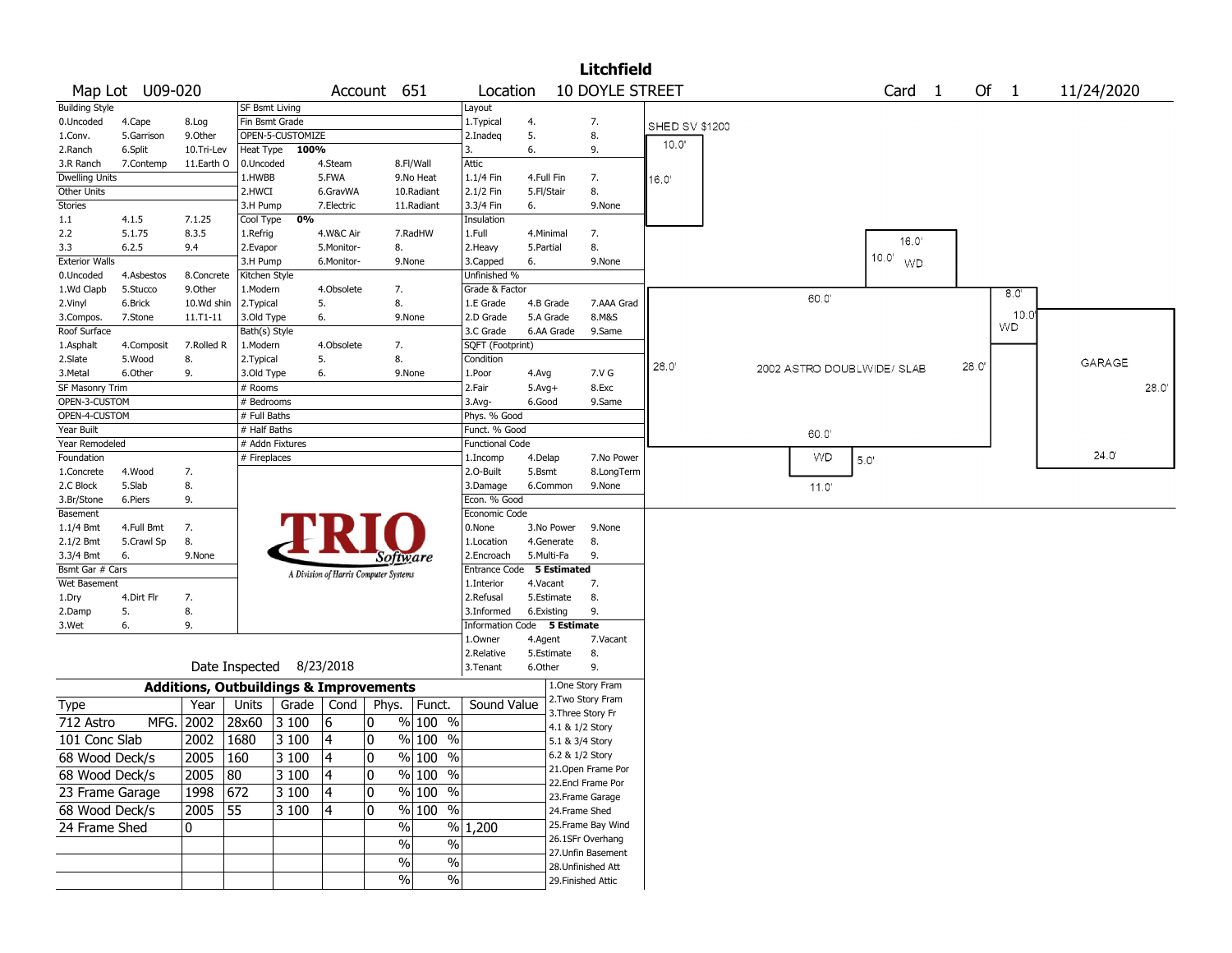|                         |                  |                                                   |                       |                          |            |                                       |                     |                           |                   |                 | <b>Litchfield</b>                      |                       |  |                            |      |                             |       |             |               |      |
|-------------------------|------------------|---------------------------------------------------|-----------------------|--------------------------|------------|---------------------------------------|---------------------|---------------------------|-------------------|-----------------|----------------------------------------|-----------------------|--|----------------------------|------|-----------------------------|-------|-------------|---------------|------|
|                         | Map Lot U09-020  |                                                   |                       |                          |            | Account 651                           |                     | Location                  |                   |                 | 10 DOYLE STREET                        |                       |  |                            |      | Card <sub>1</sub>           |       | Of 1        | 11/24/2020    |      |
| <b>Building Style</b>   |                  |                                                   | <b>SF Bsmt Living</b> |                          |            |                                       |                     | Layout                    |                   |                 |                                        |                       |  |                            |      |                             |       |             |               |      |
| 0.Uncoded               | 4.Cape           | 8.Log                                             | Fin Bsmt Grade        |                          |            |                                       |                     | 1. Typical                | 4.                |                 | 7.                                     | <b>SHED SV \$1200</b> |  |                            |      |                             |       |             |               |      |
| 1.Conv.                 | 5.Garrison       | 9.0ther                                           |                       | OPEN-5-CUSTOMIZE         |            |                                       |                     | 2.Inadeg                  | 5.                |                 | 8.                                     |                       |  |                            |      |                             |       |             |               |      |
| 2.Ranch                 | 6.Split          | 10.Tri-Lev                                        | Heat Type             | 100%                     |            |                                       |                     | 3.                        | 6.                |                 | 9.                                     | 10.0'                 |  |                            |      |                             |       |             |               |      |
| 3.R Ranch               | 7.Contemp        | 11.Earth O                                        | 0.Uncoded             |                          | 4.Steam    |                                       | 8.Fl/Wall           | Attic                     |                   |                 |                                        |                       |  |                            |      |                             |       |             |               |      |
| <b>Dwelling Units</b>   |                  |                                                   | 1.HWBB                |                          | 5.FWA      |                                       | 9.No Heat           | 1.1/4 Fin                 | 4.Full Fin        |                 | 7.                                     | 16.0'                 |  |                            |      |                             |       |             |               |      |
| Other Units             |                  |                                                   | 2.HWCI                |                          | 6.GravWA   |                                       | 10.Radiant          | 2.1/2 Fin                 | 5.Fl/Stair        |                 | 8.                                     |                       |  |                            |      |                             |       |             |               |      |
| Stories                 |                  |                                                   | 3.H Pump              |                          | 7.Electric |                                       | 11.Radiant          | 3.3/4 Fin                 | 6.                |                 | 9.None                                 |                       |  |                            |      |                             |       |             |               |      |
| 1.1                     | 4.1.5            | 7.1.25                                            | Cool Type             | 0%                       |            |                                       |                     | Insulation                |                   |                 |                                        |                       |  |                            |      |                             |       |             |               |      |
| 2.2                     | 5.1.75           | 8.3.5                                             | 1.Refrig              |                          | 4.W&C Air  |                                       | 7.RadHW             | 1.Full                    | 4.Minimal         |                 | 7.                                     |                       |  |                            |      | 16.0'                       |       |             |               |      |
| 3.3                     | 6.2.5            | 9.4                                               | 2.Evapor              |                          | 5.Monitor- | 8.                                    |                     | 2. Heavy                  | 5.Partial         |                 | 8.                                     |                       |  |                            |      |                             |       |             |               |      |
| <b>Exterior Walls</b>   |                  |                                                   | 3.H Pump              |                          | 6.Monitor- |                                       | 9.None              | 3.Capped                  | 6.                |                 | 9.None                                 |                       |  |                            |      | $10.0^{\circ}$<br><b>WD</b> |       |             |               |      |
| 0.Uncoded               | 4.Asbestos       | 8.Concrete                                        | Kitchen Style         |                          |            |                                       |                     | Unfinished %              |                   |                 |                                        |                       |  |                            |      |                             |       |             |               |      |
| 1.Wd Clapb              | 5.Stucco         | 9.Other                                           | 1.Modern              |                          | 4.Obsolete | 7.                                    |                     | Grade & Factor            |                   |                 |                                        |                       |  | 60.0                       |      |                             |       | 8.0         |               |      |
| 2.Vinyl                 | 6.Brick          | 10.Wd shin                                        | 2. Typical            |                          | 5.         | 8.                                    |                     | 1.E Grade                 | 4.B Grade         |                 | 7.AAA Grad                             |                       |  |                            |      |                             |       |             |               |      |
| 3.Compos.               | 7.Stone          | $11.71 - 11$                                      | 3.Old Type            |                          | 6.         |                                       | 9.None              | 2.D Grade                 | 5.A Grade         |                 | 8.M&S                                  |                       |  |                            |      |                             |       | 10.0<br>WD. |               |      |
| Roof Surface            |                  |                                                   | Bath(s) Style         |                          |            |                                       |                     | 3.C Grade                 | 6.AA Grade        |                 | 9.Same                                 |                       |  |                            |      |                             |       |             |               |      |
| 1.Asphalt               | 4.Composit       | 7.Rolled R                                        | 1.Modern              |                          | 4.Obsolete | 7.                                    |                     | SQFT (Footprint)          |                   |                 |                                        |                       |  |                            |      |                             |       |             |               |      |
| 2.Slate                 | 5.Wood           | 8.                                                | 2. Typical            |                          | 5.         | 8.                                    |                     | Condition                 |                   |                 |                                        | 28.0                  |  | 2002 ASTRO DOUBLWIDE/ SLAB |      |                             | 28.0' |             | <b>GARAGE</b> |      |
| 3. Metal                | 6.Other          | 9.                                                | 3.Old Type            |                          | 6.         |                                       | 9.None              | 1.Poor                    | 4.Avg             |                 | 7.V G                                  |                       |  |                            |      |                             |       |             |               |      |
| SF Masonry Trim         |                  |                                                   | # Rooms               |                          |            |                                       |                     | 2.Fair                    | $5.Avg+$          |                 | 8.Exc                                  |                       |  |                            |      |                             |       |             |               | 28.0 |
| OPEN-3-CUSTOM           |                  |                                                   | # Bedrooms            |                          |            |                                       |                     | 3.Avg-                    | 6.Good            |                 | 9.Same                                 |                       |  |                            |      |                             |       |             |               |      |
| OPEN-4-CUSTOM           |                  |                                                   | # Full Baths          |                          |            |                                       |                     | Phys. % Good              |                   |                 |                                        |                       |  |                            |      |                             |       |             |               |      |
| Year Built              |                  |                                                   | # Half Baths          |                          |            |                                       |                     | Funct. % Good             |                   |                 |                                        |                       |  | 60.0                       |      |                             |       |             |               |      |
| Year Remodeled          |                  |                                                   |                       | # Addn Fixtures          |            |                                       |                     | <b>Functional Code</b>    |                   |                 |                                        |                       |  | WD                         |      |                             |       |             | 24.0'         |      |
| Foundation              |                  |                                                   | # Fireplaces          |                          |            |                                       |                     | 1.Incomp<br>2.0-Built     | 4.Delap<br>5.Bsmt |                 | 7.No Power                             |                       |  |                            | 5.0' |                             |       |             |               |      |
| 1.Concrete<br>2.C Block | 4.Wood<br>5.Slab | 7.<br>8.                                          |                       |                          |            |                                       |                     | 3.Damage                  | 6.Common          |                 | 8.LongTerm<br>9.None                   |                       |  |                            |      |                             |       |             |               |      |
| 3.Br/Stone              | 6.Piers          | 9.                                                |                       |                          |            |                                       |                     | Econ. % Good              |                   |                 |                                        |                       |  | 11.0'                      |      |                             |       |             |               |      |
| Basement                |                  |                                                   |                       |                          |            |                                       |                     | Economic Code             |                   |                 |                                        |                       |  |                            |      |                             |       |             |               |      |
| 1.1/4 Bmt               | 4.Full Bmt       | 7.                                                |                       |                          |            |                                       |                     | 0.None                    | 3.No Power        |                 | 9.None                                 |                       |  |                            |      |                             |       |             |               |      |
| $2.1/2$ Bmt             | 5.Crawl Sp       | 8.                                                |                       |                          |            |                                       |                     | 1.Location                | 4.Generate        |                 | 8.                                     |                       |  |                            |      |                             |       |             |               |      |
| 3.3/4 Bmt               | 6.               | 9.None                                            |                       |                          |            | Software                              |                     | 2.Encroach                | 5.Multi-Fa        |                 | 9.                                     |                       |  |                            |      |                             |       |             |               |      |
| Bsmt Gar # Cars         |                  |                                                   |                       |                          |            |                                       |                     | Entrance Code 5 Estimated |                   |                 |                                        |                       |  |                            |      |                             |       |             |               |      |
| Wet Basement            |                  |                                                   |                       |                          |            | A Division of Harris Computer Systems |                     | 1.Interior                | 4.Vacant          |                 | 7.                                     |                       |  |                            |      |                             |       |             |               |      |
| 1.Dry                   | 4.Dirt Flr       | 7.                                                |                       |                          |            |                                       |                     | 2.Refusal                 | 5.Estimate        |                 | 8.                                     |                       |  |                            |      |                             |       |             |               |      |
| 2.Damp                  | 5.               | 8.                                                |                       |                          |            |                                       |                     | 3.Informed                | 6.Existing        |                 | 9.                                     |                       |  |                            |      |                             |       |             |               |      |
| 3.Wet                   | 6.               | 9.                                                |                       |                          |            |                                       |                     | Information Code          |                   | 5 Estimate      |                                        |                       |  |                            |      |                             |       |             |               |      |
|                         |                  |                                                   |                       |                          |            |                                       |                     | 1.Owner                   | 4.Agent           |                 | 7.Vacant                               |                       |  |                            |      |                             |       |             |               |      |
|                         |                  |                                                   |                       |                          |            |                                       |                     | 2.Relative                | 5.Estimate        |                 | 8.                                     |                       |  |                            |      |                             |       |             |               |      |
|                         |                  |                                                   |                       | Date Inspected 8/23/2018 |            |                                       |                     | 3.Tenant                  | 6.Other           |                 | 9.                                     |                       |  |                            |      |                             |       |             |               |      |
|                         |                  | <b>Additions, Outbuildings &amp; Improvements</b> |                       |                          |            |                                       |                     |                           |                   |                 | 1.One Story Fram                       |                       |  |                            |      |                             |       |             |               |      |
| Type                    |                  | Year                                              | Units                 | Grade                    | Cond       | Phys.                                 | Funct.              | Sound Value               |                   |                 | 2. Two Story Fram                      |                       |  |                            |      |                             |       |             |               |      |
| 712 Astro               | MFG.             | 2002                                              | 28x60                 | 3 100                    | 6          | 0                                     | $%100$ %            |                           |                   |                 | 3. Three Story Fr                      |                       |  |                            |      |                             |       |             |               |      |
| 101 Conc Slab           |                  | 2002                                              |                       |                          |            | 0                                     |                     |                           |                   | 4.1 & 1/2 Story |                                        |                       |  |                            |      |                             |       |             |               |      |
|                         |                  |                                                   | 1680                  | 3 100                    | 4          |                                       | % 100 %             |                           |                   | 5.1 & 3/4 Story |                                        |                       |  |                            |      |                             |       |             |               |      |
| 68 Wood Deck/s          |                  | $2005$   160                                      |                       | $\overline{3}$ 100       | 4          | $\pmb{0}$                             | % 100 %             |                           |                   | 6.2 & 1/2 Story |                                        |                       |  |                            |      |                             |       |             |               |      |
| 68 Wood Deck/s          |                  | $2005$ 80                                         |                       | 3100                     | 4          | 0                                     | % 100 %             |                           |                   |                 | 21. Open Frame Por                     |                       |  |                            |      |                             |       |             |               |      |
| 23 Frame Garage         |                  | 1998 672                                          |                       | 3100                     | 4          | 0                                     | % 100 %             |                           |                   |                 | 22.Encl Frame Por                      |                       |  |                            |      |                             |       |             |               |      |
| 68 Wood Deck/s          |                  | 2005 55                                           |                       | 3100                     | 4          | $\mathbf 0$                           | $\frac{9}{6}$ 100 % |                           |                   |                 | 23. Frame Garage                       |                       |  |                            |      |                             |       |             |               |      |
|                         |                  |                                                   |                       |                          |            |                                       |                     |                           |                   | 24.Frame Shed   |                                        |                       |  |                            |      |                             |       |             |               |      |
| 24 Frame Shed           |                  | 10                                                |                       |                          |            | $\frac{0}{0}$                         |                     | % 1,200                   |                   |                 | 25. Frame Bay Wind<br>26.1SFr Overhang |                       |  |                            |      |                             |       |             |               |      |
|                         |                  |                                                   |                       |                          |            | $\%$                                  | $\%$                |                           |                   |                 | 27.Unfin Basement                      |                       |  |                            |      |                             |       |             |               |      |
|                         |                  |                                                   |                       |                          |            | $\sqrt{6}$                            | $\%$                |                           |                   |                 | 28. Unfinished Att                     |                       |  |                            |      |                             |       |             |               |      |
|                         |                  |                                                   |                       |                          |            | $\%$                                  | $\%$                |                           |                   |                 | 29. Finished Attic                     |                       |  |                            |      |                             |       |             |               |      |
|                         |                  |                                                   |                       |                          |            |                                       |                     |                           |                   |                 |                                        |                       |  |                            |      |                             |       |             |               |      |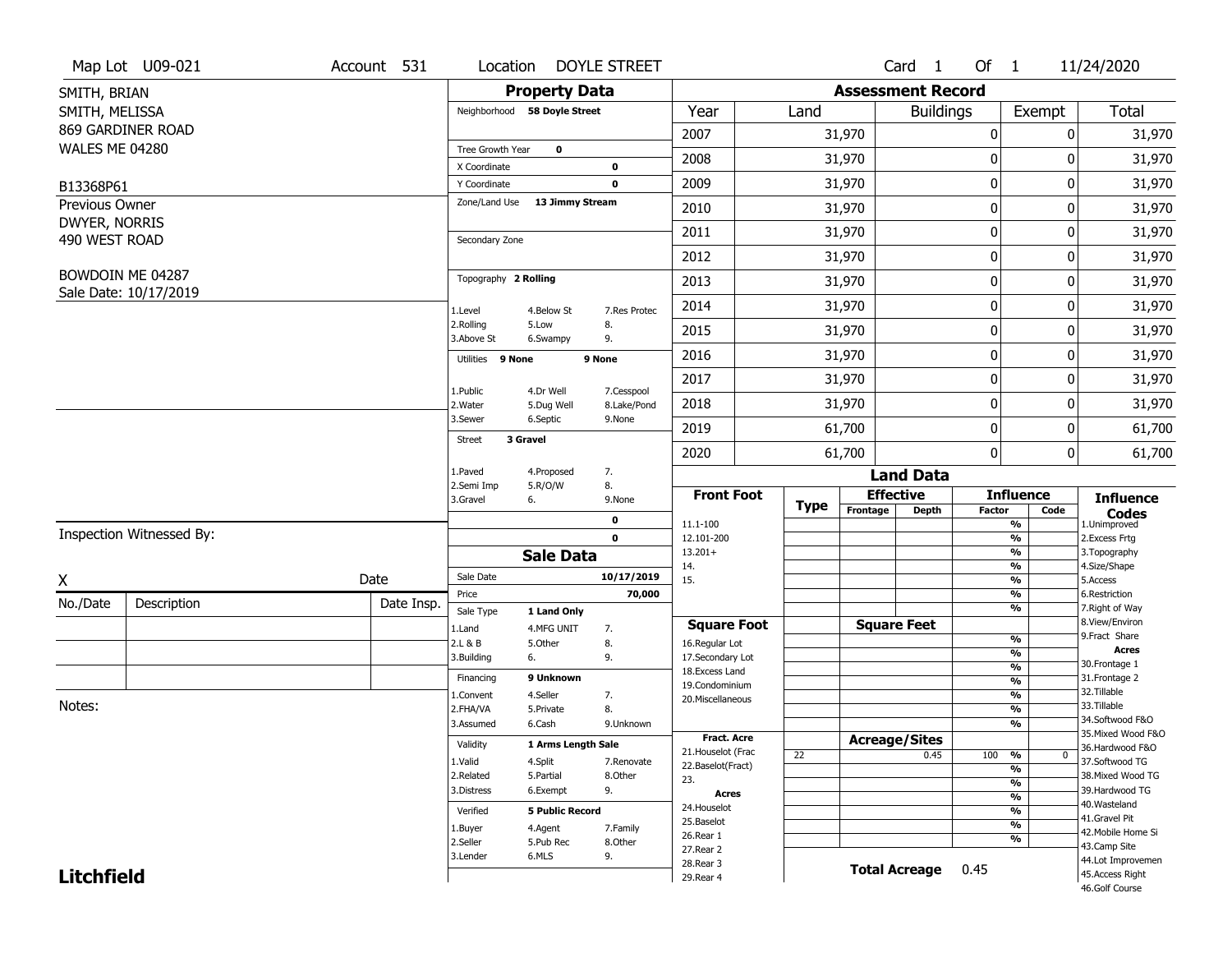| <b>Property Data</b><br><b>Assessment Record</b><br>SMITH, BRIAN<br>Year<br>Total<br>SMITH, MELISSA<br>Neighborhood 58 Doyle Street<br><b>Buildings</b><br>Exempt<br>Land<br>869 GARDINER ROAD<br>2007<br>31,970<br>$\boldsymbol{0}$<br>0<br>31,970<br>WALES ME 04280<br>Tree Growth Year<br>$\mathbf 0$<br>2008<br>31,970<br>0<br>O<br>X Coordinate<br>0<br>$\mathbf 0$<br>2009<br>31,970<br>0<br>31,970<br>$\mathbf 0$<br>Y Coordinate<br>B13368P61<br>Zone/Land Use 13 Jimmy Stream<br>Previous Owner<br>$\mathbf 0$<br>2010<br>31,970<br>31,970<br>0<br>DWYER, NORRIS<br>2011<br>$\mathbf 0$<br>31,970<br>0<br>31,970<br>490 WEST ROAD<br>Secondary Zone<br>$\mathbf 0$<br>2012<br>31,970<br>31,970<br>0<br>BOWDOIN ME 04287<br>Topography 2 Rolling<br>$\mathbf 0$<br>2013<br>31,970<br>31,970<br>0<br>Sale Date: 10/17/2019<br>$\mathbf 0$<br>2014<br>31,970<br>31,970<br>0<br>1.Level<br>4.Below St<br>7.Res Protec<br>2.Rolling<br>5.Low<br>8.<br>2015<br>31,970<br>0<br>31,970<br>0<br>3.Above St<br>9.<br>6.Swampy<br>$\mathbf 0$<br>31,970<br>2016<br>31,970<br>0<br>Utilities 9 None<br>9 None<br>$\mathbf 0$<br>2017<br>31,970<br>31,970<br>0<br>1.Public<br>4.Dr Well<br>7.Cesspool<br>$\mathbf 0$<br>2018<br>31,970<br>0<br>31,970<br>2. Water<br>8.Lake/Pond<br>5.Dug Well<br>3.Sewer<br>6.Septic<br>9.None<br>2019<br>$\mathbf 0$<br>61,700<br>0<br>61,700<br>3 Gravel<br><b>Street</b><br>$\mathbf 0$<br>2020<br>61,700<br>0<br>61,700<br>1.Paved<br>4.Proposed<br>7.<br><b>Land Data</b><br>2.Semi Imp<br>5.R/O/W<br>8.<br><b>Effective</b><br><b>Front Foot</b><br><b>Influence</b><br><b>Influence</b><br>3.Gravel<br>9.None<br>6.<br><b>Type</b><br>Frontage<br><b>Depth</b><br>Factor<br>Code<br><b>Codes</b><br>1.Unimproved<br>0<br>$\overline{\frac{9}{6}}$<br>11.1-100<br>Inspection Witnessed By:<br>$\mathbf 0$<br>$\frac{9}{6}$<br>2.Excess Frtg<br>12.101-200<br>$\overline{\frac{9}{6}}$<br>$13.201+$<br>3. Topography<br><b>Sale Data</b><br>$\frac{9}{6}$<br>4.Size/Shape<br>14.<br>10/17/2019<br>Sale Date<br>Date<br>X<br>15.<br>$\frac{9}{6}$<br>5.Access<br>$\frac{9}{6}$<br>6.Restriction<br>Price<br>70,000<br>No./Date<br>Description<br>Date Insp.<br>$\overline{\frac{9}{6}}$<br>7. Right of Way<br>Sale Type<br>1 Land Only<br>8.View/Environ<br><b>Square Feet</b><br><b>Square Foot</b><br>1.Land<br>4.MFG UNIT<br>7.<br>9.Fract Share<br>$\frac{9}{6}$<br>2.L & B<br>8.<br>5.Other<br>16.Regular Lot<br><b>Acres</b><br>$\frac{9}{6}$<br>3.Building<br>6.<br>9.<br>17.Secondary Lot<br>30. Frontage 1<br>$\frac{9}{6}$<br>18. Excess Land<br>9 Unknown<br>31. Frontage 2<br>Financing<br>$\frac{9}{6}$<br>19.Condominium<br>32.Tillable<br>4.Seller<br>$\frac{9}{6}$<br>1.Convent<br>7.<br>20.Miscellaneous<br>Notes:<br>33.Tillable<br>$\frac{9}{6}$<br>2.FHA/VA<br>5.Private<br>8.<br>34.Softwood F&O<br>$\frac{9}{6}$<br>3.Assumed<br>6.Cash<br>9.Unknown<br>35. Mixed Wood F&O<br><b>Fract. Acre</b><br><b>Acreage/Sites</b><br>Validity<br>1 Arms Length Sale<br>36.Hardwood F&O<br>21. Houselot (Frac<br>22<br>0.45<br>100<br>%<br>$\bf{0}$<br>37.Softwood TG<br>1.Valid<br>4.Split<br>7.Renovate<br>22.Baselot(Fract)<br>$\frac{9}{6}$<br>2.Related<br>5.Partial<br>8.Other<br>38. Mixed Wood TG<br>23.<br>%<br>9.<br>39.Hardwood TG<br>3.Distress<br>6.Exempt<br><b>Acres</b><br>$\frac{9}{6}$<br>40. Wasteland<br>24. Houselot<br>%<br>Verified<br><b>5 Public Record</b><br>41.Gravel Pit<br>25.Baselot<br>$\overline{\frac{9}{6}}$<br>1.Buyer<br>4.Agent<br>7.Family<br>42. Mobile Home Si<br>26.Rear 1<br>%<br>2.Seller<br>5.Pub Rec<br>8.Other<br>43.Camp Site<br>27. Rear 2<br>6.MLS<br>9.<br>3.Lender<br>44.Lot Improvemen<br>28. Rear 3<br><b>Total Acreage</b><br>0.45<br><b>Litchfield</b><br>45.Access Right<br>29. Rear 4<br>46.Golf Course | Map Lot U09-021 | Account 531 | Location | <b>DOYLE STREET</b> |  | Card <sub>1</sub> | Of $1$ | 11/24/2020 |
|----------------------------------------------------------------------------------------------------------------------------------------------------------------------------------------------------------------------------------------------------------------------------------------------------------------------------------------------------------------------------------------------------------------------------------------------------------------------------------------------------------------------------------------------------------------------------------------------------------------------------------------------------------------------------------------------------------------------------------------------------------------------------------------------------------------------------------------------------------------------------------------------------------------------------------------------------------------------------------------------------------------------------------------------------------------------------------------------------------------------------------------------------------------------------------------------------------------------------------------------------------------------------------------------------------------------------------------------------------------------------------------------------------------------------------------------------------------------------------------------------------------------------------------------------------------------------------------------------------------------------------------------------------------------------------------------------------------------------------------------------------------------------------------------------------------------------------------------------------------------------------------------------------------------------------------------------------------------------------------------------------------------------------------------------------------------------------------------------------------------------------------------------------------------------------------------------------------------------------------------------------------------------------------------------------------------------------------------------------------------------------------------------------------------------------------------------------------------------------------------------------------------------------------------------------------------------------------------------------------------------------------------------------------------------------------------------------------------------------------------------------------------------------------------------------------------------------------------------------------------------------------------------------------------------------------------------------------------------------------------------------------------------------------------------------------------------------------------------------------------------------------------------------------------------------------------------------------------------------------------------------------------------------------------------------------------------------------------------------------------------------------------------------------------------------------------------------------------------------------------------------------------------------------------------------------------------------------------------------------------------------------------------------------------------------------------------------------------------------------------------------------------------------------------------------------|-----------------|-------------|----------|---------------------|--|-------------------|--------|------------|
|                                                                                                                                                                                                                                                                                                                                                                                                                                                                                                                                                                                                                                                                                                                                                                                                                                                                                                                                                                                                                                                                                                                                                                                                                                                                                                                                                                                                                                                                                                                                                                                                                                                                                                                                                                                                                                                                                                                                                                                                                                                                                                                                                                                                                                                                                                                                                                                                                                                                                                                                                                                                                                                                                                                                                                                                                                                                                                                                                                                                                                                                                                                                                                                                                                                                                                                                                                                                                                                                                                                                                                                                                                                                                                                                                                                                                |                 |             |          |                     |  |                   |        |            |
|                                                                                                                                                                                                                                                                                                                                                                                                                                                                                                                                                                                                                                                                                                                                                                                                                                                                                                                                                                                                                                                                                                                                                                                                                                                                                                                                                                                                                                                                                                                                                                                                                                                                                                                                                                                                                                                                                                                                                                                                                                                                                                                                                                                                                                                                                                                                                                                                                                                                                                                                                                                                                                                                                                                                                                                                                                                                                                                                                                                                                                                                                                                                                                                                                                                                                                                                                                                                                                                                                                                                                                                                                                                                                                                                                                                                                |                 |             |          |                     |  |                   |        |            |
| 31,970                                                                                                                                                                                                                                                                                                                                                                                                                                                                                                                                                                                                                                                                                                                                                                                                                                                                                                                                                                                                                                                                                                                                                                                                                                                                                                                                                                                                                                                                                                                                                                                                                                                                                                                                                                                                                                                                                                                                                                                                                                                                                                                                                                                                                                                                                                                                                                                                                                                                                                                                                                                                                                                                                                                                                                                                                                                                                                                                                                                                                                                                                                                                                                                                                                                                                                                                                                                                                                                                                                                                                                                                                                                                                                                                                                                                         |                 |             |          |                     |  |                   |        |            |
|                                                                                                                                                                                                                                                                                                                                                                                                                                                                                                                                                                                                                                                                                                                                                                                                                                                                                                                                                                                                                                                                                                                                                                                                                                                                                                                                                                                                                                                                                                                                                                                                                                                                                                                                                                                                                                                                                                                                                                                                                                                                                                                                                                                                                                                                                                                                                                                                                                                                                                                                                                                                                                                                                                                                                                                                                                                                                                                                                                                                                                                                                                                                                                                                                                                                                                                                                                                                                                                                                                                                                                                                                                                                                                                                                                                                                |                 |             |          |                     |  |                   |        |            |
|                                                                                                                                                                                                                                                                                                                                                                                                                                                                                                                                                                                                                                                                                                                                                                                                                                                                                                                                                                                                                                                                                                                                                                                                                                                                                                                                                                                                                                                                                                                                                                                                                                                                                                                                                                                                                                                                                                                                                                                                                                                                                                                                                                                                                                                                                                                                                                                                                                                                                                                                                                                                                                                                                                                                                                                                                                                                                                                                                                                                                                                                                                                                                                                                                                                                                                                                                                                                                                                                                                                                                                                                                                                                                                                                                                                                                |                 |             |          |                     |  |                   |        |            |
|                                                                                                                                                                                                                                                                                                                                                                                                                                                                                                                                                                                                                                                                                                                                                                                                                                                                                                                                                                                                                                                                                                                                                                                                                                                                                                                                                                                                                                                                                                                                                                                                                                                                                                                                                                                                                                                                                                                                                                                                                                                                                                                                                                                                                                                                                                                                                                                                                                                                                                                                                                                                                                                                                                                                                                                                                                                                                                                                                                                                                                                                                                                                                                                                                                                                                                                                                                                                                                                                                                                                                                                                                                                                                                                                                                                                                |                 |             |          |                     |  |                   |        |            |
|                                                                                                                                                                                                                                                                                                                                                                                                                                                                                                                                                                                                                                                                                                                                                                                                                                                                                                                                                                                                                                                                                                                                                                                                                                                                                                                                                                                                                                                                                                                                                                                                                                                                                                                                                                                                                                                                                                                                                                                                                                                                                                                                                                                                                                                                                                                                                                                                                                                                                                                                                                                                                                                                                                                                                                                                                                                                                                                                                                                                                                                                                                                                                                                                                                                                                                                                                                                                                                                                                                                                                                                                                                                                                                                                                                                                                |                 |             |          |                     |  |                   |        |            |
|                                                                                                                                                                                                                                                                                                                                                                                                                                                                                                                                                                                                                                                                                                                                                                                                                                                                                                                                                                                                                                                                                                                                                                                                                                                                                                                                                                                                                                                                                                                                                                                                                                                                                                                                                                                                                                                                                                                                                                                                                                                                                                                                                                                                                                                                                                                                                                                                                                                                                                                                                                                                                                                                                                                                                                                                                                                                                                                                                                                                                                                                                                                                                                                                                                                                                                                                                                                                                                                                                                                                                                                                                                                                                                                                                                                                                |                 |             |          |                     |  |                   |        |            |
|                                                                                                                                                                                                                                                                                                                                                                                                                                                                                                                                                                                                                                                                                                                                                                                                                                                                                                                                                                                                                                                                                                                                                                                                                                                                                                                                                                                                                                                                                                                                                                                                                                                                                                                                                                                                                                                                                                                                                                                                                                                                                                                                                                                                                                                                                                                                                                                                                                                                                                                                                                                                                                                                                                                                                                                                                                                                                                                                                                                                                                                                                                                                                                                                                                                                                                                                                                                                                                                                                                                                                                                                                                                                                                                                                                                                                |                 |             |          |                     |  |                   |        |            |
|                                                                                                                                                                                                                                                                                                                                                                                                                                                                                                                                                                                                                                                                                                                                                                                                                                                                                                                                                                                                                                                                                                                                                                                                                                                                                                                                                                                                                                                                                                                                                                                                                                                                                                                                                                                                                                                                                                                                                                                                                                                                                                                                                                                                                                                                                                                                                                                                                                                                                                                                                                                                                                                                                                                                                                                                                                                                                                                                                                                                                                                                                                                                                                                                                                                                                                                                                                                                                                                                                                                                                                                                                                                                                                                                                                                                                |                 |             |          |                     |  |                   |        |            |
|                                                                                                                                                                                                                                                                                                                                                                                                                                                                                                                                                                                                                                                                                                                                                                                                                                                                                                                                                                                                                                                                                                                                                                                                                                                                                                                                                                                                                                                                                                                                                                                                                                                                                                                                                                                                                                                                                                                                                                                                                                                                                                                                                                                                                                                                                                                                                                                                                                                                                                                                                                                                                                                                                                                                                                                                                                                                                                                                                                                                                                                                                                                                                                                                                                                                                                                                                                                                                                                                                                                                                                                                                                                                                                                                                                                                                |                 |             |          |                     |  |                   |        |            |
|                                                                                                                                                                                                                                                                                                                                                                                                                                                                                                                                                                                                                                                                                                                                                                                                                                                                                                                                                                                                                                                                                                                                                                                                                                                                                                                                                                                                                                                                                                                                                                                                                                                                                                                                                                                                                                                                                                                                                                                                                                                                                                                                                                                                                                                                                                                                                                                                                                                                                                                                                                                                                                                                                                                                                                                                                                                                                                                                                                                                                                                                                                                                                                                                                                                                                                                                                                                                                                                                                                                                                                                                                                                                                                                                                                                                                |                 |             |          |                     |  |                   |        |            |
|                                                                                                                                                                                                                                                                                                                                                                                                                                                                                                                                                                                                                                                                                                                                                                                                                                                                                                                                                                                                                                                                                                                                                                                                                                                                                                                                                                                                                                                                                                                                                                                                                                                                                                                                                                                                                                                                                                                                                                                                                                                                                                                                                                                                                                                                                                                                                                                                                                                                                                                                                                                                                                                                                                                                                                                                                                                                                                                                                                                                                                                                                                                                                                                                                                                                                                                                                                                                                                                                                                                                                                                                                                                                                                                                                                                                                |                 |             |          |                     |  |                   |        |            |
|                                                                                                                                                                                                                                                                                                                                                                                                                                                                                                                                                                                                                                                                                                                                                                                                                                                                                                                                                                                                                                                                                                                                                                                                                                                                                                                                                                                                                                                                                                                                                                                                                                                                                                                                                                                                                                                                                                                                                                                                                                                                                                                                                                                                                                                                                                                                                                                                                                                                                                                                                                                                                                                                                                                                                                                                                                                                                                                                                                                                                                                                                                                                                                                                                                                                                                                                                                                                                                                                                                                                                                                                                                                                                                                                                                                                                |                 |             |          |                     |  |                   |        |            |
|                                                                                                                                                                                                                                                                                                                                                                                                                                                                                                                                                                                                                                                                                                                                                                                                                                                                                                                                                                                                                                                                                                                                                                                                                                                                                                                                                                                                                                                                                                                                                                                                                                                                                                                                                                                                                                                                                                                                                                                                                                                                                                                                                                                                                                                                                                                                                                                                                                                                                                                                                                                                                                                                                                                                                                                                                                                                                                                                                                                                                                                                                                                                                                                                                                                                                                                                                                                                                                                                                                                                                                                                                                                                                                                                                                                                                |                 |             |          |                     |  |                   |        |            |
|                                                                                                                                                                                                                                                                                                                                                                                                                                                                                                                                                                                                                                                                                                                                                                                                                                                                                                                                                                                                                                                                                                                                                                                                                                                                                                                                                                                                                                                                                                                                                                                                                                                                                                                                                                                                                                                                                                                                                                                                                                                                                                                                                                                                                                                                                                                                                                                                                                                                                                                                                                                                                                                                                                                                                                                                                                                                                                                                                                                                                                                                                                                                                                                                                                                                                                                                                                                                                                                                                                                                                                                                                                                                                                                                                                                                                |                 |             |          |                     |  |                   |        |            |
|                                                                                                                                                                                                                                                                                                                                                                                                                                                                                                                                                                                                                                                                                                                                                                                                                                                                                                                                                                                                                                                                                                                                                                                                                                                                                                                                                                                                                                                                                                                                                                                                                                                                                                                                                                                                                                                                                                                                                                                                                                                                                                                                                                                                                                                                                                                                                                                                                                                                                                                                                                                                                                                                                                                                                                                                                                                                                                                                                                                                                                                                                                                                                                                                                                                                                                                                                                                                                                                                                                                                                                                                                                                                                                                                                                                                                |                 |             |          |                     |  |                   |        |            |
|                                                                                                                                                                                                                                                                                                                                                                                                                                                                                                                                                                                                                                                                                                                                                                                                                                                                                                                                                                                                                                                                                                                                                                                                                                                                                                                                                                                                                                                                                                                                                                                                                                                                                                                                                                                                                                                                                                                                                                                                                                                                                                                                                                                                                                                                                                                                                                                                                                                                                                                                                                                                                                                                                                                                                                                                                                                                                                                                                                                                                                                                                                                                                                                                                                                                                                                                                                                                                                                                                                                                                                                                                                                                                                                                                                                                                |                 |             |          |                     |  |                   |        |            |
|                                                                                                                                                                                                                                                                                                                                                                                                                                                                                                                                                                                                                                                                                                                                                                                                                                                                                                                                                                                                                                                                                                                                                                                                                                                                                                                                                                                                                                                                                                                                                                                                                                                                                                                                                                                                                                                                                                                                                                                                                                                                                                                                                                                                                                                                                                                                                                                                                                                                                                                                                                                                                                                                                                                                                                                                                                                                                                                                                                                                                                                                                                                                                                                                                                                                                                                                                                                                                                                                                                                                                                                                                                                                                                                                                                                                                |                 |             |          |                     |  |                   |        |            |
|                                                                                                                                                                                                                                                                                                                                                                                                                                                                                                                                                                                                                                                                                                                                                                                                                                                                                                                                                                                                                                                                                                                                                                                                                                                                                                                                                                                                                                                                                                                                                                                                                                                                                                                                                                                                                                                                                                                                                                                                                                                                                                                                                                                                                                                                                                                                                                                                                                                                                                                                                                                                                                                                                                                                                                                                                                                                                                                                                                                                                                                                                                                                                                                                                                                                                                                                                                                                                                                                                                                                                                                                                                                                                                                                                                                                                |                 |             |          |                     |  |                   |        |            |
|                                                                                                                                                                                                                                                                                                                                                                                                                                                                                                                                                                                                                                                                                                                                                                                                                                                                                                                                                                                                                                                                                                                                                                                                                                                                                                                                                                                                                                                                                                                                                                                                                                                                                                                                                                                                                                                                                                                                                                                                                                                                                                                                                                                                                                                                                                                                                                                                                                                                                                                                                                                                                                                                                                                                                                                                                                                                                                                                                                                                                                                                                                                                                                                                                                                                                                                                                                                                                                                                                                                                                                                                                                                                                                                                                                                                                |                 |             |          |                     |  |                   |        |            |
|                                                                                                                                                                                                                                                                                                                                                                                                                                                                                                                                                                                                                                                                                                                                                                                                                                                                                                                                                                                                                                                                                                                                                                                                                                                                                                                                                                                                                                                                                                                                                                                                                                                                                                                                                                                                                                                                                                                                                                                                                                                                                                                                                                                                                                                                                                                                                                                                                                                                                                                                                                                                                                                                                                                                                                                                                                                                                                                                                                                                                                                                                                                                                                                                                                                                                                                                                                                                                                                                                                                                                                                                                                                                                                                                                                                                                |                 |             |          |                     |  |                   |        |            |
|                                                                                                                                                                                                                                                                                                                                                                                                                                                                                                                                                                                                                                                                                                                                                                                                                                                                                                                                                                                                                                                                                                                                                                                                                                                                                                                                                                                                                                                                                                                                                                                                                                                                                                                                                                                                                                                                                                                                                                                                                                                                                                                                                                                                                                                                                                                                                                                                                                                                                                                                                                                                                                                                                                                                                                                                                                                                                                                                                                                                                                                                                                                                                                                                                                                                                                                                                                                                                                                                                                                                                                                                                                                                                                                                                                                                                |                 |             |          |                     |  |                   |        |            |
|                                                                                                                                                                                                                                                                                                                                                                                                                                                                                                                                                                                                                                                                                                                                                                                                                                                                                                                                                                                                                                                                                                                                                                                                                                                                                                                                                                                                                                                                                                                                                                                                                                                                                                                                                                                                                                                                                                                                                                                                                                                                                                                                                                                                                                                                                                                                                                                                                                                                                                                                                                                                                                                                                                                                                                                                                                                                                                                                                                                                                                                                                                                                                                                                                                                                                                                                                                                                                                                                                                                                                                                                                                                                                                                                                                                                                |                 |             |          |                     |  |                   |        |            |
|                                                                                                                                                                                                                                                                                                                                                                                                                                                                                                                                                                                                                                                                                                                                                                                                                                                                                                                                                                                                                                                                                                                                                                                                                                                                                                                                                                                                                                                                                                                                                                                                                                                                                                                                                                                                                                                                                                                                                                                                                                                                                                                                                                                                                                                                                                                                                                                                                                                                                                                                                                                                                                                                                                                                                                                                                                                                                                                                                                                                                                                                                                                                                                                                                                                                                                                                                                                                                                                                                                                                                                                                                                                                                                                                                                                                                |                 |             |          |                     |  |                   |        |            |
|                                                                                                                                                                                                                                                                                                                                                                                                                                                                                                                                                                                                                                                                                                                                                                                                                                                                                                                                                                                                                                                                                                                                                                                                                                                                                                                                                                                                                                                                                                                                                                                                                                                                                                                                                                                                                                                                                                                                                                                                                                                                                                                                                                                                                                                                                                                                                                                                                                                                                                                                                                                                                                                                                                                                                                                                                                                                                                                                                                                                                                                                                                                                                                                                                                                                                                                                                                                                                                                                                                                                                                                                                                                                                                                                                                                                                |                 |             |          |                     |  |                   |        |            |
|                                                                                                                                                                                                                                                                                                                                                                                                                                                                                                                                                                                                                                                                                                                                                                                                                                                                                                                                                                                                                                                                                                                                                                                                                                                                                                                                                                                                                                                                                                                                                                                                                                                                                                                                                                                                                                                                                                                                                                                                                                                                                                                                                                                                                                                                                                                                                                                                                                                                                                                                                                                                                                                                                                                                                                                                                                                                                                                                                                                                                                                                                                                                                                                                                                                                                                                                                                                                                                                                                                                                                                                                                                                                                                                                                                                                                |                 |             |          |                     |  |                   |        |            |
|                                                                                                                                                                                                                                                                                                                                                                                                                                                                                                                                                                                                                                                                                                                                                                                                                                                                                                                                                                                                                                                                                                                                                                                                                                                                                                                                                                                                                                                                                                                                                                                                                                                                                                                                                                                                                                                                                                                                                                                                                                                                                                                                                                                                                                                                                                                                                                                                                                                                                                                                                                                                                                                                                                                                                                                                                                                                                                                                                                                                                                                                                                                                                                                                                                                                                                                                                                                                                                                                                                                                                                                                                                                                                                                                                                                                                |                 |             |          |                     |  |                   |        |            |
|                                                                                                                                                                                                                                                                                                                                                                                                                                                                                                                                                                                                                                                                                                                                                                                                                                                                                                                                                                                                                                                                                                                                                                                                                                                                                                                                                                                                                                                                                                                                                                                                                                                                                                                                                                                                                                                                                                                                                                                                                                                                                                                                                                                                                                                                                                                                                                                                                                                                                                                                                                                                                                                                                                                                                                                                                                                                                                                                                                                                                                                                                                                                                                                                                                                                                                                                                                                                                                                                                                                                                                                                                                                                                                                                                                                                                |                 |             |          |                     |  |                   |        |            |
|                                                                                                                                                                                                                                                                                                                                                                                                                                                                                                                                                                                                                                                                                                                                                                                                                                                                                                                                                                                                                                                                                                                                                                                                                                                                                                                                                                                                                                                                                                                                                                                                                                                                                                                                                                                                                                                                                                                                                                                                                                                                                                                                                                                                                                                                                                                                                                                                                                                                                                                                                                                                                                                                                                                                                                                                                                                                                                                                                                                                                                                                                                                                                                                                                                                                                                                                                                                                                                                                                                                                                                                                                                                                                                                                                                                                                |                 |             |          |                     |  |                   |        |            |
|                                                                                                                                                                                                                                                                                                                                                                                                                                                                                                                                                                                                                                                                                                                                                                                                                                                                                                                                                                                                                                                                                                                                                                                                                                                                                                                                                                                                                                                                                                                                                                                                                                                                                                                                                                                                                                                                                                                                                                                                                                                                                                                                                                                                                                                                                                                                                                                                                                                                                                                                                                                                                                                                                                                                                                                                                                                                                                                                                                                                                                                                                                                                                                                                                                                                                                                                                                                                                                                                                                                                                                                                                                                                                                                                                                                                                |                 |             |          |                     |  |                   |        |            |
|                                                                                                                                                                                                                                                                                                                                                                                                                                                                                                                                                                                                                                                                                                                                                                                                                                                                                                                                                                                                                                                                                                                                                                                                                                                                                                                                                                                                                                                                                                                                                                                                                                                                                                                                                                                                                                                                                                                                                                                                                                                                                                                                                                                                                                                                                                                                                                                                                                                                                                                                                                                                                                                                                                                                                                                                                                                                                                                                                                                                                                                                                                                                                                                                                                                                                                                                                                                                                                                                                                                                                                                                                                                                                                                                                                                                                |                 |             |          |                     |  |                   |        |            |
|                                                                                                                                                                                                                                                                                                                                                                                                                                                                                                                                                                                                                                                                                                                                                                                                                                                                                                                                                                                                                                                                                                                                                                                                                                                                                                                                                                                                                                                                                                                                                                                                                                                                                                                                                                                                                                                                                                                                                                                                                                                                                                                                                                                                                                                                                                                                                                                                                                                                                                                                                                                                                                                                                                                                                                                                                                                                                                                                                                                                                                                                                                                                                                                                                                                                                                                                                                                                                                                                                                                                                                                                                                                                                                                                                                                                                |                 |             |          |                     |  |                   |        |            |
|                                                                                                                                                                                                                                                                                                                                                                                                                                                                                                                                                                                                                                                                                                                                                                                                                                                                                                                                                                                                                                                                                                                                                                                                                                                                                                                                                                                                                                                                                                                                                                                                                                                                                                                                                                                                                                                                                                                                                                                                                                                                                                                                                                                                                                                                                                                                                                                                                                                                                                                                                                                                                                                                                                                                                                                                                                                                                                                                                                                                                                                                                                                                                                                                                                                                                                                                                                                                                                                                                                                                                                                                                                                                                                                                                                                                                |                 |             |          |                     |  |                   |        |            |
|                                                                                                                                                                                                                                                                                                                                                                                                                                                                                                                                                                                                                                                                                                                                                                                                                                                                                                                                                                                                                                                                                                                                                                                                                                                                                                                                                                                                                                                                                                                                                                                                                                                                                                                                                                                                                                                                                                                                                                                                                                                                                                                                                                                                                                                                                                                                                                                                                                                                                                                                                                                                                                                                                                                                                                                                                                                                                                                                                                                                                                                                                                                                                                                                                                                                                                                                                                                                                                                                                                                                                                                                                                                                                                                                                                                                                |                 |             |          |                     |  |                   |        |            |
|                                                                                                                                                                                                                                                                                                                                                                                                                                                                                                                                                                                                                                                                                                                                                                                                                                                                                                                                                                                                                                                                                                                                                                                                                                                                                                                                                                                                                                                                                                                                                                                                                                                                                                                                                                                                                                                                                                                                                                                                                                                                                                                                                                                                                                                                                                                                                                                                                                                                                                                                                                                                                                                                                                                                                                                                                                                                                                                                                                                                                                                                                                                                                                                                                                                                                                                                                                                                                                                                                                                                                                                                                                                                                                                                                                                                                |                 |             |          |                     |  |                   |        |            |
|                                                                                                                                                                                                                                                                                                                                                                                                                                                                                                                                                                                                                                                                                                                                                                                                                                                                                                                                                                                                                                                                                                                                                                                                                                                                                                                                                                                                                                                                                                                                                                                                                                                                                                                                                                                                                                                                                                                                                                                                                                                                                                                                                                                                                                                                                                                                                                                                                                                                                                                                                                                                                                                                                                                                                                                                                                                                                                                                                                                                                                                                                                                                                                                                                                                                                                                                                                                                                                                                                                                                                                                                                                                                                                                                                                                                                |                 |             |          |                     |  |                   |        |            |
|                                                                                                                                                                                                                                                                                                                                                                                                                                                                                                                                                                                                                                                                                                                                                                                                                                                                                                                                                                                                                                                                                                                                                                                                                                                                                                                                                                                                                                                                                                                                                                                                                                                                                                                                                                                                                                                                                                                                                                                                                                                                                                                                                                                                                                                                                                                                                                                                                                                                                                                                                                                                                                                                                                                                                                                                                                                                                                                                                                                                                                                                                                                                                                                                                                                                                                                                                                                                                                                                                                                                                                                                                                                                                                                                                                                                                |                 |             |          |                     |  |                   |        |            |
|                                                                                                                                                                                                                                                                                                                                                                                                                                                                                                                                                                                                                                                                                                                                                                                                                                                                                                                                                                                                                                                                                                                                                                                                                                                                                                                                                                                                                                                                                                                                                                                                                                                                                                                                                                                                                                                                                                                                                                                                                                                                                                                                                                                                                                                                                                                                                                                                                                                                                                                                                                                                                                                                                                                                                                                                                                                                                                                                                                                                                                                                                                                                                                                                                                                                                                                                                                                                                                                                                                                                                                                                                                                                                                                                                                                                                |                 |             |          |                     |  |                   |        |            |
|                                                                                                                                                                                                                                                                                                                                                                                                                                                                                                                                                                                                                                                                                                                                                                                                                                                                                                                                                                                                                                                                                                                                                                                                                                                                                                                                                                                                                                                                                                                                                                                                                                                                                                                                                                                                                                                                                                                                                                                                                                                                                                                                                                                                                                                                                                                                                                                                                                                                                                                                                                                                                                                                                                                                                                                                                                                                                                                                                                                                                                                                                                                                                                                                                                                                                                                                                                                                                                                                                                                                                                                                                                                                                                                                                                                                                |                 |             |          |                     |  |                   |        |            |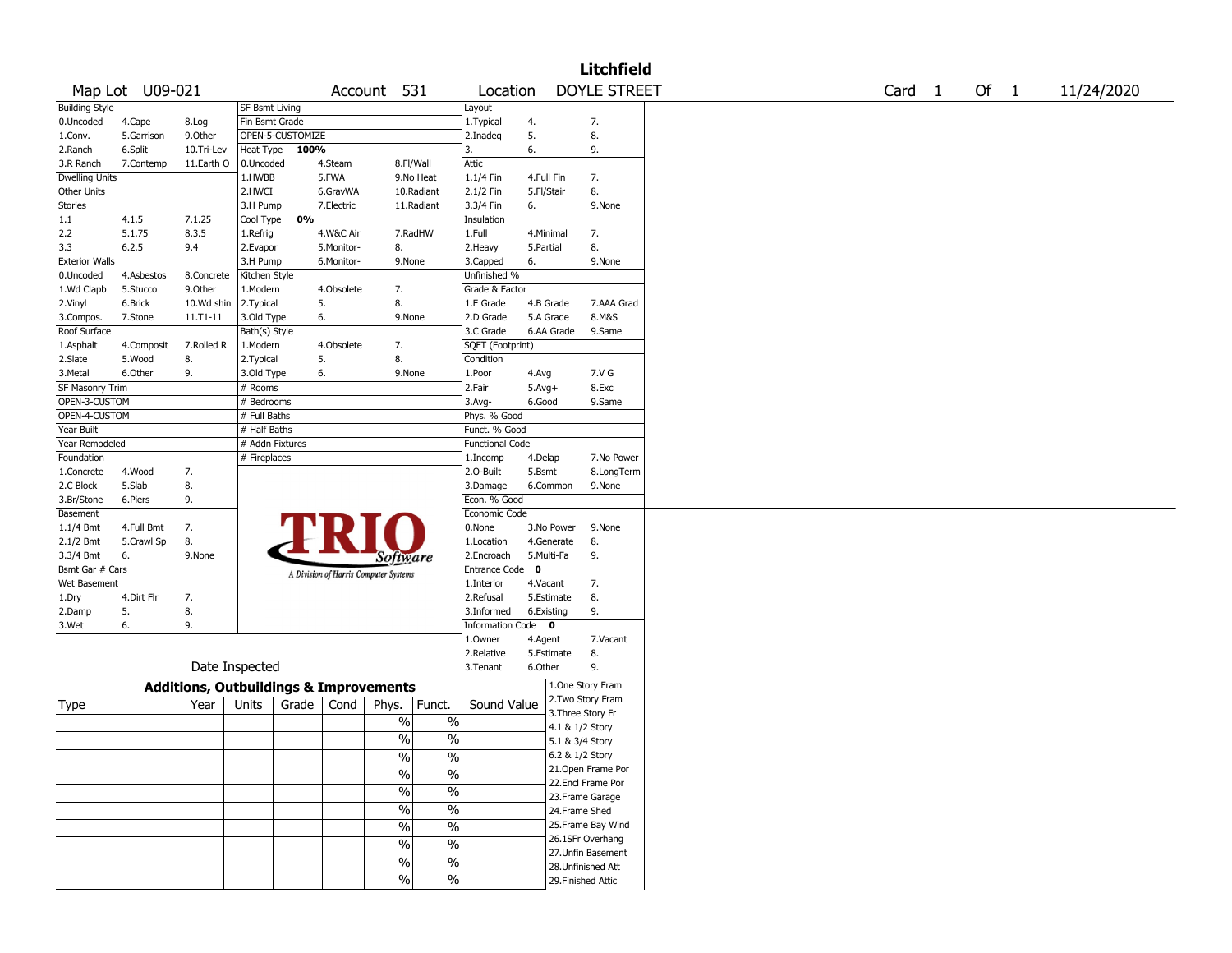|                       |                 |                                                   |                 |                  |            |                                       |                        |             |            | <b>Litchfield</b>                     |        |      |            |
|-----------------------|-----------------|---------------------------------------------------|-----------------|------------------|------------|---------------------------------------|------------------------|-------------|------------|---------------------------------------|--------|------|------------|
|                       | Map Lot U09-021 |                                                   |                 |                  |            | Account 531                           | Location               |             |            | <b>DOYLE STREET</b>                   | Card 1 | Of 1 | 11/24/2020 |
| <b>Building Style</b> |                 |                                                   | SF Bsmt Living  |                  |            |                                       | Layout                 |             |            |                                       |        |      |            |
| 0.Uncoded             | 4.Cape          | 8.Log                                             | Fin Bsmt Grade  |                  |            |                                       | 1.Typical              | 4.          |            | 7.                                    |        |      |            |
| 1.Conv.               | 5.Garrison      | 9.0ther                                           |                 | OPEN-5-CUSTOMIZE |            |                                       | 2.Inadeq               | 5.          |            | 8.                                    |        |      |            |
| 2.Ranch               | 6.Split         | 10.Tri-Lev                                        | Heat Type       | 100%             |            |                                       | 3.                     | 6.          |            | 9.                                    |        |      |            |
| 3.R Ranch             | 7.Contemp       | 11.Earth O                                        | 0.Uncoded       |                  | 4.Steam    | 8.Fl/Wall                             | Attic                  |             |            |                                       |        |      |            |
| <b>Dwelling Units</b> |                 |                                                   | 1.HWBB          |                  | 5.FWA      | 9.No Heat                             | 1.1/4 Fin              | 4.Full Fin  |            | 7.                                    |        |      |            |
| Other Units           |                 |                                                   | 2.HWCI          |                  | 6.GravWA   | 10.Radiant                            | 2.1/2 Fin              | 5.Fl/Stair  |            | 8.                                    |        |      |            |
| Stories               |                 |                                                   | 3.H Pump        |                  | 7.Electric | 11.Radiant                            | 3.3/4 Fin              | 6.          |            | 9.None                                |        |      |            |
| 1.1                   | 4.1.5           | 7.1.25                                            | Cool Type       | 0%               |            |                                       | Insulation             |             |            |                                       |        |      |            |
| 2.2                   | 5.1.75          | 8.3.5                                             | 1.Refrig        |                  | 4.W&C Air  | 7.RadHW                               | 1.Full                 | 4.Minimal   |            | 7.                                    |        |      |            |
| 3.3                   | 6.2.5           | 9.4                                               | 2.Evapor        |                  | 5.Monitor- | 8.                                    | 2. Heavy               | 5.Partial   |            | 8.                                    |        |      |            |
| <b>Exterior Walls</b> |                 |                                                   | 3.H Pump        |                  | 6.Monitor- | 9.None                                | 3.Capped               | 6.          |            | 9.None                                |        |      |            |
| 0.Uncoded             | 4.Asbestos      | 8.Concrete                                        | Kitchen Style   |                  |            |                                       | Unfinished %           |             |            |                                       |        |      |            |
| 1.Wd Clapb            | 5.Stucco        | 9.Other                                           | 1.Modern        |                  | 4.Obsolete | 7.                                    | Grade & Factor         |             |            |                                       |        |      |            |
| 2.Vinyl               | 6.Brick         | 10.Wd shin                                        | 2. Typical      |                  | 5.         | 8.                                    | 1.E Grade              | 4.B Grade   |            | 7.AAA Grad                            |        |      |            |
| 3.Compos.             | 7.Stone         | $11.71 - 11$                                      | 3.Old Type      |                  | 6.         | 9.None                                | 2.D Grade              | 5.A Grade   |            | 8.M&S                                 |        |      |            |
| Roof Surface          |                 |                                                   | Bath(s) Style   |                  |            |                                       | 3.C Grade              |             | 6.AA Grade | 9.Same                                |        |      |            |
| 1.Asphalt             | 4.Composit      | 7.Rolled R                                        | 1.Modern        |                  | 4.Obsolete | 7.                                    | SQFT (Footprint)       |             |            |                                       |        |      |            |
| 2.Slate               | 5.Wood          | 8.                                                | 2. Typical      |                  | 5.         | 8.                                    | Condition              |             |            |                                       |        |      |            |
| 3. Metal              | 6.Other         | 9.                                                | 3.Old Type      |                  | 6.         | 9.None                                | 1.Poor                 | 4.Avg       |            | 7.V G                                 |        |      |            |
| SF Masonry Trim       |                 |                                                   | # Rooms         |                  |            |                                       | 2.Fair                 | $5.Avg+$    |            | 8.Exc                                 |        |      |            |
| OPEN-3-CUSTOM         |                 |                                                   | # Bedrooms      |                  |            |                                       | 3.Avg-                 | 6.Good      |            | 9.Same                                |        |      |            |
| OPEN-4-CUSTOM         |                 |                                                   | # Full Baths    |                  |            |                                       | Phys. % Good           |             |            |                                       |        |      |            |
| Year Built            |                 |                                                   | # Half Baths    |                  |            |                                       | Funct. % Good          |             |            |                                       |        |      |            |
| Year Remodeled        |                 |                                                   | # Addn Fixtures |                  |            |                                       | <b>Functional Code</b> |             |            |                                       |        |      |            |
| Foundation            |                 |                                                   | # Fireplaces    |                  |            |                                       | 1.Incomp               | 4.Delap     |            | 7.No Power                            |        |      |            |
| 1.Concrete            | 4.Wood          | 7.                                                |                 |                  |            |                                       | 2.0-Built              | 5.Bsmt      |            | 8.LongTerm                            |        |      |            |
| 2.C Block             | 5.Slab          | 8.                                                |                 |                  |            |                                       | 3.Damage               | 6.Common    |            | 9.None                                |        |      |            |
| 3.Br/Stone            | 6.Piers         | 9.                                                |                 |                  |            |                                       | Econ. % Good           |             |            |                                       |        |      |            |
| Basement              |                 |                                                   |                 |                  |            |                                       | Economic Code          |             |            |                                       |        |      |            |
| 1.1/4 Bmt             | 4.Full Bmt      | 7.                                                |                 |                  |            |                                       | 0.None                 |             | 3.No Power | 9.None                                |        |      |            |
| 2.1/2 Bmt             | 5.Crawl Sp      | 8.                                                |                 |                  |            |                                       | 1.Location             |             | 4.Generate | 8.                                    |        |      |            |
| 3.3/4 Bmt             | 6.              | 9.None                                            |                 |                  |            | <i>Software</i>                       | 2.Encroach             | 5.Multi-Fa  |            | 9.                                    |        |      |            |
| Bsmt Gar # Cars       |                 |                                                   |                 |                  |            |                                       | <b>Entrance Code</b>   | $\mathbf 0$ |            |                                       |        |      |            |
| Wet Basement          |                 |                                                   |                 |                  |            | A Division of Harris Computer Systems | 1.Interior             | 4.Vacant    |            | 7.                                    |        |      |            |
| 1.Dry                 | 4.Dirt Flr      | 7.                                                |                 |                  |            |                                       | 2.Refusal              | 5.Estimate  |            | 8.                                    |        |      |            |
| 2.Damp                | 5.              | 8.                                                |                 |                  |            |                                       | 3.Informed             | 6.Existing  |            | 9.                                    |        |      |            |
| 3.Wet                 | 6.              | 9.                                                |                 |                  |            |                                       | Information Code 0     |             |            |                                       |        |      |            |
|                       |                 |                                                   |                 |                  |            |                                       | 1.Owner                | 4.Agent     |            | 7.Vacant                              |        |      |            |
|                       |                 |                                                   |                 |                  |            |                                       | 2.Relative             | 5.Estimate  |            | 8.                                    |        |      |            |
|                       |                 | Date Inspected                                    |                 |                  |            |                                       | 3.Tenant               | 6.Other     |            | 9.                                    |        |      |            |
|                       |                 |                                                   |                 |                  |            |                                       |                        |             |            |                                       |        |      |            |
|                       |                 | <b>Additions, Outbuildings &amp; Improvements</b> |                 |                  |            |                                       |                        |             |            | 1.One Story Fram<br>2. Two Story Fram |        |      |            |
| Type                  |                 | Year                                              | Units           | Grade            | Cond       | Funct.<br>Phys.                       | Sound Value            |             |            | 3. Three Story Fr                     |        |      |            |
|                       |                 |                                                   |                 |                  |            | $\%$<br>$\%$                          |                        |             |            | 4.1 & 1/2 Story                       |        |      |            |
|                       |                 |                                                   |                 |                  |            | $\frac{0}{0}$<br>$\%$                 |                        |             |            | 5.1 & 3/4 Story                       |        |      |            |
|                       |                 |                                                   |                 |                  |            |                                       |                        |             |            | 6.2 & 1/2 Story                       |        |      |            |
|                       |                 |                                                   |                 |                  |            | $\frac{9}{6}$<br>$\frac{9}{6}$        |                        |             |            | 21. Open Frame Por                    |        |      |            |
|                       |                 |                                                   |                 |                  |            | $\sqrt{6}$<br>$\%$                    |                        |             |            | 22.Encl Frame Por                     |        |      |            |
|                       |                 |                                                   |                 |                  |            | $\sqrt{6}$<br>$\%$                    |                        |             |            | 23. Frame Garage                      |        |      |            |
|                       |                 |                                                   |                 |                  |            | $\sqrt{6}$<br>$\%$                    |                        |             |            | 24.Frame Shed                         |        |      |            |
|                       |                 |                                                   |                 |                  |            |                                       |                        |             |            |                                       |        |      |            |
|                       |                 |                                                   |                 |                  |            | $\%$<br>$\frac{0}{0}$                 |                        |             |            | 25. Frame Bay Wind                    |        |      |            |
|                       |                 |                                                   |                 |                  |            | $\%$<br>$\%$                          |                        |             |            | 26.1SFr Overhang                      |        |      |            |
|                       |                 |                                                   |                 |                  |            | $\frac{1}{2}$<br>$\sqrt{6}$           |                        |             |            | 27.Unfin Basement                     |        |      |            |
|                       |                 |                                                   |                 |                  |            |                                       |                        |             |            | 28.Unfinished Att                     |        |      |            |
|                       |                 |                                                   |                 |                  |            | $\sqrt{6}$<br>$\frac{0}{0}$           |                        |             |            | 29. Finished Attic                    |        |      |            |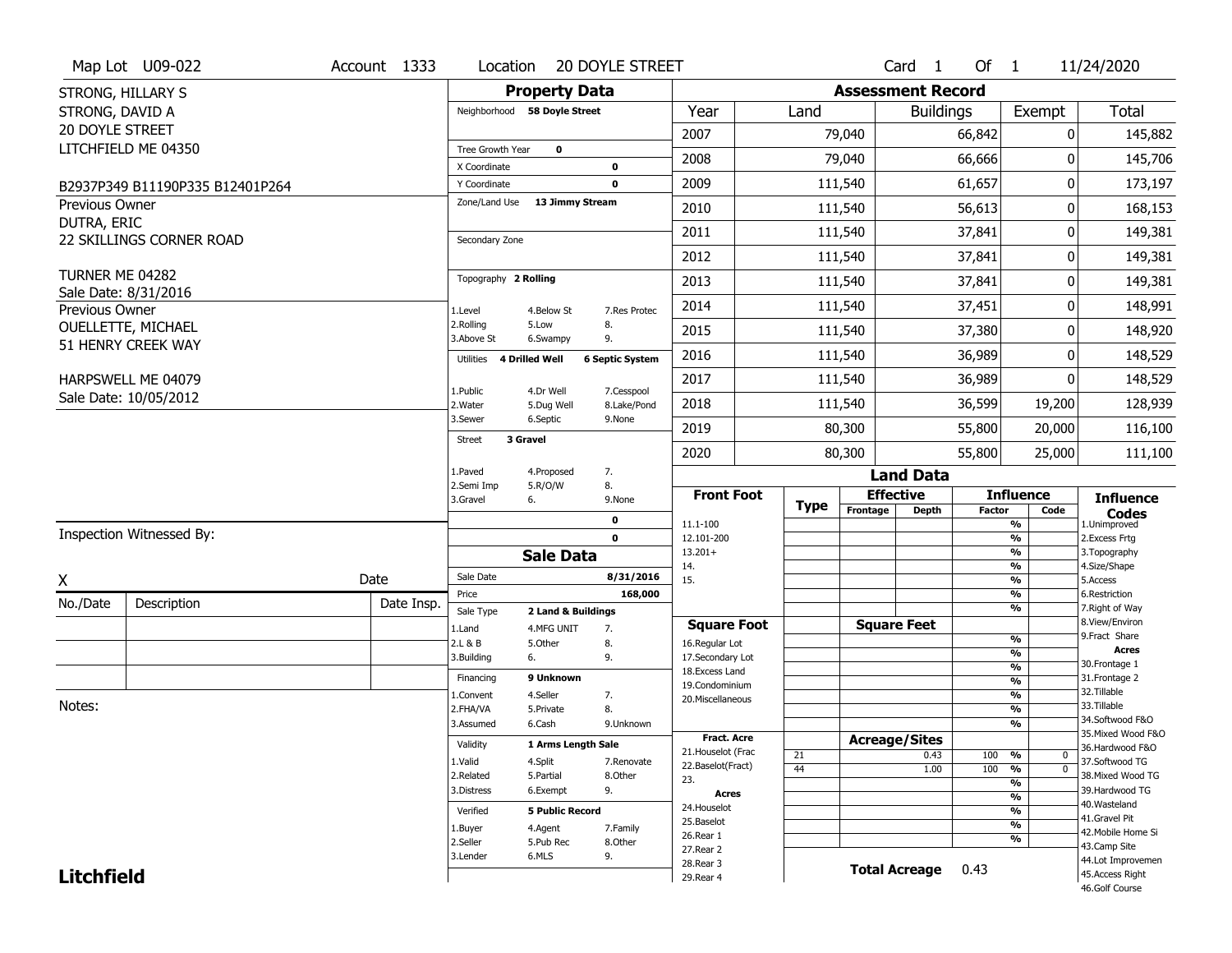|                          | Map Lot U09-022                 | Account 1333 | Location                           | <b>20 DOYLE STREET</b>                               |                                         |             |          | $Card \t1$               | Of $1$        |                                | 11/24/2020                        |
|--------------------------|---------------------------------|--------------|------------------------------------|------------------------------------------------------|-----------------------------------------|-------------|----------|--------------------------|---------------|--------------------------------|-----------------------------------|
| <b>STRONG, HILLARY S</b> |                                 |              |                                    | <b>Property Data</b>                                 |                                         |             |          | <b>Assessment Record</b> |               |                                |                                   |
| STRONG, DAVID A          |                                 |              | Neighborhood 58 Doyle Street       |                                                      | Year                                    | Land        |          | <b>Buildings</b>         |               | Exempt                         | <b>Total</b>                      |
| <b>20 DOYLE STREET</b>   |                                 |              |                                    |                                                      | 2007                                    |             | 79,040   |                          | 66,842        | 0                              | 145,882                           |
|                          | LITCHFIELD ME 04350             |              | Tree Growth Year                   | $\mathbf 0$                                          | 2008                                    |             | 79,040   |                          | 66,666        | $\Omega$                       | 145,706                           |
|                          |                                 |              | X Coordinate                       | $\mathbf 0$                                          |                                         |             |          |                          |               |                                |                                   |
|                          | B2937P349 B11190P335 B12401P264 |              | Y Coordinate                       | 0                                                    | 2009                                    |             | 111,540  |                          | 61,657        | $\pmb{0}$                      | 173,197                           |
| Previous Owner           |                                 |              | Zone/Land Use                      | 13 Jimmy Stream                                      | 2010                                    |             | 111,540  |                          | 56,613        | 0                              | 168,153                           |
| DUTRA, ERIC              | 22 SKILLINGS CORNER ROAD        |              | Secondary Zone                     |                                                      | 2011                                    |             | 111,540  |                          | 37,841        | 0                              | 149,381                           |
|                          |                                 |              |                                    |                                                      | 2012                                    |             | 111,540  |                          | 37,841        | 0                              | 149,381                           |
| TURNER ME 04282          |                                 |              | Topography 2 Rolling               |                                                      | 2013                                    |             | 111,540  |                          | 37,841        | 0                              | 149,381                           |
| Previous Owner           | Sale Date: 8/31/2016            |              | 1.Level                            | 4.Below St<br>7.Res Protec                           | 2014                                    |             | 111,540  |                          | 37,451        | 0                              | 148,991                           |
|                          | <b>OUELLETTE, MICHAEL</b>       |              | 2.Rolling<br>3.Above St            | 5.Low<br>8.<br>9.<br>6.Swampy                        | 2015                                    |             | 111,540  |                          | 37,380        | 0                              | 148,920                           |
|                          | 51 HENRY CREEK WAY              |              | <b>4 Drilled Well</b><br>Utilities | <b>6 Septic System</b>                               | 2016                                    |             | 111,540  |                          | 36,989        | 0                              | 148,529                           |
|                          | HARPSWELL ME 04079              |              |                                    |                                                      | 2017                                    |             | 111,540  |                          | 36,989        | 0                              | 148,529                           |
|                          | Sale Date: 10/05/2012           |              | 1.Public<br>2. Water               | 4.Dr Well<br>7.Cesspool<br>5.Dug Well<br>8.Lake/Pond | 2018                                    |             | 111,540  |                          | 36,599        | 19,200                         | 128,939                           |
|                          |                                 |              | 3.Sewer                            | 6.Septic<br>9.None                                   | 2019                                    |             | 80,300   |                          | 55,800        | 20,000                         | 116,100                           |
|                          |                                 |              | 3 Gravel<br>Street                 |                                                      | 2020                                    |             | 80,300   |                          | 55,800        | 25,000                         | 111,100                           |
|                          |                                 |              | 1.Paved                            | 4.Proposed<br>7.                                     |                                         |             |          | <b>Land Data</b>         |               |                                |                                   |
|                          |                                 |              | 2.Semi Imp                         | 8.<br>5.R/O/W                                        |                                         |             |          |                          |               |                                |                                   |
|                          |                                 |              |                                    |                                                      | <b>Front Foot</b>                       |             |          | <b>Effective</b>         |               | <b>Influence</b>               |                                   |
|                          |                                 |              | 3.Gravel<br>6.                     | 9.None                                               |                                         | <b>Type</b> | Frontage | <b>Depth</b>             | <b>Factor</b> | Code                           | <b>Influence</b><br><b>Codes</b>  |
|                          | Inspection Witnessed By:        |              |                                    | 0<br>$\mathbf 0$                                     | 11.1-100<br>12.101-200                  |             |          |                          |               | %<br>$\overline{\frac{9}{6}}$  | 1.Unimproved                      |
|                          |                                 |              |                                    | <b>Sale Data</b>                                     | $13.201+$                               |             |          |                          |               | %                              | 2. Excess Frtg<br>3. Topography   |
|                          |                                 |              | Sale Date                          | 8/31/2016                                            | 14.                                     |             |          |                          |               | %                              | 4.Size/Shape                      |
| Χ                        |                                 | Date         | Price                              | 168,000                                              | 15.                                     |             |          |                          |               | %<br>%                         | 5.Access<br>6.Restriction         |
| No./Date                 | Description                     | Date Insp.   | Sale Type                          | 2 Land & Buildings                                   |                                         |             |          |                          |               | %                              | 7. Right of Way                   |
|                          |                                 |              | 1.Land                             | 4.MFG UNIT<br>7.                                     | <b>Square Foot</b>                      |             |          | <b>Square Feet</b>       |               |                                | 8.View/Environ<br>9.Fract Share   |
|                          |                                 |              | 2.L & B                            | 5.Other<br>8.                                        | 16.Regular Lot                          |             |          |                          |               | $\frac{9}{6}$<br>$\frac{9}{6}$ | <b>Acres</b>                      |
|                          |                                 |              | 3.Building<br>6.                   | 9.                                                   | 17.Secondary Lot<br>18. Excess Land     |             |          |                          |               | $\frac{9}{6}$                  | 30.Frontage 1                     |
|                          |                                 |              | Financing                          | 9 Unknown                                            | 19.Condominium                          |             |          |                          |               | $\frac{9}{6}$                  | 31. Frontage 2                    |
|                          |                                 |              | 1.Convent                          | 4.Seller<br>7.                                       | 20.Miscellaneous                        |             |          |                          |               | $\frac{9}{6}$                  | 32. Tillable                      |
| Notes:                   |                                 |              | 2.FHA/VA                           | 8.<br>5.Private                                      |                                         |             |          |                          |               | $\frac{9}{6}$                  | 33.Tillable<br>34.Softwood F&O    |
|                          |                                 |              | 3.Assumed                          | 6.Cash<br>9.Unknown                                  |                                         |             |          |                          |               | $\frac{9}{6}$                  | 35. Mixed Wood F&O                |
|                          |                                 |              | Validity                           | 1 Arms Length Sale                                   | Fract. Acre                             |             |          | <b>Acreage/Sites</b>     |               |                                | 36.Hardwood F&O                   |
|                          |                                 |              | 1.Valid                            | 4.Split<br>7.Renovate                                | 21. Houselot (Frac<br>22.Baselot(Fract) | 21          |          | 0.43                     | 100           | %<br>0                         | 37.Softwood TG                    |
|                          |                                 |              | 2.Related                          | 5.Partial<br>8.Other                                 | 23.                                     | 44          |          | 1.00                     | 100           | $\overline{0}$<br>%            | 38. Mixed Wood TG                 |
|                          |                                 |              | 3.Distress                         | 9.<br>6.Exempt                                       | Acres                                   |             |          |                          |               | %<br>$\frac{9}{6}$             | 39.Hardwood TG                    |
|                          |                                 |              | Verified                           | <b>5 Public Record</b>                               | 24. Houselot                            |             |          |                          |               | %                              | 40. Wasteland                     |
|                          |                                 |              | 1.Buyer                            | 4.Agent<br>7.Family                                  | 25.Baselot                              |             |          |                          |               | $\frac{9}{6}$                  | 41.Gravel Pit                     |
|                          |                                 |              | 2.Seller                           | 5.Pub Rec<br>8.Other                                 | 26.Rear 1                               |             |          |                          |               | %                              | 42. Mobile Home Si                |
|                          |                                 |              | 3.Lender                           | 6.MLS<br>9.                                          | 27.Rear 2                               |             |          |                          |               |                                | 43.Camp Site<br>44.Lot Improvemen |
| <b>Litchfield</b>        |                                 |              |                                    |                                                      | 28. Rear 3<br>29. Rear 4                |             |          | <b>Total Acreage</b>     | 0.43          |                                | 45.Access Right<br>46.Golf Course |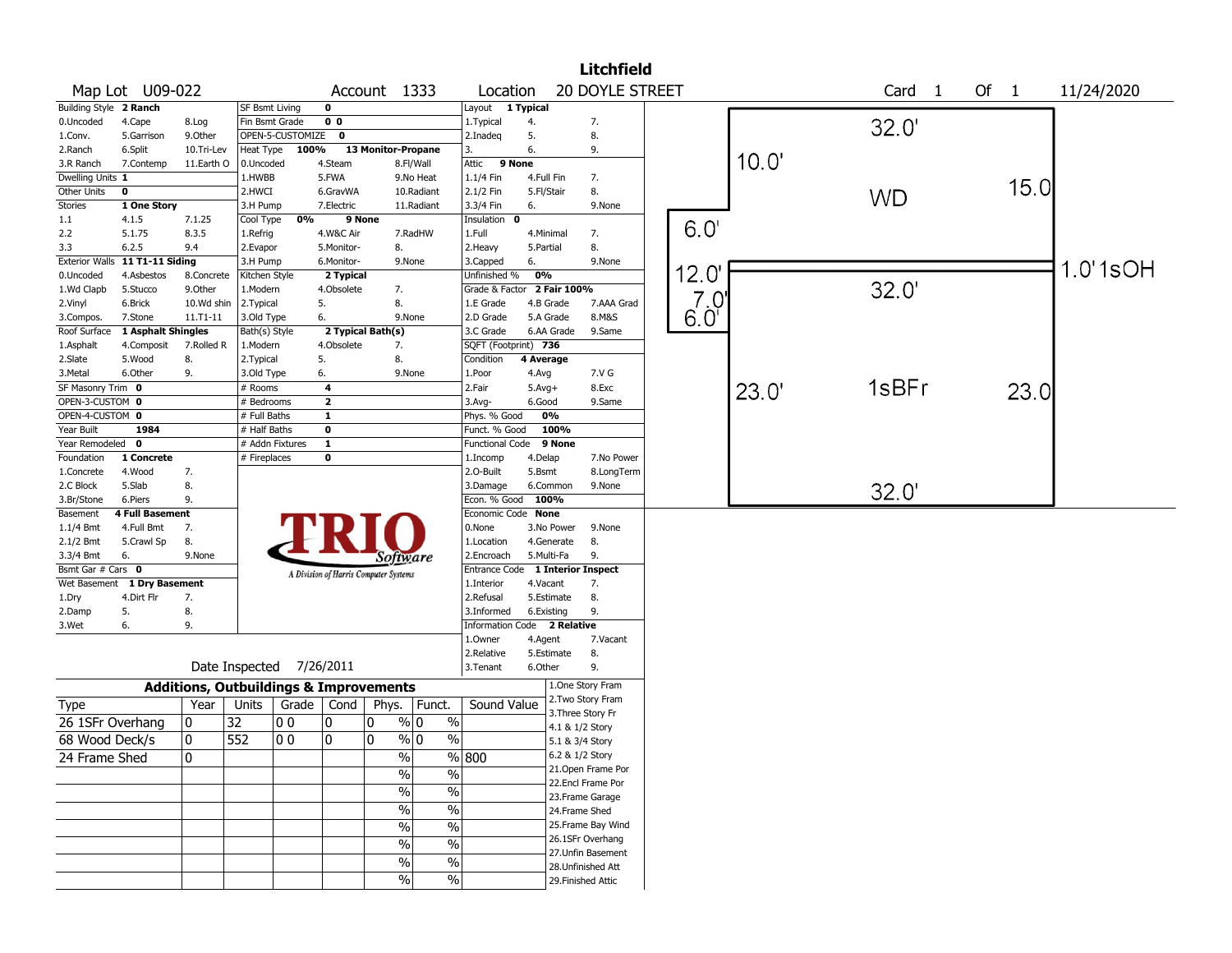|                       |                    |                                                   |                 |                  |                         |                                       |                          |                         |             | <b>Litchfield</b>                       |               |       |                   |        |      |            |
|-----------------------|--------------------|---------------------------------------------------|-----------------|------------------|-------------------------|---------------------------------------|--------------------------|-------------------------|-------------|-----------------------------------------|---------------|-------|-------------------|--------|------|------------|
|                       | Map Lot U09-022    |                                                   |                 |                  |                         | Account 1333                          |                          | Location                |             | 20 DOYLE STREET                         |               |       | Card <sub>1</sub> | Of $1$ |      | 11/24/2020 |
| <b>Building Style</b> | 2 Ranch            |                                                   | SF Bsmt Living  |                  | $\overline{\mathbf{0}}$ |                                       |                          | Layout                  | 1 Typical   |                                         |               |       |                   |        |      |            |
| 0.Uncoded             | 4.Cape             | 8.Log                                             | Fin Bsmt Grade  |                  | 0 <sub>0</sub>          |                                       |                          | 1. Typical              | 4.          | 7.                                      |               |       | 32.0'             |        |      |            |
| 1.Conv.               | 5.Garrison         | 9.0ther                                           |                 | OPEN-5-CUSTOMIZE | $\mathbf 0$             |                                       |                          | 2.Inadeg                | 5.          | 8.                                      |               |       |                   |        |      |            |
| 2.Ranch               | 6.Split            | 10.Tri-Lev                                        | Heat Type       | 100%             |                         | 13 Monitor-Propane                    |                          | 3.                      | 6.          | 9.                                      |               |       |                   |        |      |            |
| 3.R Ranch             | 7.Contemp          | 11.Earth O                                        | 0.Uncoded       |                  | 4.Steam                 |                                       | 8.Fl/Wall                | Attic<br>9 None         |             |                                         |               | 10.0' |                   |        |      |            |
| Dwelling Units 1      |                    |                                                   | 1.HWBB          |                  | 5.FWA                   |                                       | 9.No Heat                | 1.1/4 Fin               | 4.Full Fin  | 7.                                      |               |       |                   |        |      |            |
| Other Units           | $\pmb{0}$          |                                                   | 2.HWCI          |                  | 6.GravWA                |                                       | 10.Radiant               | 2.1/2 Fin               | 5.Fl/Stair  | 8.                                      |               |       | <b>WD</b>         |        | 15.0 |            |
| <b>Stories</b>        | 1 One Story        |                                                   | 3.H Pump        |                  | 7.Electric              |                                       | 11.Radiant               | 3.3/4 Fin               | 6.          | 9.None                                  |               |       |                   |        |      |            |
| 1.1                   | 4.1.5              | 7.1.25                                            | Cool Type       | 0%               | 9 None                  |                                       |                          | Insulation<br>0         |             |                                         |               |       |                   |        |      |            |
| 2.2                   | 5.1.75             | 8.3.5                                             | 1.Refrig        |                  | 4.W&C Air               |                                       | 7.RadHW                  | 1.Full                  | 4.Minimal   | 7.                                      | 6.0'          |       |                   |        |      |            |
| 3.3                   | 6.2.5              | 9.4                                               | 2.Evapor        |                  | 5.Monitor-              | 8.                                    |                          | 2. Heavy                | 5.Partial   | 8.                                      |               |       |                   |        |      |            |
| <b>Exterior Walls</b> | 11 T1-11 Siding    |                                                   | 3.H Pump        |                  | 6.Monitor-              | 9.None                                |                          | 3.Capped                | 6.          | 9.None                                  |               |       |                   |        |      | 1.0'1sOH   |
| 0.Uncoded             | 4.Asbestos         | 8.Concrete                                        | Kitchen Style   |                  | 2 Typical               |                                       |                          | Unfinished %            | 0%          |                                         | 12.0          |       |                   |        |      |            |
| 1.Wd Clapb            | 5.Stucco           | 9.0ther                                           | 1.Modern        |                  | 4.Obsolete              | 7.                                    |                          | Grade & Factor          | 2 Fair 100% |                                         |               |       | 32.0'             |        |      |            |
| 2.Vinyl               | 6.Brick            | 10.Wd shin                                        | 2.Typical       |                  | 5.                      | 8.                                    |                          | 1.E Grade               | 4.B Grade   | 7.AAA Grad                              | 7.0           |       |                   |        |      |            |
| 3.Compos.             | 7.Stone            | 11.T1-11                                          | 3.Old Type      |                  | 6.                      | 9.None                                |                          | 2.D Grade               | 5.A Grade   | 8.M&S                                   | $6.0^{\circ}$ |       |                   |        |      |            |
| Roof Surface          | 1 Asphalt Shingles |                                                   | Bath(s) Style   |                  |                         | 2 Typical Bath(s)                     |                          | 3.C Grade               | 6.AA Grade  | 9.Same                                  |               |       |                   |        |      |            |
| 1.Asphalt             | 4.Composit         | 7.Rolled R                                        | 1.Modern        |                  | 4.Obsolete              | 7.                                    |                          | SQFT (Footprint) 736    |             |                                         |               |       |                   |        |      |            |
| 2.Slate               | 5.Wood             | 8.                                                | 2. Typical      |                  | 5.                      | 8.                                    |                          | Condition               | 4 Average   |                                         |               |       |                   |        |      |            |
| 3.Metal               | 6.Other            | 9.                                                | 3.Old Type      |                  | 6.                      | 9.None                                |                          | 1.Poor                  | 4.Avg       | 7.V G                                   |               |       |                   |        |      |            |
| SF Masonry Trim 0     |                    |                                                   | # Rooms         |                  | $\overline{\mathbf{4}}$ |                                       |                          | 2.Fair                  | $5.Avg+$    | 8.Exc                                   |               | 23.0' | 1sBFr             |        | 23.0 |            |
| OPEN-3-CUSTOM 0       |                    |                                                   | # Bedrooms      |                  | $\overline{2}$          |                                       |                          | 3.Avg-                  | 6.Good      | 9.Same                                  |               |       |                   |        |      |            |
| OPEN-4-CUSTOM 0       |                    |                                                   | # Full Baths    |                  | $\overline{1}$          |                                       |                          | Phys. % Good            | 0%          |                                         |               |       |                   |        |      |            |
| Year Built            | 1984               |                                                   | # Half Baths    |                  | $\overline{\mathbf{0}}$ |                                       |                          | Funct. % Good           | 100%        |                                         |               |       |                   |        |      |            |
| Year Remodeled        | 0                  |                                                   | # Addn Fixtures |                  | $\overline{1}$          |                                       |                          | <b>Functional Code</b>  | 9 None      |                                         |               |       |                   |        |      |            |
| Foundation            | 1 Concrete         |                                                   | # Fireplaces    |                  | 0                       |                                       |                          | 1.Incomp                | 4.Delap     | 7.No Power                              |               |       |                   |        |      |            |
| 1.Concrete            | 4.Wood             | 7.                                                |                 |                  |                         |                                       |                          | 2.0-Built               | 5.Bsmt      | 8.LongTerm                              |               |       |                   |        |      |            |
| 2.C Block             | 5.Slab             | 8.                                                |                 |                  |                         |                                       |                          | 3.Damage                | 6.Common    | 9.None                                  |               |       | 32.0'             |        |      |            |
| 3.Br/Stone            | 6.Piers            | 9.                                                |                 |                  |                         |                                       |                          | Econ. % Good            | 100%        |                                         |               |       |                   |        |      |            |
| Basement              | 4 Full Basement    |                                                   |                 |                  |                         |                                       |                          | Economic Code None      |             |                                         |               |       |                   |        |      |            |
| 1.1/4 Bmt             | 4.Full Bmt         | 7.                                                |                 |                  |                         |                                       |                          | 0.None                  | 3.No Power  | 9.None                                  |               |       |                   |        |      |            |
| 2.1/2 Bmt             | 5.Crawl Sp         | 8.                                                |                 |                  |                         |                                       |                          | 1.Location              | 4.Generate  | 8.                                      |               |       |                   |        |      |            |
| 3.3/4 Bmt             | 6.                 | 9.None                                            |                 |                  |                         | Software                              |                          | 2.Encroach              | 5.Multi-Fa  | 9.                                      |               |       |                   |        |      |            |
| Bsmt Gar # Cars 0     |                    |                                                   |                 |                  |                         | A Division of Harris Computer Systems |                          | <b>Entrance Code</b>    |             | <b>1 Interior Inspect</b>               |               |       |                   |        |      |            |
| Wet Basement          | 1 Dry Basement     |                                                   |                 |                  |                         |                                       |                          | 1.Interior              | 4.Vacant    | 7.                                      |               |       |                   |        |      |            |
| 1.Dry                 | 4.Dirt Flr         | 7.                                                |                 |                  |                         |                                       |                          | 2.Refusal               | 5.Estimate  | 8.                                      |               |       |                   |        |      |            |
| 2.Damp                | 5.                 | 8.                                                |                 |                  |                         |                                       |                          | 3.Informed              | 6.Existing  | 9.                                      |               |       |                   |        |      |            |
| 3.Wet                 | 6.                 | 9.                                                |                 |                  |                         |                                       |                          | <b>Information Code</b> |             | 2 Relative                              |               |       |                   |        |      |            |
|                       |                    |                                                   |                 |                  |                         |                                       |                          | 1.0wner                 | 4.Agent     | 7.Vacant                                |               |       |                   |        |      |            |
|                       |                    |                                                   |                 |                  |                         |                                       |                          | 2.Relative              | 5.Estimate  | 8.                                      |               |       |                   |        |      |            |
|                       |                    |                                                   | Date Inspected  |                  | 7/26/2011               |                                       |                          | 3.Tenant                | 6.Other     | 9.                                      |               |       |                   |        |      |            |
|                       |                    | <b>Additions, Outbuildings &amp; Improvements</b> |                 |                  |                         |                                       |                          |                         |             | 1.One Story Fram                        |               |       |                   |        |      |            |
| <b>Type</b>           |                    | Year                                              | Units           | Grade            | Cond                    | Phys.                                 | Funct.                   | Sound Value             |             | 2. Two Story Fram                       |               |       |                   |        |      |            |
| 26 1SFr Overhang      |                    | 0                                                 | 32              | 00               | 10                      | 0                                     | $\%$ 0<br>$\%$           |                         |             | 3. Three Story Fr                       |               |       |                   |        |      |            |
| 68 Wood Deck/s        |                    | 0                                                 | 552             | O O              | 0                       | 0                                     | $\%$<br>% 0              |                         |             | 4.1 & 1/2 Story<br>5.1 & 3/4 Story      |               |       |                   |        |      |            |
|                       |                    |                                                   |                 |                  |                         |                                       |                          |                         |             | 6.2 & 1/2 Story                         |               |       |                   |        |      |            |
| 24 Frame Shed         |                    | 0                                                 |                 |                  |                         | $\sqrt{6}$                            |                          | % 800                   |             |                                         |               |       |                   |        |      |            |
|                       |                    |                                                   |                 |                  |                         | %                                     | $\frac{0}{0}$            |                         |             | 21. Open Frame Por<br>22.Encl Frame Por |               |       |                   |        |      |            |
|                       |                    |                                                   |                 |                  |                         | $\sqrt{6}$                            | $\overline{\frac{0}{6}}$ |                         |             | 23. Frame Garage                        |               |       |                   |        |      |            |
|                       |                    |                                                   |                 |                  |                         | $\sqrt{0}$                            | $\overline{\frac{0}{6}}$ |                         |             | 24.Frame Shed                           |               |       |                   |        |      |            |
|                       |                    |                                                   |                 |                  |                         |                                       |                          |                         |             | 25.Frame Bay Wind                       |               |       |                   |        |      |            |
|                       |                    |                                                   |                 |                  |                         | $\sqrt{6}$                            | $\overline{\frac{0}{6}}$ |                         |             | 26.1SFr Overhang                        |               |       |                   |        |      |            |
|                       |                    |                                                   |                 |                  |                         | $\sqrt{0}$                            | $\frac{0}{0}$            |                         |             | 27. Unfin Basement                      |               |       |                   |        |      |            |
|                       |                    |                                                   |                 |                  |                         | $\%$                                  | $\%$                     |                         |             | 28. Unfinished Att                      |               |       |                   |        |      |            |
|                       |                    |                                                   |                 |                  |                         | $\sqrt{0}$                            | $\%$                     |                         |             | 29. Finished Attic                      |               |       |                   |        |      |            |
|                       |                    |                                                   |                 |                  |                         |                                       |                          |                         |             |                                         |               |       |                   |        |      |            |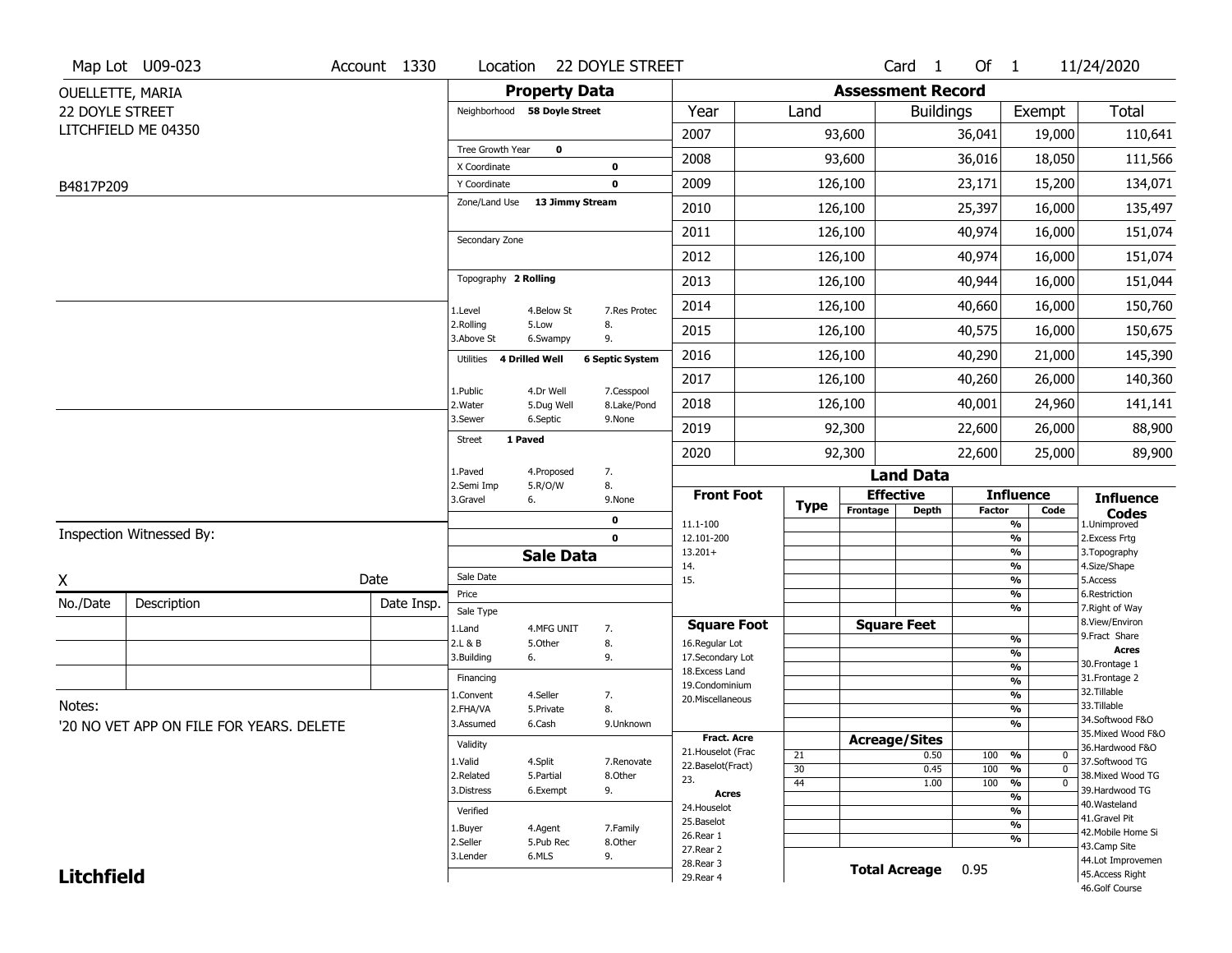|                   | Map Lot U09-023                          | Account 1330 | Location                     |                              | <b>22 DOYLE STREET</b> |                                         |             |                          | Card <sub>1</sub>    | Of $1$        |                                            | 11/24/2020                            |
|-------------------|------------------------------------------|--------------|------------------------------|------------------------------|------------------------|-----------------------------------------|-------------|--------------------------|----------------------|---------------|--------------------------------------------|---------------------------------------|
| OUELLETTE, MARIA  |                                          |              |                              | <b>Property Data</b>         |                        |                                         |             | <b>Assessment Record</b> |                      |               |                                            |                                       |
| 22 DOYLE STREET   |                                          |              |                              | Neighborhood 58 Doyle Street |                        | Year                                    | Land        |                          | <b>Buildings</b>     |               | Exempt                                     | <b>Total</b>                          |
|                   | LITCHFIELD ME 04350                      |              |                              |                              |                        | 2007                                    |             | 93,600                   |                      | 36,041        | 19,000                                     | 110,641                               |
|                   |                                          |              | Tree Growth Year             | $\mathbf 0$                  |                        | 2008                                    |             | 93,600                   |                      | 36,016        | 18,050                                     | 111,566                               |
| B4817P209         |                                          |              | X Coordinate<br>Y Coordinate |                              | 0<br>0                 | 2009                                    |             | 126,100                  |                      | 23,171        | 15,200                                     | 134,071                               |
|                   |                                          |              | Zone/Land Use                | 13 Jimmy Stream              |                        | 2010                                    |             | 126,100                  |                      | 25,397        | 16,000                                     | 135,497                               |
|                   |                                          |              |                              |                              |                        | 2011                                    |             | 126,100                  |                      | 40,974        | 16,000                                     | 151,074                               |
|                   |                                          |              | Secondary Zone               |                              |                        | 2012                                    |             | 126,100                  |                      | 40,974        | 16,000                                     | 151,074                               |
|                   |                                          |              | Topography 2 Rolling         |                              |                        | 2013                                    |             | 126,100                  |                      | 40,944        | 16,000                                     |                                       |
|                   |                                          |              |                              |                              |                        |                                         |             |                          |                      |               |                                            | 151,044                               |
|                   |                                          |              | 1.Level<br>2.Rolling         | 4.Below St<br>5.Low          | 7.Res Protec<br>8.     | 2014                                    |             | 126,100                  |                      | 40,660        | 16,000                                     | 150,760                               |
|                   |                                          |              | 3.Above St                   | 6.Swampy                     | 9.                     | 2015                                    |             | 126,100                  |                      | 40,575        | 16,000                                     | 150,675                               |
|                   |                                          |              | Utilities                    | 4 Drilled Well               | <b>6 Septic System</b> | 2016                                    |             | 126,100                  |                      | 40,290        | 21,000                                     | 145,390                               |
|                   |                                          |              | 1.Public                     | 4.Dr Well                    | 7.Cesspool             | 2017                                    |             | 126,100                  |                      | 40,260        | 26,000                                     | 140,360                               |
|                   |                                          |              | 2. Water<br>3.Sewer          | 5.Dug Well<br>6.Septic       | 8.Lake/Pond<br>9.None  | 2018                                    |             | 126,100                  |                      | 40,001        | 24,960                                     | 141,141                               |
|                   |                                          |              | <b>Street</b>                | 1 Paved                      |                        | 2019                                    |             | 92,300                   |                      | 22,600        | 26,000                                     | 88,900                                |
|                   |                                          |              |                              |                              |                        | 2020                                    |             | 92,300                   |                      | 22,600        | 25,000                                     | 89,900                                |
|                   |                                          |              | 1.Paved<br>2.Semi Imp        | 4.Proposed<br>5.R/O/W        | 7.<br>8.               |                                         |             |                          | <b>Land Data</b>     |               |                                            |                                       |
|                   |                                          |              | 3.Gravel                     | 6.                           | 9.None                 | <b>Front Foot</b>                       |             |                          | <b>Effective</b>     |               | <b>Influence</b>                           | <b>Influence</b>                      |
|                   |                                          |              |                              |                              |                        |                                         |             |                          |                      |               |                                            |                                       |
|                   |                                          |              |                              |                              | 0                      | 11.1-100                                | <b>Type</b> | Frontage                 | Depth                | <b>Factor</b> | Code<br>%                                  | <b>Codes</b><br>1.Unimproved          |
|                   | Inspection Witnessed By:                 |              |                              |                              | $\mathbf 0$            | 12.101-200                              |             |                          |                      |               | $\frac{9}{6}$                              | 2.Excess Frtg                         |
|                   |                                          |              |                              | <b>Sale Data</b>             |                        | $13.201+$<br>14.                        |             |                          |                      |               | %<br>$\frac{9}{6}$                         | 3. Topography<br>4.Size/Shape         |
| X                 |                                          | Date         | Sale Date                    |                              |                        | 15.                                     |             |                          |                      |               | %                                          | 5.Access                              |
| No./Date          | Description                              | Date Insp.   | Price<br>Sale Type           |                              |                        |                                         |             |                          |                      |               | %<br>%                                     | 6.Restriction<br>7. Right of Way      |
|                   |                                          |              | 1.Land                       | 4.MFG UNIT                   | 7.                     | <b>Square Foot</b>                      |             |                          | <b>Square Feet</b>   |               |                                            | 8.View/Environ                        |
|                   |                                          |              | 2.L & B                      | 5.Other                      | 8.                     | 16.Regular Lot                          |             |                          |                      |               | $\frac{9}{6}$                              | 9.Fract Share<br><b>Acres</b>         |
|                   |                                          |              | 3.Building                   | 6.                           | 9.                     | 17.Secondary Lot                        |             |                          |                      |               | %<br>$\frac{9}{6}$                         | 30. Frontage 1                        |
|                   |                                          |              | Financing                    |                              |                        | 18. Excess Land<br>19.Condominium       |             |                          |                      |               | $\overline{\frac{9}{6}}$                   | 31. Frontage 2                        |
|                   |                                          |              | 1.Convent                    | 4.Seller                     | 7.                     | 20.Miscellaneous                        |             |                          |                      |               | $\frac{9}{6}$                              | 32.Tillable                           |
| Notes:            |                                          |              | 2.FHA/VA                     | 5.Private                    | 8.                     |                                         |             |                          |                      |               | $\overline{\frac{9}{6}}$                   | 33.Tillable                           |
|                   | '20 NO VET APP ON FILE FOR YEARS, DELETE |              | 3.Assumed                    | 6.Cash                       | 9.Unknown              |                                         |             |                          |                      |               | %                                          | 34.Softwood F&O<br>35. Mixed Wood F&O |
|                   |                                          |              | Validity                     |                              |                        | <b>Fract. Acre</b>                      |             | <b>Acreage/Sites</b>     |                      |               |                                            | 36.Hardwood F&O                       |
|                   |                                          |              | 1.Valid                      | 4.Split                      | 7.Renovate             | 21. Houselot (Frac<br>22.Baselot(Fract) | 21          |                          | 0.50                 | 100           | %<br>0                                     | 37.Softwood TG                        |
|                   |                                          |              | 2.Related                    | 5.Partial                    | 8.Other                | 23.                                     | 30<br>44    |                          | 0.45<br>1.00         | 100<br>100    | $\overline{0}$<br>%<br>$\overline{0}$<br>% | 38. Mixed Wood TG                     |
|                   |                                          |              | 3.Distress                   | 6.Exempt                     | 9.                     | <b>Acres</b>                            |             |                          |                      |               | $\overline{\frac{9}{6}}$                   | 39.Hardwood TG                        |
|                   |                                          |              | Verified                     |                              |                        | 24. Houselot                            |             |                          |                      |               | %                                          | 40. Wasteland                         |
|                   |                                          |              | 1.Buyer                      | 4.Agent                      | 7.Family               | 25.Baselot                              |             |                          |                      |               | $\frac{9}{6}$                              | 41.Gravel Pit<br>42. Mobile Home Si   |
|                   |                                          |              | 2.Seller                     | 5.Pub Rec                    | 8.Other                | 26.Rear 1                               |             |                          |                      |               | %                                          | 43.Camp Site                          |
| <b>Litchfield</b> |                                          |              | 3.Lender                     | 6.MLS                        | 9.                     | 27.Rear 2<br>28.Rear 3                  |             |                          | <b>Total Acreage</b> | 0.95          |                                            | 44.Lot Improvemen<br>45.Access Right  |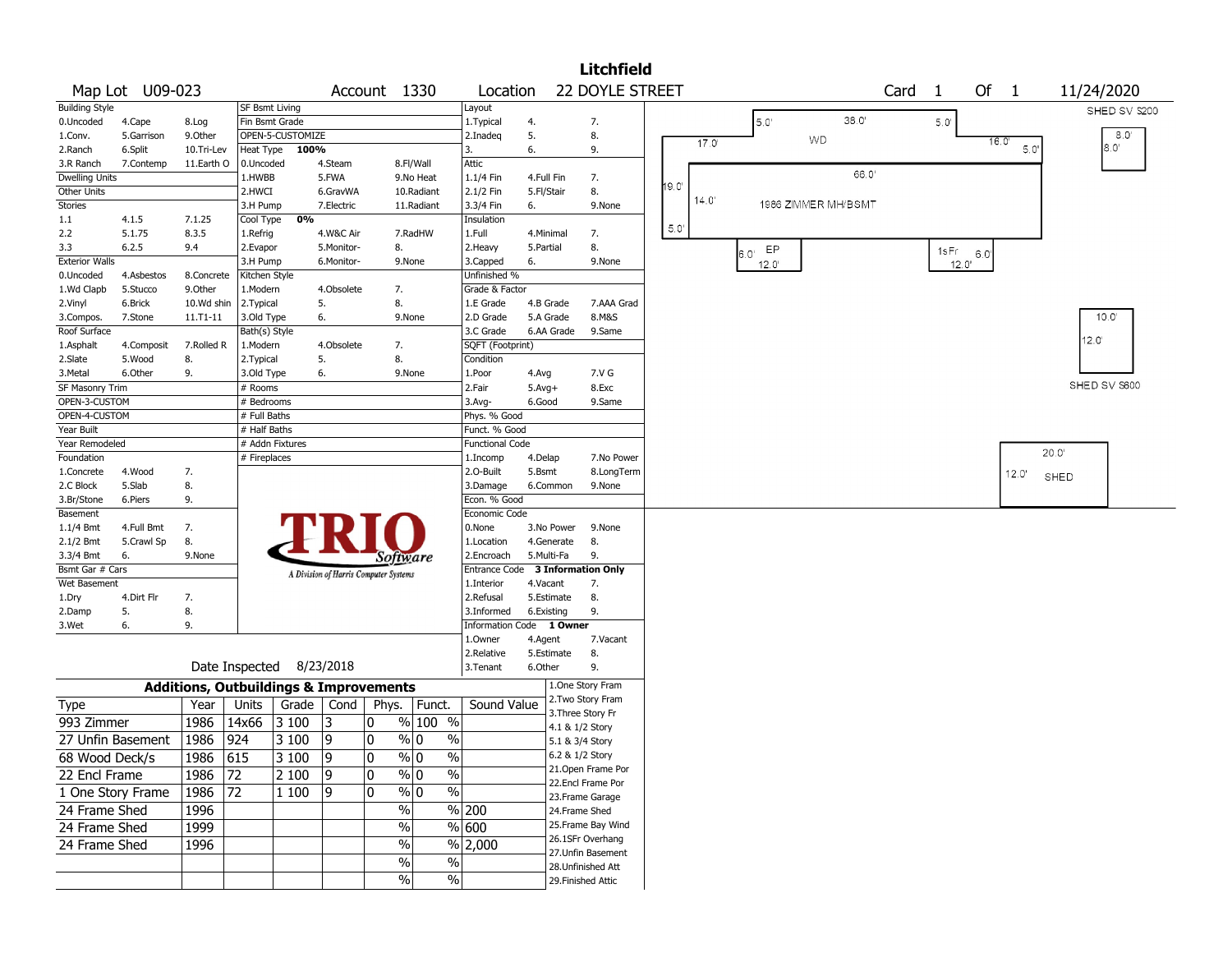|                         |                   |                                                   |                      |                          |                          |                                       |                              |                                  |                 |                 | <b>Litchfield</b>                       |      |       |                     |       |      |                |               |                |                |
|-------------------------|-------------------|---------------------------------------------------|----------------------|--------------------------|--------------------------|---------------------------------------|------------------------------|----------------------------------|-----------------|-----------------|-----------------------------------------|------|-------|---------------------|-------|------|----------------|---------------|----------------|----------------|
|                         | Map Lot U09-023   |                                                   |                      |                          |                          | Account 1330                          |                              | Location                         |                 |                 | 22 DOYLE STREET                         |      |       |                     |       | Card | $\overline{1}$ | Of            | $\overline{1}$ | 11/24/2020     |
| <b>Building Style</b>   |                   |                                                   | SF Bsmt Living       |                          |                          |                                       |                              | Layout                           |                 |                 |                                         |      |       |                     |       |      |                |               |                | SHED SV \$200  |
| 0.Uncoded               | 4.Cape            | 8.Log                                             | Fin Bsmt Grade       |                          |                          |                                       |                              | 1. Typical                       | 4.              |                 | 7.                                      |      |       | 5.0'                | 38.0' |      | $5.0^{\circ}$  |               |                |                |
| 1.Conv.                 | 5.Garrison        | 9.0ther                                           |                      | OPEN-5-CUSTOMIZE         |                          |                                       |                              | 2.Inadeg                         | 5.              |                 | 8.                                      |      | 17.0' | <b>WD</b>           |       |      |                | 16.0'         |                | 8.0'           |
| 2.Ranch                 | 6.Split           | 10.Tri-Lev                                        | <b>Heat Type</b>     | 100%                     |                          |                                       |                              | 3.                               | 6.              |                 | 9.                                      |      |       |                     |       |      |                |               | 5.0            | 8.0'           |
| 3.R Ranch               | 7.Contemp         | 11.Earth O                                        | 0.Uncoded            |                          | 4.Steam                  |                                       | 8.Fl/Wall                    | Attic                            |                 |                 |                                         |      |       |                     | 66.0  |      |                |               |                |                |
| <b>Dwelling Units</b>   |                   |                                                   | 1.HWBB               |                          | 5.FWA                    |                                       | 9.No Heat                    | 1.1/4 Fin                        | 4.Full Fin      |                 | 7.                                      | 19.0 |       |                     |       |      |                |               |                |                |
| Other Units             |                   |                                                   | 2.HWCI               |                          | 6.GravWA                 |                                       | 10.Radiant                   | 2.1/2 Fin                        | 5.Fl/Stair      |                 | 8.                                      |      | 14.0' |                     |       |      |                |               |                |                |
| Stories                 |                   |                                                   | 3.H Pump             |                          | 7.Electric               |                                       | 11.Radiant                   | 3.3/4 Fin                        | 6.              |                 | 9.None                                  |      |       | 1986 ZIMMER MH/BSMT |       |      |                |               |                |                |
| 1.1                     | 4.1.5             | 7.1.25                                            | Cool Type            | 0%                       |                          |                                       |                              | Insulation                       |                 |                 |                                         | 5.0  |       |                     |       |      |                |               |                |                |
| 2.2<br>3.3              | 5.1.75<br>6.2.5   | 8.3.5<br>9.4                                      | 1.Refrig<br>2.Evapor |                          | 4.W&C Air                |                                       | 7.RadHW                      | 1.Full<br>2. Heavy               | 4.Minimal       |                 | 7.<br>8.                                |      |       |                     |       |      |                |               |                |                |
| <b>Exterior Walls</b>   |                   |                                                   | 3.H Pump             |                          | 5.Monitor-<br>6.Monitor- | 8.                                    | 9.None                       | 3.Capped                         | 5.Partial<br>6. |                 | 9.None                                  |      |       | EP<br>$6.0^\circ$   |       |      | 1sFr           | $6.0^{\circ}$ |                |                |
| 0.Uncoded               | 4.Asbestos        | 8.Concrete                                        | Kitchen Style        |                          |                          |                                       |                              | Unfinished %                     |                 |                 |                                         |      |       | $12.0^{\circ}$      |       |      | 12.0'          |               |                |                |
| 1.Wd Clapb              | 5.Stucco          | 9.Other                                           | 1.Modern             |                          | 4.Obsolete               | 7.                                    |                              | Grade & Factor                   |                 |                 |                                         |      |       |                     |       |      |                |               |                |                |
| 2.Vinyl                 | 6.Brick           | 10.Wd shin                                        | 2.Typical            |                          | 5.                       | 8.                                    |                              | 1.E Grade                        |                 | 4.B Grade       | 7.AAA Grad                              |      |       |                     |       |      |                |               |                |                |
| 3.Compos.               | 7.Stone           | 11.T1-11                                          | 3.Old Type           |                          | 6.                       |                                       | 9.None                       | 2.D Grade                        |                 | 5.A Grade       | 8.M&S                                   |      |       |                     |       |      |                |               |                | 10.0'          |
| Roof Surface            |                   |                                                   | Bath(s) Style        |                          |                          |                                       |                              | 3.C Grade                        |                 | 6.AA Grade      | 9.Same                                  |      |       |                     |       |      |                |               |                |                |
| 1.Asphalt               | 4.Composit        | 7.Rolled R                                        | 1.Modern             |                          | 4.Obsolete               | 7.                                    |                              | SQFT (Footprint)                 |                 |                 |                                         |      |       |                     |       |      |                |               |                | 12.0'          |
| 2.Slate                 | 5.Wood            | 8.                                                | 2. Typical           |                          | 5.                       | 8.                                    |                              | Condition                        |                 |                 |                                         |      |       |                     |       |      |                |               |                |                |
| 3.Metal                 | 6.Other           | 9.                                                | 3.Old Type           |                          | 6.                       |                                       | 9.None                       | 1.Poor                           | 4.Avg           |                 | 7.V G                                   |      |       |                     |       |      |                |               |                |                |
| SF Masonry Trim         |                   |                                                   | # Rooms              |                          |                          |                                       |                              | 2.Fair                           | $5.Avg+$        |                 | 8.Exc                                   |      |       |                     |       |      |                |               |                | SHED SV \$600  |
| OPEN-3-CUSTOM           |                   |                                                   | # Bedrooms           |                          |                          |                                       |                              | $3.$ Avg-                        | 6.Good          |                 | 9.Same                                  |      |       |                     |       |      |                |               |                |                |
| OPEN-4-CUSTOM           |                   |                                                   | # Full Baths         |                          |                          |                                       |                              | Phys. % Good                     |                 |                 |                                         |      |       |                     |       |      |                |               |                |                |
| Year Built              |                   |                                                   | # Half Baths         |                          |                          |                                       |                              | Funct. % Good                    |                 |                 |                                         |      |       |                     |       |      |                |               |                |                |
| Year Remodeled          |                   |                                                   |                      | # Addn Fixtures          |                          |                                       |                              | <b>Functional Code</b>           |                 |                 |                                         |      |       |                     |       |      |                |               |                | $20.0^{\circ}$ |
| Foundation              |                   |                                                   | # Fireplaces         |                          |                          |                                       |                              | 1.Incomp                         | 4.Delap         |                 | 7.No Power                              |      |       |                     |       |      |                |               |                |                |
| 1.Concrete              | 4.Wood            | 7.                                                |                      |                          |                          |                                       |                              | 2.O-Built                        | 5.Bsmt          |                 | 8.LongTerm                              |      |       |                     |       |      |                |               | 12.0'          | SHED           |
| 2.C Block               | 5.Slab            | 8.                                                |                      |                          |                          |                                       |                              | 3.Damage                         |                 | 6.Common        | 9.None                                  |      |       |                     |       |      |                |               |                |                |
| 3.Br/Stone              | 6.Piers           | 9.                                                |                      |                          |                          |                                       |                              | Econ. % Good<br>Economic Code    |                 |                 |                                         |      |       |                     |       |      |                |               |                |                |
| Basement<br>$1.1/4$ Bmt | 4.Full Bmt        | 7.                                                |                      |                          |                          |                                       |                              | 0.None                           |                 | 3.No Power      | 9.None                                  |      |       |                     |       |      |                |               |                |                |
| $2.1/2$ Bmt             | 5.Crawl Sp        | 8.                                                |                      |                          |                          |                                       |                              | 1.Location                       |                 | 4.Generate      | 8.                                      |      |       |                     |       |      |                |               |                |                |
| 3.3/4 Bmt               | 6.                | 9.None                                            |                      |                          |                          | Software                              |                              | 2.Encroach                       | 5.Multi-Fa      |                 | 9.                                      |      |       |                     |       |      |                |               |                |                |
| Bsmt Gar # Cars         |                   |                                                   |                      |                          |                          |                                       |                              | Entrance Code 3 Information Only |                 |                 |                                         |      |       |                     |       |      |                |               |                |                |
| Wet Basement            |                   |                                                   |                      |                          |                          | A Division of Harris Computer Systems |                              | 1.Interior                       | 4.Vacant        |                 | 7.                                      |      |       |                     |       |      |                |               |                |                |
| 1.Dry                   | 4.Dirt Flr        | 7.                                                |                      |                          |                          |                                       |                              | 2.Refusal                        |                 | 5.Estimate      | 8.                                      |      |       |                     |       |      |                |               |                |                |
| 2.Damp                  | 5.                | 8.                                                |                      |                          |                          |                                       |                              | 3.Informed                       | 6.Existing      |                 | 9.                                      |      |       |                     |       |      |                |               |                |                |
| 3.Wet                   | 6.                | 9.                                                |                      |                          |                          |                                       |                              | Information Code 1 Owner         |                 |                 |                                         |      |       |                     |       |      |                |               |                |                |
|                         |                   |                                                   |                      |                          |                          |                                       |                              | 1.0wner                          | 4.Agent         |                 | 7.Vacant                                |      |       |                     |       |      |                |               |                |                |
|                         |                   |                                                   |                      |                          |                          |                                       |                              | 2.Relative                       |                 | 5.Estimate      | 8.                                      |      |       |                     |       |      |                |               |                |                |
|                         |                   |                                                   |                      | Date Inspected 8/23/2018 |                          |                                       |                              | 3.Tenant                         | 6.Other         |                 | 9.                                      |      |       |                     |       |      |                |               |                |                |
|                         |                   | <b>Additions, Outbuildings &amp; Improvements</b> |                      |                          |                          |                                       |                              |                                  |                 |                 | 1.One Story Fram                        |      |       |                     |       |      |                |               |                |                |
| <b>Type</b>             |                   | Year                                              | Units                | Grade                    | Cond                     | Phys.                                 | Funct.                       | Sound Value                      |                 |                 | 2. Two Story Fram                       |      |       |                     |       |      |                |               |                |                |
| 993 Zimmer              |                   | 1986                                              | 14x66                | 3 100                    | 13                       | 0                                     | $%100$ %                     |                                  |                 |                 | 3. Three Story Fr                       |      |       |                     |       |      |                |               |                |                |
|                         |                   |                                                   |                      |                          |                          |                                       |                              |                                  |                 | 4.1 & 1/2 Story |                                         |      |       |                     |       |      |                |               |                |                |
|                         | 27 Unfin Basement | 1986                                              | 924                  | 3 100                    | 9                        | 0                                     | % 0<br>%                     |                                  |                 | 5.1 & 3/4 Story |                                         |      |       |                     |       |      |                |               |                |                |
| 68 Wood Deck/s          |                   | 1986 615                                          |                      | $ 3100\rangle$           | 9                        | $\pmb{0}$                             | $\sqrt{20}$<br>$\frac{9}{0}$ |                                  |                 | 6.2 & 1/2 Story |                                         |      |       |                     |       |      |                |               |                |                |
| 22 Encl Frame           |                   | 1986                                              | 72                   | 2 100                    | 9                        | 0                                     | $\frac{9}{0}$<br>$\%$        |                                  |                 |                 | 21. Open Frame Por<br>22.Encl Frame Por |      |       |                     |       |      |                |               |                |                |
| 1 One Story Frame       |                   | 1986                                              | 72                   | 1 100                    | 19                       | 0                                     | $\frac{9}{0}$ 0<br>$\%$      |                                  |                 |                 |                                         |      |       |                     |       |      |                |               |                |                |
| 24 Frame Shed           |                   | 1996                                              |                      |                          |                          | $\%$                                  |                              | % 200                            |                 | 24.Frame Shed   | 23. Frame Garage                        |      |       |                     |       |      |                |               |                |                |
|                         |                   |                                                   |                      |                          |                          |                                       |                              | $\sqrt{600}$                     |                 |                 | 25. Frame Bay Wind                      |      |       |                     |       |      |                |               |                |                |
| 24 Frame Shed           |                   | 1999                                              |                      |                          |                          | $\frac{0}{0}$                         |                              |                                  |                 |                 | 26.1SFr Overhang                        |      |       |                     |       |      |                |               |                |                |
| 24 Frame Shed           |                   | 1996                                              |                      |                          |                          | $\%$                                  |                              | $%$ 2,000                        |                 |                 | 27.Unfin Basement                       |      |       |                     |       |      |                |               |                |                |
|                         |                   |                                                   |                      |                          |                          | $\%$                                  | $\%$                         |                                  |                 |                 | 28. Unfinished Att                      |      |       |                     |       |      |                |               |                |                |
|                         |                   |                                                   |                      |                          |                          | $\%$                                  | %                            |                                  |                 |                 | 29. Finished Attic                      |      |       |                     |       |      |                |               |                |                |
|                         |                   |                                                   |                      |                          |                          |                                       |                              |                                  |                 |                 |                                         |      |       |                     |       |      |                |               |                |                |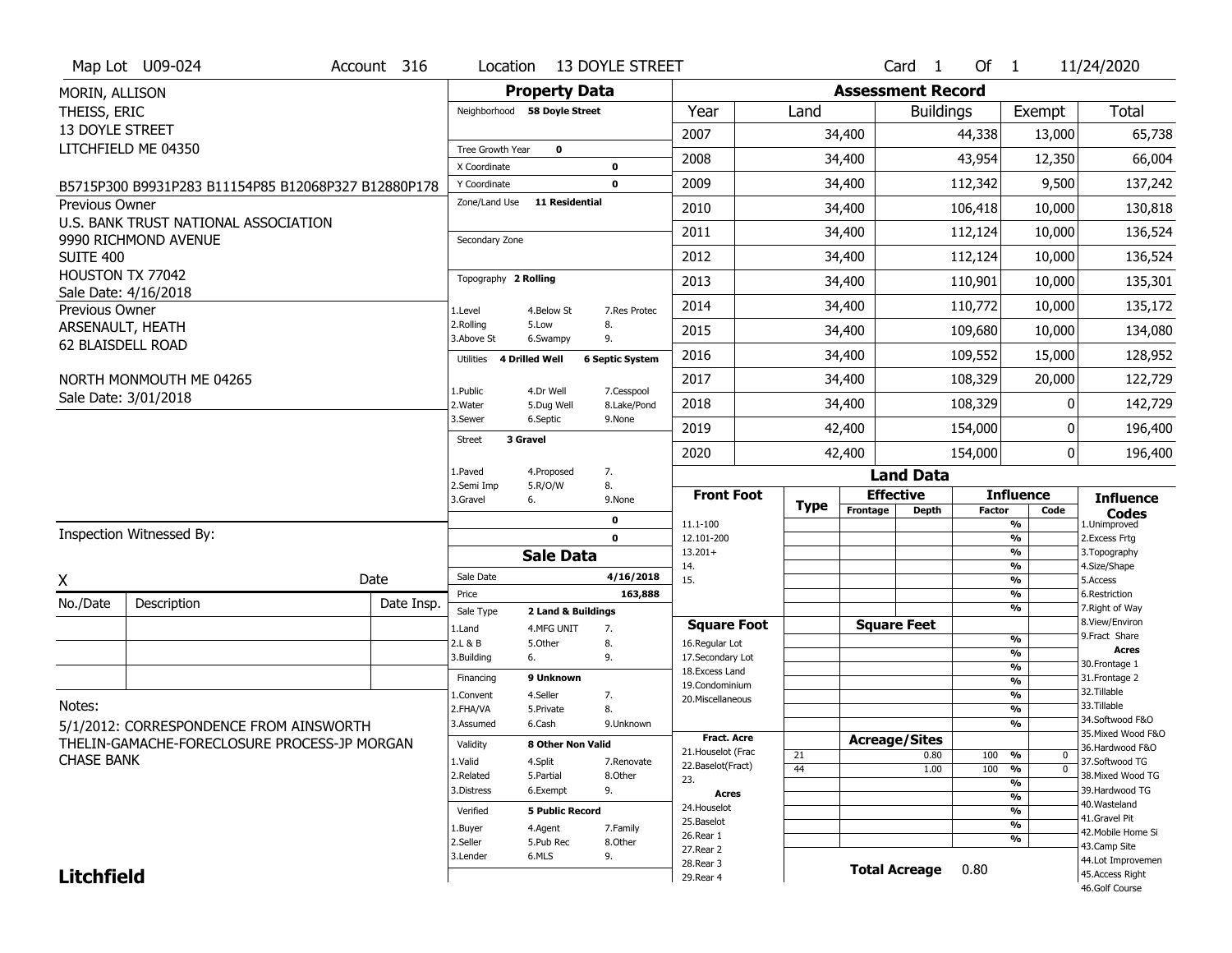|                   | Map Lot U09-024                                     | Account 316 | Location                             |                        | <b>13 DOYLE STREET</b> |                                  |             |          | Card <sub>1</sub>        | Of $1$        |                                                      | 11/24/2020                       |
|-------------------|-----------------------------------------------------|-------------|--------------------------------------|------------------------|------------------------|----------------------------------|-------------|----------|--------------------------|---------------|------------------------------------------------------|----------------------------------|
| MORIN, ALLISON    |                                                     |             |                                      | <b>Property Data</b>   |                        |                                  |             |          | <b>Assessment Record</b> |               |                                                      |                                  |
| THEISS, ERIC      |                                                     |             | Neighborhood 58 Doyle Street         |                        |                        | Year                             | Land        |          | <b>Buildings</b>         |               | Exempt                                               | <b>Total</b>                     |
| 13 DOYLE STREET   |                                                     |             |                                      |                        |                        | 2007                             |             | 34,400   |                          | 44,338        | 13,000                                               | 65,738                           |
|                   | LITCHFIELD ME 04350                                 |             | Tree Growth Year                     | $\mathbf 0$            |                        | 2008                             |             | 34,400   |                          | 43,954        | 12,350                                               | 66,004                           |
|                   | B5715P300 B9931P283 B11154P85 B12068P327 B12880P178 |             | X Coordinate<br>Y Coordinate         |                        | 0<br>$\mathbf 0$       | 2009                             |             | 34,400   |                          | 112,342       | 9,500                                                | 137,242                          |
| Previous Owner    |                                                     |             | Zone/Land Use                        | <b>11 Residential</b>  |                        | 2010                             |             | 34,400   |                          | 106,418       | 10,000                                               | 130,818                          |
|                   | U.S. BANK TRUST NATIONAL ASSOCIATION                |             |                                      |                        |                        | 2011                             |             | 34,400   |                          | 112,124       | 10,000                                               | 136,524                          |
| SUITE 400         | 9990 RICHMOND AVENUE                                |             | Secondary Zone                       |                        |                        | 2012                             |             | 34,400   |                          | 112,124       | 10,000                                               | 136,524                          |
|                   | HOUSTON TX 77042                                    |             | Topography 2 Rolling                 |                        |                        | 2013                             |             | 34,400   |                          | 110,901       | 10,000                                               | 135,301                          |
|                   | Sale Date: 4/16/2018                                |             |                                      |                        |                        |                                  |             |          |                          |               |                                                      |                                  |
| Previous Owner    |                                                     |             | 1.Level<br>2.Rolling                 | 4.Below St<br>5.Low    | 7.Res Protec<br>8.     | 2014                             |             | 34,400   |                          | 110,772       | 10,000                                               | 135,172                          |
| ARSENAULT, HEATH  | 62 BLAISDELL ROAD                                   |             | 3.Above St                           | 6.Swampy               | 9.                     | 2015                             |             | 34,400   |                          | 109,680       | 10,000                                               | 134,080                          |
|                   |                                                     |             | <b>4 Drilled Well</b><br>Utilities   |                        | <b>6 Septic System</b> | 2016                             |             | 34,400   |                          | 109,552       | 15,000                                               | 128,952                          |
|                   | NORTH MONMOUTH ME 04265                             |             | 1.Public                             | 4.Dr Well              | 7.Cesspool             | 2017                             |             | 34,400   |                          | 108,329       | 20,000                                               | 122,729                          |
|                   | Sale Date: 3/01/2018                                |             | 2. Water                             | 5.Dug Well             | 8.Lake/Pond            | 2018                             |             | 34,400   |                          | 108,329       | U                                                    | 142,729                          |
|                   |                                                     |             | 3.Sewer<br>3 Gravel<br><b>Street</b> | 6.Septic               | 9.None                 | 2019                             |             | 42,400   |                          | 154,000       | 0                                                    | 196,400                          |
|                   |                                                     |             |                                      |                        |                        | 2020                             |             | 42,400   |                          | 154,000       | 0                                                    | 196,400                          |
|                   |                                                     |             | 1.Paved<br>2.Semi Imp                | 4.Proposed<br>5.R/O/W  | 7.<br>8.               |                                  |             |          | <b>Land Data</b>         |               |                                                      |                                  |
|                   |                                                     |             | 3.Gravel                             | 6.                     | 9.None                 | <b>Front Foot</b>                | <b>Type</b> |          | <b>Effective</b>         |               | <b>Influence</b>                                     | <b>Influence</b>                 |
|                   |                                                     |             |                                      |                        | 0                      | 11.1-100                         |             | Frontage | <b>Depth</b>             | <b>Factor</b> | Code<br>%                                            | <b>Codes</b><br>1.Unimproved     |
|                   | Inspection Witnessed By:                            |             |                                      |                        | $\mathbf{0}$           | 12.101-200                       |             |          |                          |               | %                                                    | 2.Excess Frtg                    |
|                   |                                                     |             |                                      | <b>Sale Data</b>       |                        | $13.201+$<br>14.                 |             |          |                          |               | %<br>%                                               | 3. Topography<br>4.Size/Shape    |
| Χ                 |                                                     | Date        | Sale Date                            |                        | 4/16/2018              | 15.                              |             |          |                          |               | %                                                    | 5.Access                         |
| No./Date          | Description                                         | Date Insp.  | Price<br>Sale Type                   | 2 Land & Buildings     | 163,888                |                                  |             |          |                          |               | %<br>%                                               | 6.Restriction<br>7. Right of Way |
|                   |                                                     |             | 1.Land                               | 4.MFG UNIT             | 7.                     | <b>Square Foot</b>               |             |          | <b>Square Feet</b>       |               |                                                      | 8.View/Environ                   |
|                   |                                                     |             | 2.L & B                              | 5.Other                | 8.                     | 16.Regular Lot                   |             |          |                          |               | %                                                    | 9. Fract Share<br><b>Acres</b>   |
|                   |                                                     |             | 3.Building                           | 6.                     | 9.                     | 17.Secondary Lot                 |             |          |                          |               | $\overline{\frac{9}{6}}$<br>$\overline{\frac{9}{6}}$ | 30. Frontage 1                   |
|                   |                                                     |             | Financing                            | 9 Unknown              |                        | 18.Excess Land<br>19.Condominium |             |          |                          |               | $\overline{\frac{9}{6}}$                             | 31. Frontage 2                   |
| Notes:            |                                                     |             | L.Convent                            | 4.Seller               | 7.                     | 20. Miscellaneous                |             |          |                          |               | $\overline{\frac{9}{6}}$                             | 32. Tillable                     |
|                   |                                                     |             | 2.FHA/VA                             | 5.Private              | 8.                     |                                  |             |          |                          |               | $\overline{\frac{9}{6}}$                             | 33.Tillable<br>34.Softwood F&O   |
|                   | 5/1/2012: CORRESPONDENCE FROM AINSWORTH             |             | 3.Assumed                            | 6.Cash                 | 9.Unknown              | <b>Fract. Acre</b>               |             |          |                          |               | $\overline{\frac{9}{6}}$                             | 35. Mixed Wood F&O               |
|                   | THELIN-GAMACHE-FORECLOSURE PROCESS-JP MORGAN        |             | Validity                             | 8 Other Non Valid      |                        | 21. Houselot (Frac               |             |          | <b>Acreage/Sites</b>     |               |                                                      | 36.Hardwood F&O                  |
| <b>CHASE BANK</b> |                                                     |             | 1.Valid                              | 4.Split                | 7.Renovate             | 22.Baselot(Fract)                | 21<br>44    |          | 0.80<br>1.00             | 100<br>100    | %<br>0<br>$\overline{0}$<br>%                        | 37.Softwood TG                   |
|                   |                                                     |             | 2.Related                            | 5.Partial              | 8.Other                | 23.                              |             |          |                          |               | %                                                    | 38. Mixed Wood TG                |
|                   |                                                     |             | 3.Distress                           | 6.Exempt               | 9.                     | Acres                            |             |          |                          |               | %                                                    | 39.Hardwood TG                   |
|                   |                                                     |             | Verified                             | <b>5 Public Record</b> |                        | 24. Houselot                     |             |          |                          |               | %                                                    | 40.Wasteland<br>41.Gravel Pit    |
|                   |                                                     |             | 1.Buyer                              | 4.Agent                | 7.Family               | 25.Baselot                       |             |          |                          |               | %                                                    | 42. Mobile Home Si               |
|                   |                                                     |             | 2.Seller                             | 5.Pub Rec              | 8.Other                | 26.Rear 1<br>27. Rear 2          |             |          |                          |               | %                                                    | 43.Camp Site                     |
|                   |                                                     |             | 3.Lender                             | 6.MLS                  | 9.                     | 28. Rear 3                       |             |          |                          |               |                                                      | 44.Lot Improvemen                |
| <b>Litchfield</b> |                                                     |             |                                      |                        |                        | 29. Rear 4                       |             |          | <b>Total Acreage</b>     | 0.80          |                                                      | 45.Access Right                  |
|                   |                                                     |             |                                      |                        |                        |                                  |             |          |                          |               |                                                      | 46.Golf Course                   |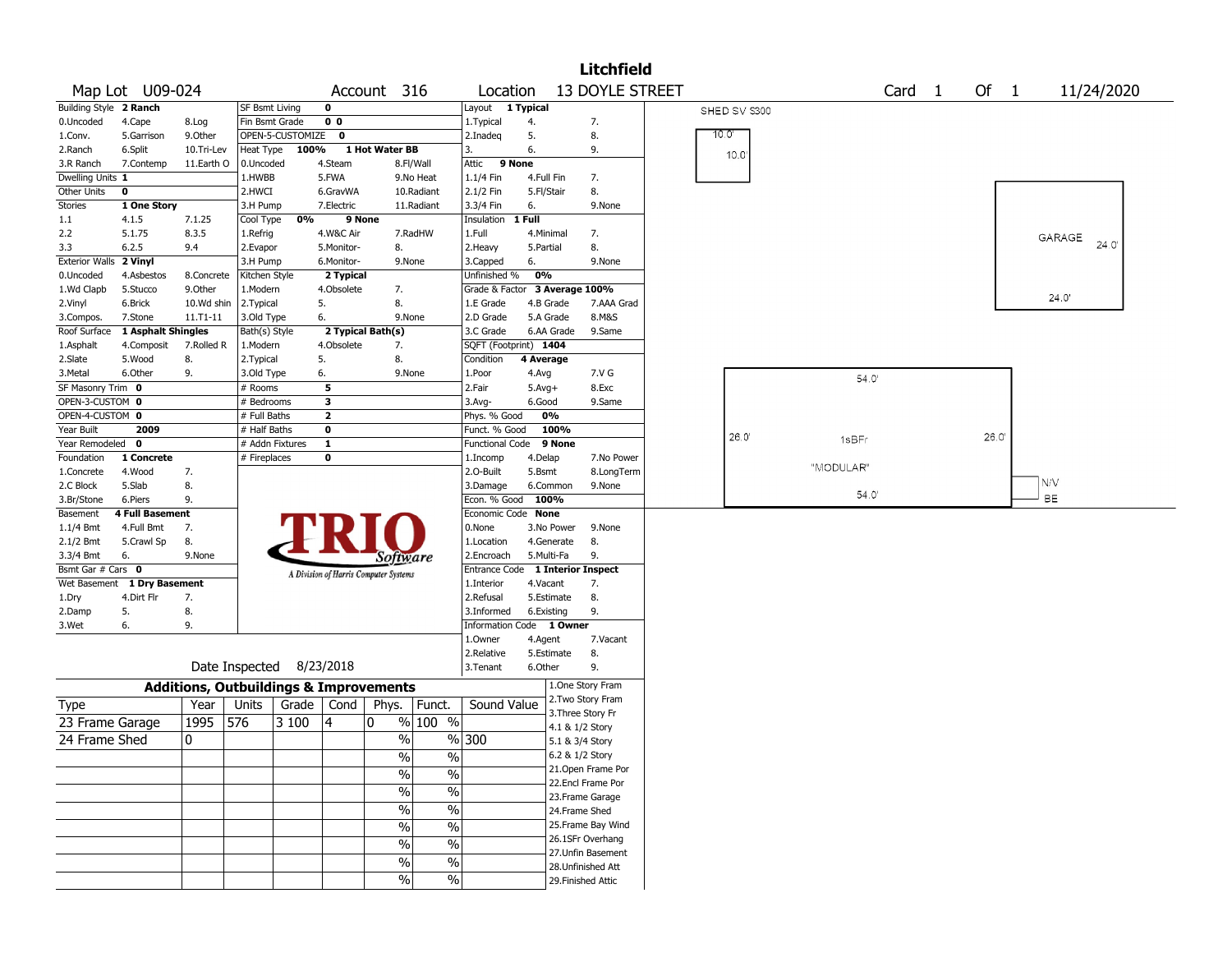|                        |                          |                                                   |                      |                  |                         |                                       |                          |                              |                        |                          | <b>Litchfield</b>  |              |           |        |       |      |                |
|------------------------|--------------------------|---------------------------------------------------|----------------------|------------------|-------------------------|---------------------------------------|--------------------------|------------------------------|------------------------|--------------------------|--------------------|--------------|-----------|--------|-------|------|----------------|
|                        | Map Lot U09-024          |                                                   |                      |                  |                         | Account 316                           |                          | Location                     |                        |                          | 13 DOYLE STREET    |              |           | Card 1 |       | Of 1 | 11/24/2020     |
| Building Style 2 Ranch |                          |                                                   | SF Bsmt Living       |                  | $\mathbf 0$             |                                       |                          | Layout 1 Typical             |                        |                          |                    | SHED SV S300 |           |        |       |      |                |
| 0.Uncoded              | 4.Cape                   | 8.Log                                             | Fin Bsmt Grade       |                  | 0 <sub>0</sub>          |                                       |                          | 1. Typical                   | 4.                     |                          | 7.                 |              |           |        |       |      |                |
| 1.Conv.                | 5.Garrison               | 9.Other                                           |                      | OPEN-5-CUSTOMIZE | 0                       |                                       |                          | 2.Inadeg                     | 5.                     |                          | 8.                 | 10.0'        |           |        |       |      |                |
| 2.Ranch                | 6.Split                  | 10.Tri-Lev                                        | Heat Type            | 100%             |                         | 1 Hot Water BB                        |                          | 3.                           | 6.                     |                          | 9.                 | 10.0         |           |        |       |      |                |
| 3.R Ranch              | 7.Contemp                | 11.Earth O                                        | 0.Uncoded            |                  | 4.Steam                 |                                       | 8.Fl/Wall                | Attic                        | 9 None                 |                          |                    |              |           |        |       |      |                |
| Dwelling Units 1       |                          |                                                   | 1.HWBB               |                  | 5.FWA                   |                                       | 9.No Heat                | 1.1/4 Fin                    | 4.Full Fin             |                          | 7.                 |              |           |        |       |      |                |
| Other Units            | 0                        |                                                   | 2.HWCI               |                  | 6.GravWA                |                                       | 10.Radiant               | 2.1/2 Fin                    | 5.Fl/Stair             |                          | 8.                 |              |           |        |       |      |                |
| <b>Stories</b>         | 1 One Story              |                                                   | 3.H Pump             |                  | 7.Electric              |                                       | 11.Radiant               | 3.3/4 Fin                    | 6.                     |                          | 9.None             |              |           |        |       |      |                |
| 1.1                    | 4.1.5                    | 7.1.25                                            | Cool Type            | 0%               | 9 None                  |                                       |                          | Insulation                   | 1 Full                 |                          |                    |              |           |        |       |      |                |
| 2.2<br>3.3             | 5.1.75<br>6.2.5          | 8.3.5<br>9.4                                      | 1.Refrig<br>2.Evapor |                  | 4.W&C Air<br>5.Monitor- | 8.                                    | 7.RadHW                  | 1.Full<br>2. Heavy           | 4.Minimal<br>5.Partial |                          | 7.<br>8.           |              |           |        |       |      | GARAGE<br>24.0 |
| <b>Exterior Walls</b>  | 2 Vinyl                  |                                                   | 3.H Pump             |                  | 6.Monitor-              | 9.None                                |                          | 3.Capped                     | 6.                     |                          | 9.None             |              |           |        |       |      |                |
| 0.Uncoded              | 4.Asbestos               | 8.Concrete                                        | Kitchen Style        |                  | 2 Typical               |                                       |                          | Unfinished %                 | 0%                     |                          |                    |              |           |        |       |      |                |
| 1.Wd Clapb             | 5.Stucco                 | 9.0ther                                           | 1.Modern             |                  | 4.Obsolete              | 7.                                    |                          | Grade & Factor               |                        | 3 Average 100%           |                    |              |           |        |       |      |                |
| 2.Vinyl                | 6.Brick                  | 10.Wd shin                                        | 2. Typical           |                  | 5.                      | 8.                                    |                          | 1.E Grade                    | 4.B Grade              |                          | 7.AAA Grad         |              |           |        |       |      | 24.0'          |
| 3.Compos.              | 7.Stone                  | 11.T1-11                                          | 3.Old Type           |                  | 6.                      | 9.None                                |                          | 2.D Grade                    | 5.A Grade              |                          | 8.M&S              |              |           |        |       |      |                |
| Roof Surface           | 1 Asphalt Shingles       |                                                   | Bath(s) Style        |                  |                         | 2 Typical Bath(s)                     |                          | 3.C Grade                    |                        | 6.AA Grade               | 9.Same             |              |           |        |       |      |                |
| 1.Asphalt              | 4.Composit               | 7.Rolled R                                        | 1.Modern             |                  | 4.Obsolete              | 7.                                    |                          | SQFT (Footprint) 1404        |                        |                          |                    |              |           |        |       |      |                |
| 2.Slate                | 5.Wood                   | 8.                                                | 2.Typical            |                  | 5.                      | 8.                                    |                          | Condition                    | 4 Average              |                          |                    |              |           |        |       |      |                |
| 3.Metal                | 6.Other                  | 9.                                                | 3.Old Type           |                  | 6.                      | 9.None                                |                          | 1.Poor                       | 4.Avg                  |                          | 7.V G              |              |           | 54.0   |       |      |                |
| SF Masonry Trim 0      |                          |                                                   | # Rooms              |                  | 5                       |                                       |                          | 2.Fair                       | $5.Avg+$               |                          | 8.Exc              |              |           |        |       |      |                |
| OPEN-3-CUSTOM 0        |                          |                                                   | # Bedrooms           |                  | 3                       |                                       |                          | $3.$ Avg-                    | 6.Good                 |                          | 9.Same             |              |           |        |       |      |                |
| OPEN-4-CUSTOM 0        |                          |                                                   | # Full Baths         |                  | $\overline{2}$          |                                       |                          | Phys. % Good                 |                        | 0%                       |                    |              |           |        |       |      |                |
| Year Built             | 2009                     |                                                   | $#$ Half Baths       |                  | $\mathbf 0$             |                                       |                          | Funct. % Good                |                        | 100%                     |                    | 26.0'        |           |        | 26.0' |      |                |
| Year Remodeled         | 0                        |                                                   | # Addn Fixtures      |                  | $\mathbf{1}$            |                                       |                          | <b>Functional Code</b>       |                        | 9 None                   |                    |              | 1sBFr     |        |       |      |                |
| Foundation             | 1 Concrete               |                                                   | # Fireplaces         |                  | $\mathbf 0$             |                                       |                          | 1.Incomp                     | 4.Delap                |                          | 7.No Power         |              | "MODULAR" |        |       |      |                |
| 1.Concrete             | 4.Wood                   | 7.                                                |                      |                  |                         |                                       |                          | 2.0-Built                    | 5.Bsmt                 |                          | 8.LongTerm         |              |           |        |       |      | N/V            |
| 2.C Block              | 5.Slab                   | 8.                                                |                      |                  |                         |                                       |                          | 3.Damage                     | 6.Common               |                          | 9.None             |              |           | 54.0   |       |      | <b>BE</b>      |
| 3.Br/Stone             | 6.Piers                  | 9.                                                |                      |                  |                         |                                       |                          | Econ. % Good                 | 100%                   |                          |                    |              |           |        |       |      |                |
| Basement               | 4 Full Basement          | 7.                                                |                      |                  |                         |                                       |                          | Economic Code None<br>0.None |                        |                          | 9.None             |              |           |        |       |      |                |
| 1.1/4 Bmt<br>2.1/2 Bmt | 4.Full Bmt<br>5.Crawl Sp | 8.                                                |                      |                  |                         |                                       |                          | 1.Location                   |                        | 3.No Power<br>4.Generate | 8.                 |              |           |        |       |      |                |
| 3.3/4 Bmt              | 6.                       | 9.None                                            |                      |                  |                         |                                       |                          | 2.Encroach                   | 5.Multi-Fa             |                          | 9.                 |              |           |        |       |      |                |
| Bsmt Gar # Cars 0      |                          |                                                   |                      |                  |                         | Software                              |                          | Entrance Code                |                        |                          | 1 Interior Inspect |              |           |        |       |      |                |
| Wet Basement           | 1 Dry Basement           |                                                   |                      |                  |                         | A Division of Harris Computer Systems |                          | 1.Interior                   | 4.Vacant               |                          | 7.                 |              |           |        |       |      |                |
| 1.Dry                  | 4.Dirt Flr               | 7.                                                |                      |                  |                         |                                       |                          | 2.Refusal                    | 5.Estimate             |                          | 8.                 |              |           |        |       |      |                |
| 2.Damp                 | 5.                       | 8.                                                |                      |                  |                         |                                       |                          | 3.Informed                   | 6.Existing             |                          | 9.                 |              |           |        |       |      |                |
| 3.Wet                  | 6.                       | 9.                                                |                      |                  |                         |                                       |                          | Information Code 1 Owner     |                        |                          |                    |              |           |        |       |      |                |
|                        |                          |                                                   |                      |                  |                         |                                       |                          | 1.0wner                      | 4.Agent                |                          | 7.Vacant           |              |           |        |       |      |                |
|                        |                          |                                                   |                      |                  |                         |                                       |                          | 2.Relative                   | 5.Estimate             |                          | 8.                 |              |           |        |       |      |                |
|                        |                          |                                                   | Date Inspected       |                  | 8/23/2018               |                                       |                          | 3.Tenant                     | 6.Other                |                          | 9.                 |              |           |        |       |      |                |
|                        |                          | <b>Additions, Outbuildings &amp; Improvements</b> |                      |                  |                         |                                       |                          |                              |                        |                          | 1.One Story Fram   |              |           |        |       |      |                |
| Type                   |                          | Year                                              | Units                | Grade            | Cond                    | Phys.                                 | Funct.                   | Sound Value                  |                        |                          | 2. Two Story Fram  |              |           |        |       |      |                |
| 23 Frame Garage        |                          | 1995                                              | 576                  | 3 100            | 14                      | 10                                    | % 100 %                  |                              |                        | 4.1 & 1/2 Story          | 3. Three Story Fr  |              |           |        |       |      |                |
| 24 Frame Shed          |                          | 0                                                 |                      |                  |                         | $\frac{0}{0}$                         |                          | % 300                        |                        | 5.1 & 3/4 Story          |                    |              |           |        |       |      |                |
|                        |                          |                                                   |                      |                  |                         |                                       |                          |                              |                        | 6.2 & 1/2 Story          |                    |              |           |        |       |      |                |
|                        |                          |                                                   |                      |                  |                         | $\%$                                  | $\%$                     |                              |                        |                          | 21. Open Frame Por |              |           |        |       |      |                |
|                        |                          |                                                   |                      |                  |                         | $\%$                                  | $\%$                     |                              |                        |                          | 22.Encl Frame Por  |              |           |        |       |      |                |
|                        |                          |                                                   |                      |                  |                         | $\frac{9}{6}$                         | $\overline{\frac{0}{6}}$ |                              |                        |                          | 23. Frame Garage   |              |           |        |       |      |                |
|                        |                          |                                                   |                      |                  |                         | $\sqrt{2}$                            | $\%$                     |                              |                        | 24.Frame Shed            |                    |              |           |        |       |      |                |
|                        |                          |                                                   |                      |                  |                         | $\sqrt{2}$                            | $\frac{9}{6}$            |                              |                        |                          | 25. Frame Bay Wind |              |           |        |       |      |                |
|                        |                          |                                                   |                      |                  |                         |                                       |                          |                              |                        |                          | 26.1SFr Overhang   |              |           |        |       |      |                |
|                        |                          |                                                   |                      |                  |                         | $\sqrt{2}$                            | $\%$                     |                              |                        |                          | 27. Unfin Basement |              |           |        |       |      |                |
|                        |                          |                                                   |                      |                  |                         | %                                     | $\%$                     |                              |                        |                          | 28. Unfinished Att |              |           |        |       |      |                |
|                        |                          |                                                   |                      |                  |                         | $\%$                                  | %                        |                              |                        |                          | 29. Finished Attic |              |           |        |       |      |                |
|                        |                          |                                                   |                      |                  |                         |                                       |                          |                              |                        |                          |                    |              |           |        |       |      |                |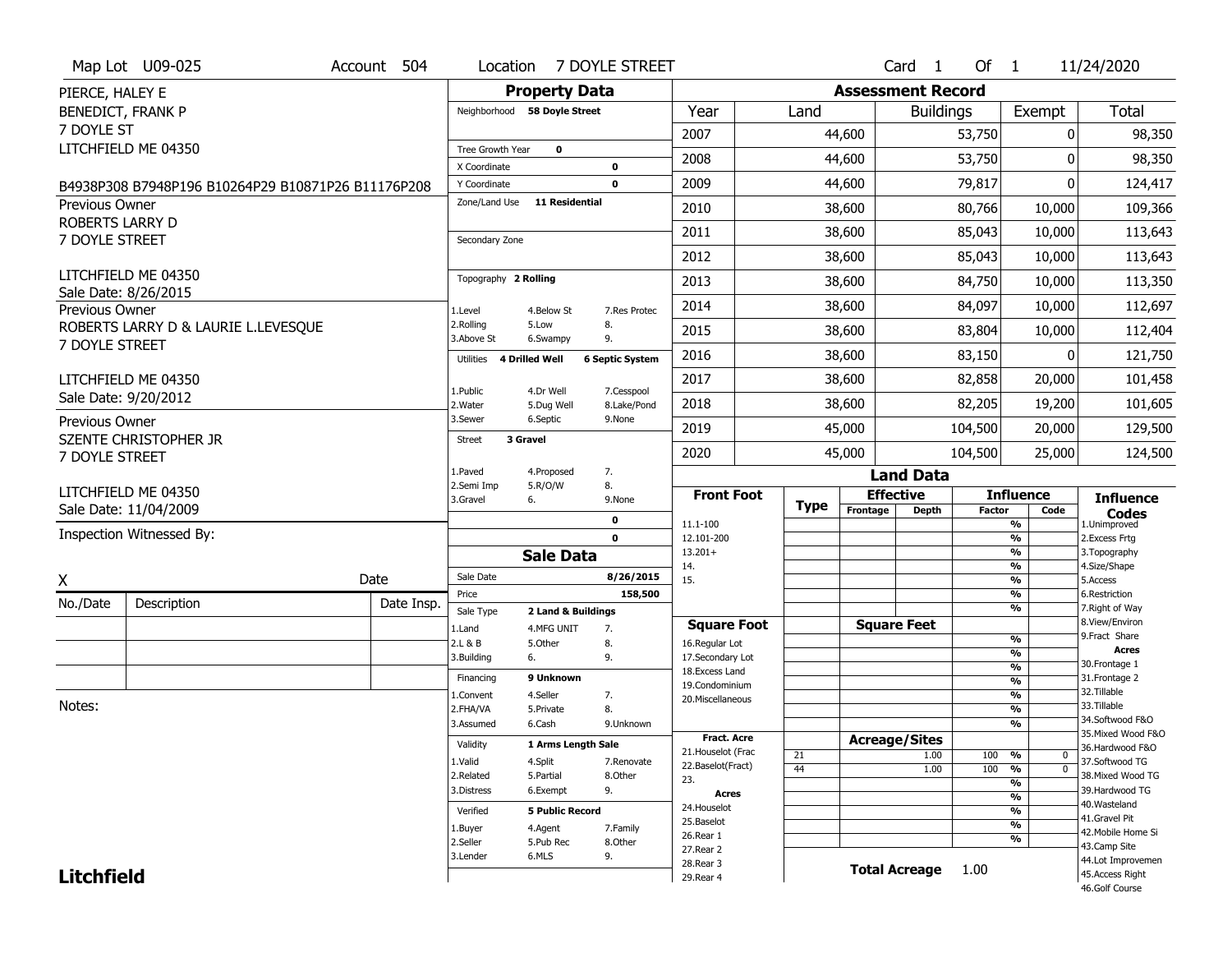|                                          | Map Lot U09-025                                    | Account 504 | Location                      |                              | 7 DOYLE STREET            |                                         |             |                          | Card <sub>1</sub>    | Of $1$        |                                | 11/24/2020                            |
|------------------------------------------|----------------------------------------------------|-------------|-------------------------------|------------------------------|---------------------------|-----------------------------------------|-------------|--------------------------|----------------------|---------------|--------------------------------|---------------------------------------|
| PIERCE, HALEY E                          |                                                    |             |                               | <b>Property Data</b>         |                           |                                         |             | <b>Assessment Record</b> |                      |               |                                |                                       |
| <b>BENEDICT, FRANK P</b>                 |                                                    |             |                               | Neighborhood 58 Doyle Street |                           | Year                                    | Land        |                          | <b>Buildings</b>     |               | Exempt                         | <b>Total</b>                          |
| 7 DOYLE ST                               |                                                    |             |                               |                              |                           | 2007                                    |             | 44,600                   |                      | 53,750        | $\mathbf{0}$                   | 98,350                                |
|                                          | LITCHFIELD ME 04350                                |             | Tree Growth Year              | 0                            |                           | 2008                                    |             | 44,600                   |                      | 53,750        | $\Omega$                       | 98,350                                |
|                                          |                                                    |             | X Coordinate                  |                              | 0                         |                                         |             |                          |                      |               |                                |                                       |
|                                          | B4938P308 B7948P196 B10264P29 B10871P26 B11176P208 |             | Y Coordinate<br>Zone/Land Use | <b>11 Residential</b>        | 0                         | 2009                                    |             | 44,600                   |                      | 79,817        | $\mathbf{0}$                   | 124,417                               |
| <b>Previous Owner</b><br>ROBERTS LARRY D |                                                    |             |                               |                              |                           | 2010                                    |             | 38,600                   |                      | 80,766        | 10,000                         | 109,366                               |
| 7 DOYLE STREET                           |                                                    |             | Secondary Zone                |                              |                           | 2011                                    |             | 38,600                   |                      | 85,043        | 10,000                         | 113,643                               |
|                                          |                                                    |             |                               |                              |                           | 2012                                    |             | 38,600                   |                      | 85,043        | 10,000                         | 113,643                               |
|                                          | LITCHFIELD ME 04350                                |             | Topography 2 Rolling          |                              |                           | 2013                                    |             | 38,600                   |                      | 84,750        | 10,000                         | 113,350                               |
| Previous Owner                           | Sale Date: 8/26/2015                               |             | 1.Level                       | 4.Below St                   | 7.Res Protec              | 2014                                    |             | 38,600                   |                      | 84,097        | 10,000                         | 112,697                               |
|                                          | ROBERTS LARRY D & LAURIE L.LEVESQUE                |             | 2.Rolling<br>3.Above St       | 5.Low<br>6.Swampy            | 8.<br>9.                  | 2015                                    |             | 38,600                   |                      | 83,804        | 10,000                         | 112,404                               |
| 7 DOYLE STREET                           |                                                    |             | Utilities                     | <b>4 Drilled Well</b>        | <b>6 Septic System</b>    | 2016                                    |             | 38,600                   |                      | 83,150        | 0                              | 121,750                               |
|                                          | LITCHFIELD ME 04350                                |             |                               |                              |                           | 2017                                    |             | 38,600                   |                      | 82,858        | 20,000                         | 101,458                               |
|                                          | Sale Date: 9/20/2012                               |             | 1.Public<br>2. Water          | 4.Dr Well<br>5.Dug Well      | 7.Cesspool<br>8.Lake/Pond | 2018                                    |             | 38,600                   |                      | 82,205        | 19,200                         | 101,605                               |
| Previous Owner                           |                                                    |             | 3.Sewer                       | 6.Septic                     | 9.None                    | 2019                                    |             | 45,000                   |                      | 104,500       | 20,000                         | 129,500                               |
| 7 DOYLE STREET                           | <b>SZENTE CHRISTOPHER JR</b>                       |             | <b>Street</b>                 | 3 Gravel                     |                           | 2020                                    |             | 45,000                   |                      | 104,500       | 25,000                         | 124,500                               |
|                                          |                                                    |             | 1.Paved                       | 4.Proposed                   | 7.                        |                                         |             |                          | <b>Land Data</b>     |               |                                |                                       |
|                                          | LITCHFIELD ME 04350                                |             | 2.Semi Imp<br>3.Gravel        | 5.R/O/W<br>6.                | 8.<br>9.None              | <b>Front Foot</b>                       |             |                          | <b>Effective</b>     |               | <b>Influence</b>               | <b>Influence</b>                      |
|                                          | Sale Date: 11/04/2009                              |             |                               |                              | 0                         | 11.1-100                                | <b>Type</b> | Frontage                 | <b>Depth</b>         | <b>Factor</b> | Code<br>$\frac{9}{6}$          | <b>Codes</b><br>1.Unimproved          |
|                                          | Inspection Witnessed By:                           |             |                               |                              | $\mathbf 0$               | 12.101-200                              |             |                          |                      |               | $\overline{\frac{9}{6}}$       | 2.Excess Frtg                         |
|                                          |                                                    |             |                               | <b>Sale Data</b>             |                           | $13.201+$                               |             |                          |                      |               | $\frac{9}{6}$                  | 3. Topography                         |
| X                                        |                                                    | Date        | Sale Date                     |                              | 8/26/2015                 | 14.<br>15.                              |             |                          |                      |               | $\frac{9}{6}$<br>$\frac{9}{6}$ | 4.Size/Shape<br>5.Access              |
|                                          | Description                                        |             | Price                         |                              | 158,500                   |                                         |             |                          |                      |               | $\frac{9}{6}$                  | 6.Restriction                         |
| No./Date                                 |                                                    | Date Insp.  | Sale Type                     | 2 Land & Buildings           |                           |                                         |             |                          |                      |               | %                              | 7. Right of Way<br>8.View/Environ     |
|                                          |                                                    |             | 1.Land<br>2.L & B             | 4.MFG UNIT<br>5.Other        | 7.<br>8.                  | <b>Square Foot</b><br>16.Regular Lot    |             |                          | <b>Square Feet</b>   |               | $\frac{9}{6}$                  | 9. Fract Share                        |
|                                          |                                                    |             | 3.Building                    | 6.                           | 9.                        | 17.Secondary Lot                        |             |                          |                      |               | $\frac{9}{6}$                  | <b>Acres</b>                          |
|                                          |                                                    |             | Financing                     | 9 Unknown                    |                           | 18. Excess Land                         |             |                          |                      |               | $\frac{9}{6}$<br>$\frac{9}{6}$ | 30. Frontage 1<br>31. Frontage 2      |
|                                          |                                                    |             | 1.Convent                     | 4.Seller                     | 7.                        | 19.Condominium                          |             |                          |                      |               | $\frac{9}{6}$                  | 32. Tillable                          |
| Notes:                                   |                                                    |             | 2.FHA/VA                      | 5.Private                    | 8.                        | 20. Miscellaneous                       |             |                          |                      |               | $\frac{9}{6}$                  | 33.Tillable                           |
|                                          |                                                    |             | 3.Assumed                     | 6.Cash                       | 9.Unknown                 |                                         |             |                          |                      |               | $\frac{9}{6}$                  | 34.Softwood F&O                       |
|                                          |                                                    |             | Validity                      | 1 Arms Length Sale           |                           | <b>Fract. Acre</b>                      |             |                          | <b>Acreage/Sites</b> |               |                                | 35. Mixed Wood F&O<br>36.Hardwood F&O |
|                                          |                                                    |             | 1.Valid                       | 4.Split                      | 7.Renovate                | 21. Houselot (Frac<br>22.Baselot(Fract) | 21          |                          | 1.00                 | 100           | %<br>0                         | 37.Softwood TG                        |
|                                          |                                                    |             | 2.Related                     | 5.Partial                    | 8.Other                   | 23.                                     | 44          |                          | 1.00                 | 100           | $\overline{0}$<br>%            | 38. Mixed Wood TG                     |
|                                          |                                                    |             | 3.Distress                    | 6.Exempt                     | 9.                        | Acres                                   |             |                          |                      |               | %<br>$\frac{9}{6}$             | 39.Hardwood TG                        |
|                                          |                                                    |             | Verified                      | <b>5 Public Record</b>       |                           | 24. Houselot                            |             |                          |                      |               | $\frac{9}{6}$                  | 40. Wasteland                         |
|                                          |                                                    |             |                               |                              |                           | 25.Baselot                              |             |                          |                      |               |                                | 41.Gravel Pit                         |
|                                          |                                                    |             |                               |                              |                           |                                         |             |                          |                      |               | $\frac{9}{6}$                  |                                       |
|                                          |                                                    |             | 1.Buyer<br>2.Seller           | 4.Agent<br>5.Pub Rec         | 7.Family<br>8.Other       | 26.Rear 1                               |             |                          |                      |               | %                              | 42. Mobile Home Si                    |
|                                          |                                                    |             | 3.Lender                      | 6.MLS                        | 9.                        | 27. Rear 2                              |             |                          |                      |               |                                | 43.Camp Site                          |
| <b>Litchfield</b>                        |                                                    |             |                               |                              |                           | 28. Rear 3<br>29. Rear 4                |             |                          | <b>Total Acreage</b> | 1.00          |                                | 44.Lot Improvemen<br>45.Access Right  |